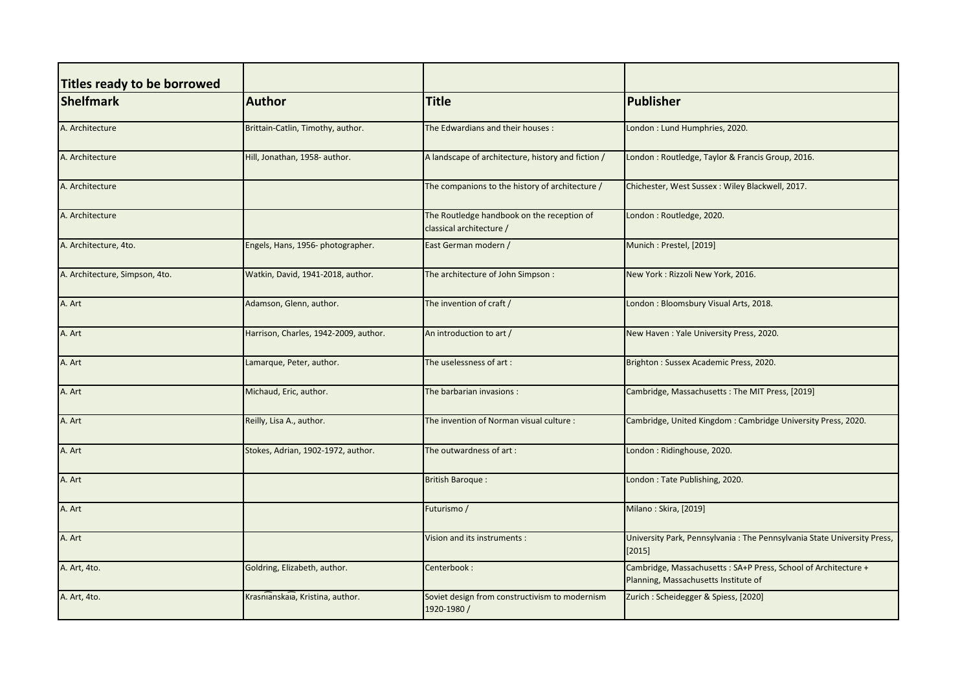| Titles ready to be borrowed    |                                       |                                                                        |                                                                                                        |
|--------------------------------|---------------------------------------|------------------------------------------------------------------------|--------------------------------------------------------------------------------------------------------|
| <b>Shelfmark</b>               | <b>Author</b>                         | <b>Title</b>                                                           | Publisher                                                                                              |
| A. Architecture                | Brittain-Catlin, Timothy, author.     | The Edwardians and their houses :                                      | London: Lund Humphries, 2020.                                                                          |
| A. Architecture                | Hill, Jonathan, 1958- author.         | A landscape of architecture, history and fiction /                     | London: Routledge, Taylor & Francis Group, 2016.                                                       |
| A. Architecture                |                                       | The companions to the history of architecture /                        | Chichester, West Sussex: Wiley Blackwell, 2017.                                                        |
| A. Architecture                |                                       | The Routledge handbook on the reception of<br>classical architecture / | London: Routledge, 2020.                                                                               |
| A. Architecture, 4to.          | Engels, Hans, 1956- photographer.     | East German modern /                                                   | Munich: Prestel, [2019]                                                                                |
| A. Architecture, Simpson, 4to. | Watkin, David, 1941-2018, author.     | The architecture of John Simpson :                                     | New York: Rizzoli New York, 2016.                                                                      |
| A. Art                         | Adamson, Glenn, author.               | The invention of craft /                                               | London: Bloomsbury Visual Arts, 2018.                                                                  |
| A. Art                         | Harrison, Charles, 1942-2009, author. | An introduction to art /                                               | New Haven: Yale University Press, 2020.                                                                |
| A. Art                         | Lamarque, Peter, author.              | The uselessness of art:                                                | Brighton: Sussex Academic Press, 2020.                                                                 |
| A. Art                         | Michaud, Eric, author.                | The barbarian invasions :                                              | Cambridge, Massachusetts: The MIT Press, [2019]                                                        |
| A. Art                         | Reilly, Lisa A., author.              | The invention of Norman visual culture :                               | Cambridge, United Kingdom: Cambridge University Press, 2020.                                           |
| A. Art                         | Stokes, Adrian, 1902-1972, author.    | The outwardness of art:                                                | London: Ridinghouse, 2020.                                                                             |
| A. Art                         |                                       | <b>British Baroque:</b>                                                | London: Tate Publishing, 2020.                                                                         |
| A. Art                         |                                       | Futurismo /                                                            | Milano: Skira, [2019]                                                                                  |
| A. Art                         |                                       | Vision and its instruments :                                           | University Park, Pennsylvania: The Pennsylvania State University Press,<br>$[2015]$                    |
| A. Art, 4to.                   | Goldring, Elizabeth, author.          | Centerbook:                                                            | Cambridge, Massachusetts: SA+P Press, School of Architecture +<br>Planning, Massachusetts Institute of |
| A. Art, 4to.                   | Krasnianskaia, Kristina, author.      | Soviet design from constructivism to modernism<br>1920-1980/           | Zurich: Scheidegger & Spiess, [2020]                                                                   |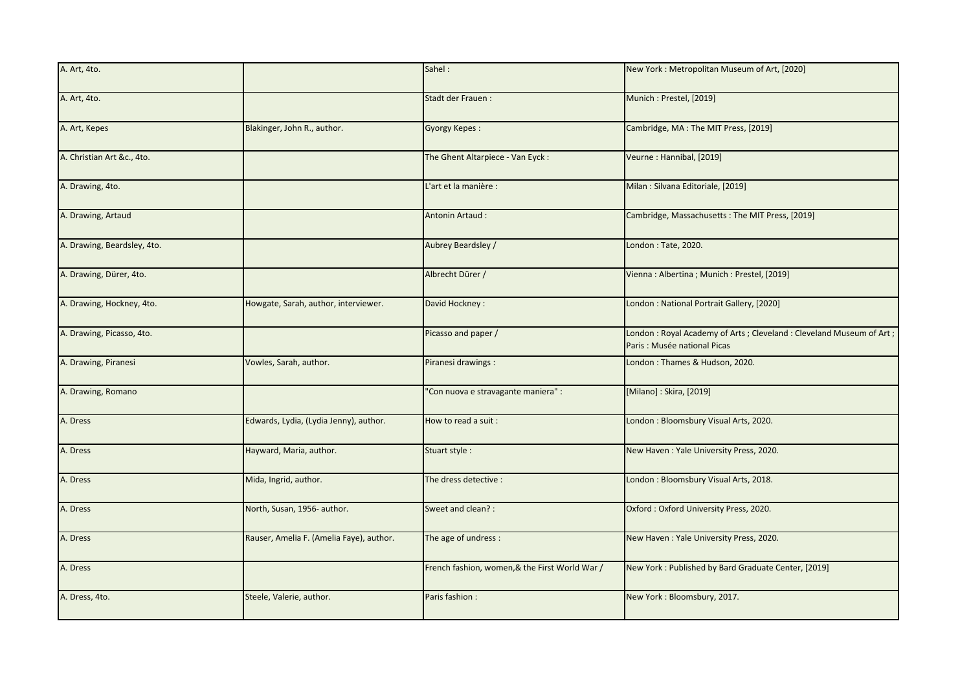| A. Art, 4to.                |                                          | Sahel:                                         | New York: Metropolitan Museum of Art, [2020]                                                       |
|-----------------------------|------------------------------------------|------------------------------------------------|----------------------------------------------------------------------------------------------------|
| A. Art, 4to.                |                                          | Stadt der Frauen:                              | Munich: Prestel, [2019]                                                                            |
| A. Art, Kepes               | Blakinger, John R., author.              | <b>Gyorgy Kepes:</b>                           | Cambridge, MA: The MIT Press, [2019]                                                               |
| A. Christian Art &c., 4to.  |                                          | The Ghent Altarpiece - Van Eyck:               | Veurne: Hannibal, [2019]                                                                           |
| A. Drawing, 4to.            |                                          | L'art et la manière :                          | Milan: Silvana Editoriale, [2019]                                                                  |
| A. Drawing, Artaud          |                                          | Antonin Artaud:                                | Cambridge, Massachusetts: The MIT Press, [2019]                                                    |
| A. Drawing, Beardsley, 4to. |                                          | Aubrey Beardsley /                             | London: Tate, 2020.                                                                                |
| A. Drawing, Dürer, 4to.     |                                          | Albrecht Dürer /                               | Vienna: Albertina; Munich: Prestel, [2019]                                                         |
| A. Drawing, Hockney, 4to.   | Howgate, Sarah, author, interviewer.     | David Hockney:                                 | London: National Portrait Gallery, [2020]                                                          |
| A. Drawing, Picasso, 4to.   |                                          | Picasso and paper /                            | London: Royal Academy of Arts; Cleveland: Cleveland Museum of Art;<br>Paris : Musée national Picas |
| A. Drawing, Piranesi        | Vowles, Sarah, author.                   | Piranesi drawings :                            | London: Thames & Hudson, 2020.                                                                     |
| A. Drawing, Romano          |                                          | 'Con nuova e stravagante maniera" :            | [Milano]: Skira, [2019]                                                                            |
| A. Dress                    | Edwards, Lydia, (Lydia Jenny), author.   | How to read a suit:                            | London: Bloomsbury Visual Arts, 2020.                                                              |
| A. Dress                    | Hayward, Maria, author.                  | Stuart style:                                  | New Haven: Yale University Press, 2020.                                                            |
| A. Dress                    | Mida, Ingrid, author.                    | The dress detective :                          | London: Bloomsbury Visual Arts, 2018.                                                              |
| A. Dress                    | North, Susan, 1956- author.              | Sweet and clean? :                             | Oxford: Oxford University Press, 2020.                                                             |
| A. Dress                    | Rauser, Amelia F. (Amelia Faye), author. | The age of undress :                           | New Haven: Yale University Press, 2020.                                                            |
| A. Dress                    |                                          | French fashion, women, & the First World War / | New York: Published by Bard Graduate Center, [2019]                                                |
| A. Dress, 4to.              | Steele, Valerie, author.                 | Paris fashion :                                | New York: Bloomsbury, 2017.                                                                        |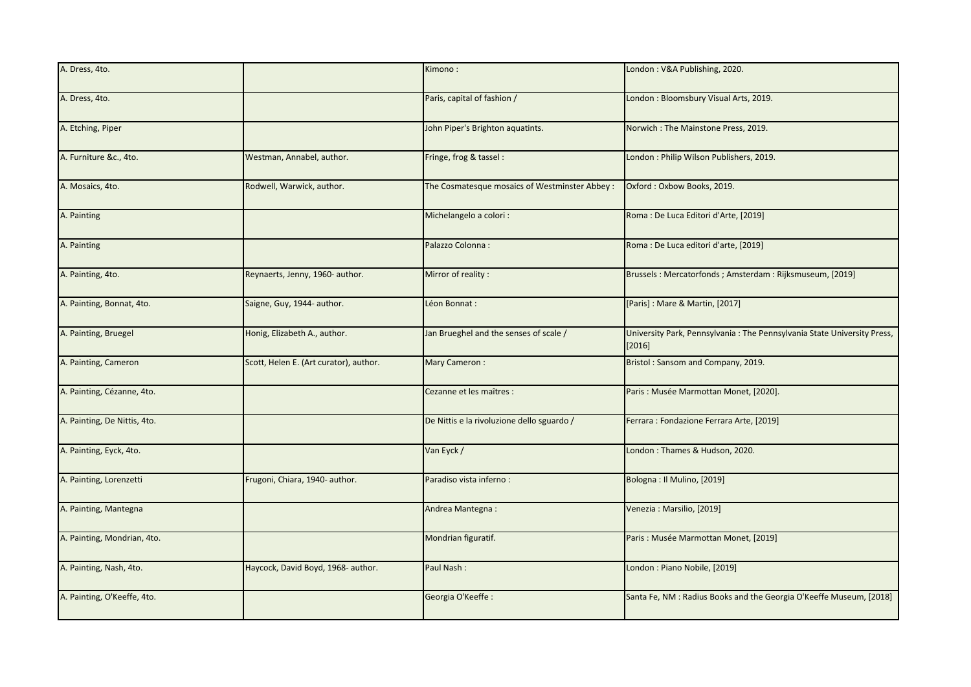| A. Dress, 4to.               |                                        | Kimono:                                       | London: V&A Publishing, 2020.                                                     |
|------------------------------|----------------------------------------|-----------------------------------------------|-----------------------------------------------------------------------------------|
| A. Dress, 4to.               |                                        | Paris, capital of fashion /                   | London: Bloomsbury Visual Arts, 2019.                                             |
| A. Etching, Piper            |                                        | John Piper's Brighton aquatints.              | Norwich: The Mainstone Press, 2019.                                               |
| A. Furniture &c., 4to.       | Westman, Annabel, author.              | Fringe, frog & tassel:                        | London: Philip Wilson Publishers, 2019.                                           |
| A. Mosaics, 4to.             | Rodwell, Warwick, author.              | The Cosmatesque mosaics of Westminster Abbey: | Oxford: Oxbow Books, 2019.                                                        |
| A. Painting                  |                                        | Michelangelo a colori :                       | Roma: De Luca Editori d'Arte, [2019]                                              |
| A. Painting                  |                                        | Palazzo Colonna:                              | Roma : De Luca editori d'arte, [2019]                                             |
| A. Painting, 4to.            | Reynaerts, Jenny, 1960- author.        | Mirror of reality:                            | Brussels: Mercatorfonds; Amsterdam: Rijksmuseum, [2019]                           |
| A. Painting, Bonnat, 4to.    | Saigne, Guy, 1944- author.             | Léon Bonnat :                                 | [Paris]: Mare & Martin, [2017]                                                    |
| A. Painting, Bruegel         | Honig, Elizabeth A., author.           | Jan Brueghel and the senses of scale /        | University Park, Pennsylvania: The Pennsylvania State University Press,<br>[2016] |
| A. Painting, Cameron         | Scott, Helen E. (Art curator), author. | Mary Cameron:                                 | Bristol: Sansom and Company, 2019.                                                |
| A. Painting, Cézanne, 4to.   |                                        | Cezanne et les maîtres :                      | Paris : Musée Marmottan Monet, [2020].                                            |
| A. Painting, De Nittis, 4to. |                                        | De Nittis e la rivoluzione dello sguardo /    | Ferrara: Fondazione Ferrara Arte, [2019]                                          |
| A. Painting, Eyck, 4to.      |                                        | Van Eyck /                                    | London: Thames & Hudson, 2020.                                                    |
| A. Painting, Lorenzetti      | Frugoni, Chiara, 1940- author.         | Paradiso vista inferno:                       | Bologna: Il Mulino, [2019]                                                        |
| A. Painting, Mantegna        |                                        | Andrea Mantegna:                              | Venezia: Marsilio, [2019]                                                         |
| A. Painting, Mondrian, 4to.  |                                        | Mondrian figuratif.                           | Paris: Musée Marmottan Monet, [2019]                                              |
| A. Painting, Nash, 4to.      | Haycock, David Boyd, 1968- author.     | Paul Nash:                                    | London: Piano Nobile, [2019]                                                      |
| A. Painting, O'Keeffe, 4to.  |                                        | Georgia O'Keeffe:                             | Santa Fe, NM : Radius Books and the Georgia O'Keeffe Museum, [2018]               |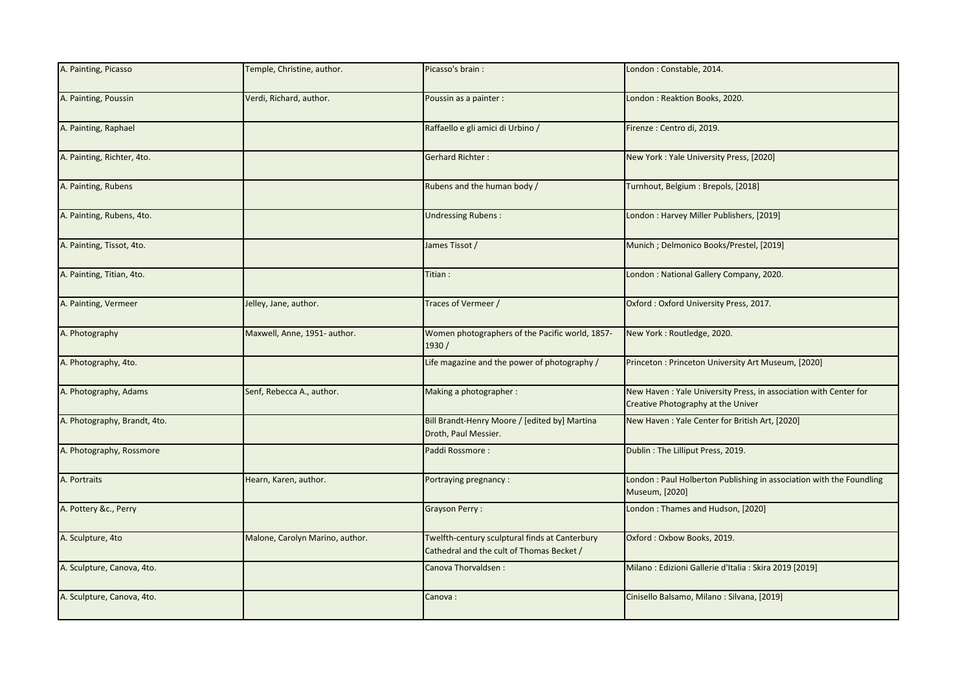| A. Painting, Picasso         | Temple, Christine, author.      | Picasso's brain:                                                                            | London: Constable, 2014.                                                                               |
|------------------------------|---------------------------------|---------------------------------------------------------------------------------------------|--------------------------------------------------------------------------------------------------------|
| A. Painting, Poussin         | Verdi, Richard, author.         | Poussin as a painter :                                                                      | London: Reaktion Books, 2020.                                                                          |
| A. Painting, Raphael         |                                 | Raffaello e gli amici di Urbino /                                                           | Firenze : Centro di, 2019.                                                                             |
| A. Painting, Richter, 4to.   |                                 | <b>Gerhard Richter:</b>                                                                     | New York: Yale University Press, [2020]                                                                |
| A. Painting, Rubens          |                                 | Rubens and the human body /                                                                 | Turnhout, Belgium: Brepols, [2018]                                                                     |
| A. Painting, Rubens, 4to.    |                                 | <b>Undressing Rubens:</b>                                                                   | London: Harvey Miller Publishers, [2019]                                                               |
| A. Painting, Tissot, 4to.    |                                 | James Tissot /                                                                              | Munich ; Delmonico Books/Prestel, [2019]                                                               |
| A. Painting, Titian, 4to.    |                                 | Titian:                                                                                     | London: National Gallery Company, 2020.                                                                |
| A. Painting, Vermeer         | Jelley, Jane, author.           | Traces of Vermeer /                                                                         | Oxford: Oxford University Press, 2017.                                                                 |
| A. Photography               | Maxwell, Anne, 1951- author.    | Women photographers of the Pacific world, 1857-<br>1930/                                    | New York: Routledge, 2020.                                                                             |
| A. Photography, 4to.         |                                 | Life magazine and the power of photography /                                                | Princeton: Princeton University Art Museum, [2020]                                                     |
| A. Photography, Adams        | Senf, Rebecca A., author.       | Making a photographer:                                                                      | New Haven: Yale University Press, in association with Center for<br>Creative Photography at the Univer |
| A. Photography, Brandt, 4to. |                                 | Bill Brandt-Henry Moore / [edited by] Martina<br>Droth, Paul Messier.                       | New Haven: Yale Center for British Art, [2020]                                                         |
| A. Photography, Rossmore     |                                 | Paddi Rossmore:                                                                             | Dublin: The Lilliput Press, 2019.                                                                      |
| A. Portraits                 | Hearn, Karen, author.           | Portraying pregnancy:                                                                       | London: Paul Holberton Publishing in association with the Foundling<br>Museum, [2020]                  |
| A. Pottery &c., Perry        |                                 | <b>Grayson Perry:</b>                                                                       | London: Thames and Hudson, [2020]                                                                      |
| A. Sculpture, 4to            | Malone, Carolyn Marino, author. | Twelfth-century sculptural finds at Canterbury<br>Cathedral and the cult of Thomas Becket / | Oxford: Oxbow Books, 2019.                                                                             |
| A. Sculpture, Canova, 4to.   |                                 | Canova Thorvaldsen:                                                                         | Milano: Edizioni Gallerie d'Italia : Skira 2019 [2019]                                                 |
| A. Sculpture, Canova, 4to.   |                                 | Canova:                                                                                     | Cinisello Balsamo, Milano: Silvana, [2019]                                                             |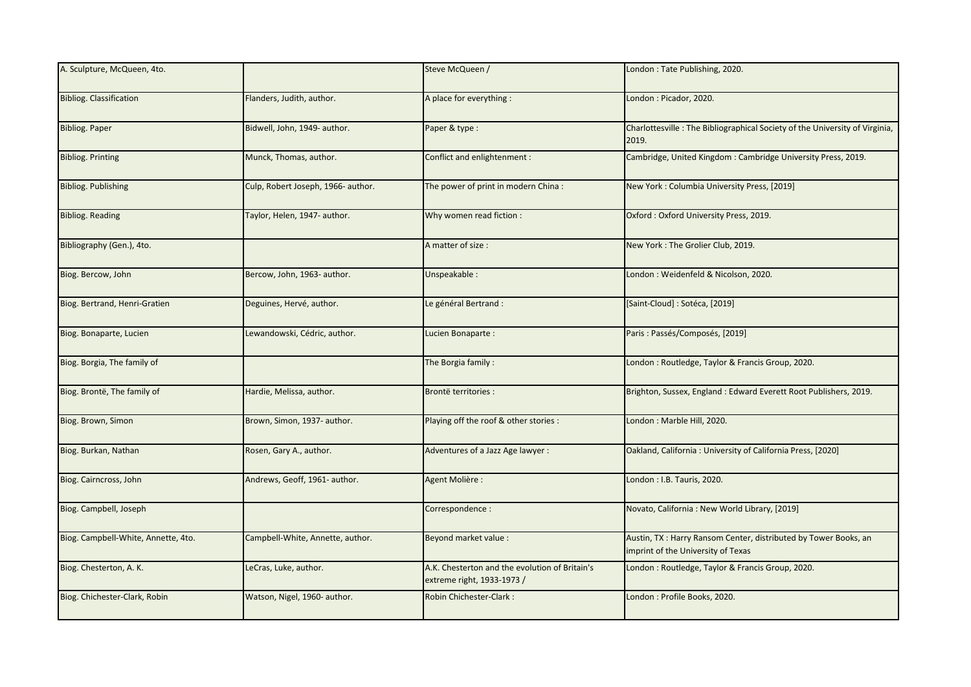| A. Sculpture, McQueen, 4to.         |                                    | Steve McQueen /                                                              | London: Tate Publishing, 2020.                                                                         |
|-------------------------------------|------------------------------------|------------------------------------------------------------------------------|--------------------------------------------------------------------------------------------------------|
| <b>Bibliog. Classification</b>      | Flanders, Judith, author.          | A place for everything :                                                     | London: Picador, 2020.                                                                                 |
| <b>Bibliog. Paper</b>               | Bidwell, John, 1949- author.       | Paper & type :                                                               | Charlottesville: The Bibliographical Society of the University of Virginia,<br>2019.                   |
| <b>Bibliog. Printing</b>            | Munck, Thomas, author.             | Conflict and enlightenment :                                                 | Cambridge, United Kingdom: Cambridge University Press, 2019.                                           |
| <b>Bibliog. Publishing</b>          | Culp, Robert Joseph, 1966- author. | The power of print in modern China:                                          | New York: Columbia University Press, [2019]                                                            |
| <b>Bibliog. Reading</b>             | Taylor, Helen, 1947- author.       | Why women read fiction :                                                     | Oxford: Oxford University Press, 2019.                                                                 |
| Bibliography (Gen.), 4to.           |                                    | A matter of size :                                                           | New York: The Grolier Club, 2019.                                                                      |
| Biog. Bercow, John                  | Bercow, John, 1963- author.        | Unspeakable:                                                                 | London: Weidenfeld & Nicolson, 2020.                                                                   |
| Biog. Bertrand, Henri-Gratien       | Deguines, Hervé, author.           | Le général Bertrand :                                                        | [Saint-Cloud] : Sotéca, [2019]                                                                         |
| Biog. Bonaparte, Lucien             | Lewandowski, Cédric, author.       | Lucien Bonaparte:                                                            | Paris: Passés/Composés, [2019]                                                                         |
| Biog. Borgia, The family of         |                                    | The Borgia family:                                                           | London : Routledge, Taylor & Francis Group, 2020.                                                      |
| Biog. Brontë, The family of         | Hardie, Melissa, author.           | <b>Brontë territories:</b>                                                   | Brighton, Sussex, England : Edward Everett Root Publishers, 2019.                                      |
| Biog. Brown, Simon                  | Brown, Simon, 1937- author.        | Playing off the roof & other stories :                                       | London: Marble Hill, 2020.                                                                             |
| Biog. Burkan, Nathan                | Rosen, Gary A., author.            | Adventures of a Jazz Age lawyer:                                             | Oakland, California: University of California Press, [2020]                                            |
| Biog. Cairncross, John              | Andrews, Geoff, 1961- author.      | Agent Molière :                                                              | London: I.B. Tauris, 2020.                                                                             |
| Biog. Campbell, Joseph              |                                    | Correspondence :                                                             | Novato, California: New World Library, [2019]                                                          |
| Biog. Campbell-White, Annette, 4to. | Campbell-White, Annette, author.   | Beyond market value :                                                        | Austin, TX : Harry Ransom Center, distributed by Tower Books, an<br>imprint of the University of Texas |
| Biog. Chesterton, A. K.             | LeCras, Luke, author.              | A.K. Chesterton and the evolution of Britain's<br>extreme right, 1933-1973 / | London: Routledge, Taylor & Francis Group, 2020.                                                       |
| Biog. Chichester-Clark, Robin       | Watson, Nigel, 1960- author.       | Robin Chichester-Clark:                                                      | London: Profile Books, 2020.                                                                           |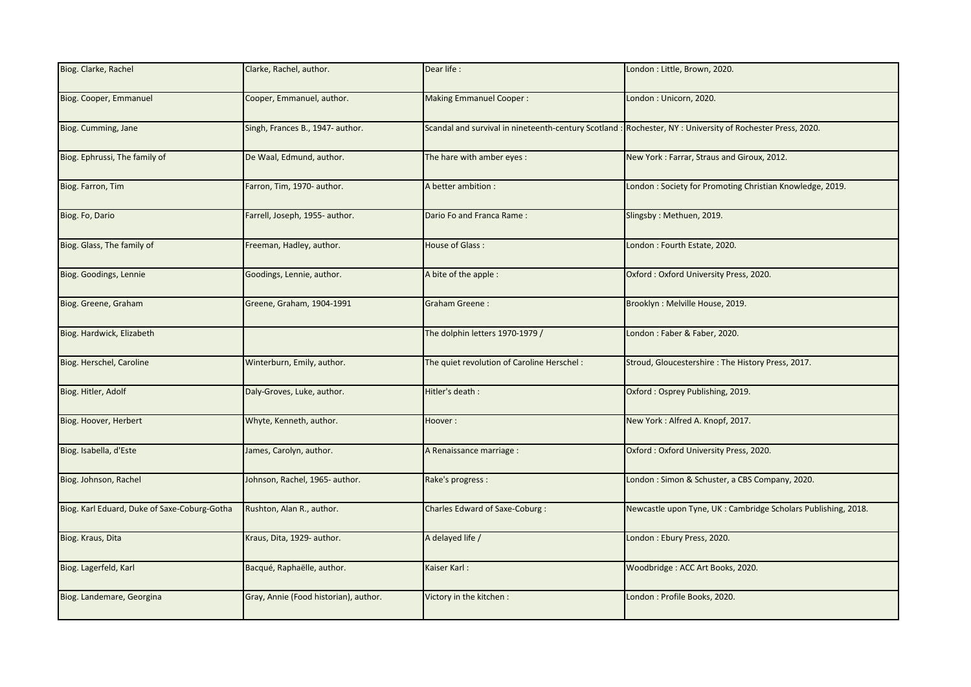| Biog. Clarke, Rachel                         | Clarke, Rachel, author.               | Dear life:                                 | London: Little, Brown, 2020.                                                                               |
|----------------------------------------------|---------------------------------------|--------------------------------------------|------------------------------------------------------------------------------------------------------------|
| Biog. Cooper, Emmanuel                       | Cooper, Emmanuel, author.             | <b>Making Emmanuel Cooper:</b>             | London: Unicorn, 2020.                                                                                     |
| Biog. Cumming, Jane                          | Singh, Frances B., 1947- author.      |                                            | Scandal and survival in nineteenth-century Scotland : Rochester, NY : University of Rochester Press, 2020. |
| Biog. Ephrussi, The family of                | De Waal, Edmund, author.              | The hare with amber eyes:                  | New York: Farrar, Straus and Giroux, 2012.                                                                 |
| Biog. Farron, Tim                            | Farron, Tim, 1970- author.            | A better ambition :                        | London: Society for Promoting Christian Knowledge, 2019.                                                   |
| Biog. Fo, Dario                              | Farrell, Joseph, 1955- author.        | Dario Fo and Franca Rame:                  | Slingsby: Methuen, 2019.                                                                                   |
| Biog. Glass, The family of                   | Freeman, Hadley, author.              | House of Glass:                            | London: Fourth Estate, 2020.                                                                               |
| Biog. Goodings, Lennie                       | Goodings, Lennie, author.             | A bite of the apple :                      | Oxford: Oxford University Press, 2020.                                                                     |
| Biog. Greene, Graham                         | Greene, Graham, 1904-1991             | <b>Graham Greene:</b>                      | Brooklyn: Melville House, 2019.                                                                            |
| Biog. Hardwick, Elizabeth                    |                                       | The dolphin letters 1970-1979 /            | London: Faber & Faber, 2020.                                                                               |
| Biog. Herschel, Caroline                     | Winterburn, Emily, author.            | The quiet revolution of Caroline Herschel: | Stroud, Gloucestershire: The History Press, 2017.                                                          |
| Biog. Hitler, Adolf                          | Daly-Groves, Luke, author.            | Hitler's death :                           | Oxford: Osprey Publishing, 2019.                                                                           |
| Biog. Hoover, Herbert                        | Whyte, Kenneth, author.               | Hoover:                                    | New York: Alfred A. Knopf, 2017.                                                                           |
| Biog. Isabella, d'Este                       | James, Carolyn, author.               | A Renaissance marriage :                   | Oxford: Oxford University Press, 2020.                                                                     |
| Biog. Johnson, Rachel                        | Johnson, Rachel, 1965- author.        | Rake's progress :                          | London: Simon & Schuster, a CBS Company, 2020.                                                             |
| Biog. Karl Eduard, Duke of Saxe-Coburg-Gotha | Rushton, Alan R., author.             | Charles Edward of Saxe-Coburg :            | Newcastle upon Tyne, UK : Cambridge Scholars Publishing, 2018.                                             |
| Biog. Kraus, Dita                            | Kraus, Dita, 1929- author.            | A delayed life /                           | London: Ebury Press, 2020.                                                                                 |
| Biog. Lagerfeld, Karl                        | Bacqué, Raphaëlle, author.            | Kaiser Karl:                               | Woodbridge: ACC Art Books, 2020.                                                                           |
| Biog. Landemare, Georgina                    | Gray, Annie (Food historian), author. | Victory in the kitchen:                    | London : Profile Books, 2020.                                                                              |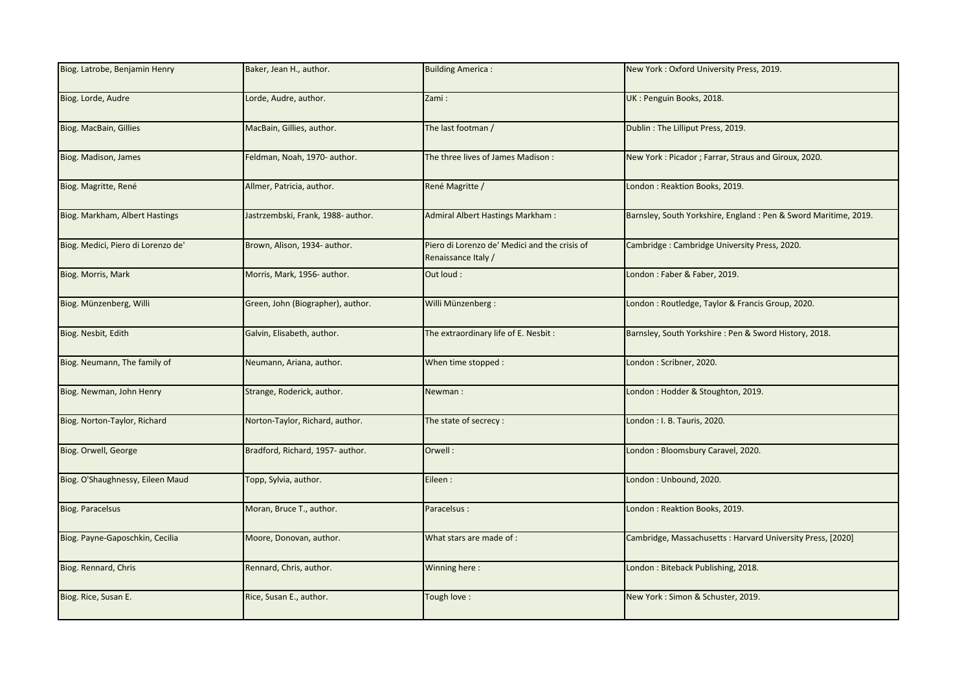| Biog. Latrobe, Benjamin Henry      | Baker, Jean H., author.            | <b>Building America:</b>                                             | New York: Oxford University Press, 2019.                        |
|------------------------------------|------------------------------------|----------------------------------------------------------------------|-----------------------------------------------------------------|
| Biog. Lorde, Audre                 | Lorde, Audre, author.              | Zami:                                                                | UK: Penguin Books, 2018.                                        |
| Biog. MacBain, Gillies             | MacBain, Gillies, author.          | The last footman /                                                   | Dublin: The Lilliput Press, 2019.                               |
| Biog. Madison, James               | Feldman, Noah, 1970- author.       | The three lives of James Madison:                                    | New York: Picador; Farrar, Straus and Giroux, 2020.             |
| Biog. Magritte, René               | Allmer, Patricia, author.          | René Magritte /                                                      | London: Reaktion Books, 2019.                                   |
| Biog. Markham, Albert Hastings     | Jastrzembski, Frank, 1988- author. | <b>Admiral Albert Hastings Markham:</b>                              | Barnsley, South Yorkshire, England: Pen & Sword Maritime, 2019. |
| Biog. Medici, Piero di Lorenzo de' | Brown, Alison, 1934- author.       | Piero di Lorenzo de' Medici and the crisis of<br>Renaissance Italy / | Cambridge: Cambridge University Press, 2020.                    |
| Biog. Morris, Mark                 | Morris, Mark, 1956- author.        | Out loud:                                                            | London: Faber & Faber, 2019.                                    |
| Biog. Münzenberg, Willi            | Green, John (Biographer), author.  | Willi Münzenberg:                                                    | London: Routledge, Taylor & Francis Group, 2020.                |
| Biog. Nesbit, Edith                | Galvin, Elisabeth, author.         | The extraordinary life of E. Nesbit:                                 | Barnsley, South Yorkshire: Pen & Sword History, 2018.           |
| Biog. Neumann, The family of       | Neumann, Ariana, author.           | When time stopped :                                                  | London: Scribner, 2020.                                         |
| Biog. Newman, John Henry           | Strange, Roderick, author.         | Newman:                                                              | London: Hodder & Stoughton, 2019.                               |
| Biog. Norton-Taylor, Richard       | Norton-Taylor, Richard, author.    | The state of secrecy:                                                | London : I. B. Tauris, 2020.                                    |
| Biog. Orwell, George               | Bradford, Richard, 1957- author.   | Orwell:                                                              | London: Bloomsbury Caravel, 2020.                               |
| Biog. O'Shaughnessy, Eileen Maud   | Topp, Sylvia, author.              | Eileen:                                                              | London: Unbound, 2020.                                          |
| <b>Biog. Paracelsus</b>            | Moran, Bruce T., author.           | Paracelsus:                                                          | London: Reaktion Books, 2019.                                   |
| Biog. Payne-Gaposchkin, Cecilia    | Moore, Donovan, author.            | What stars are made of :                                             | Cambridge, Massachusetts: Harvard University Press, [2020]      |
| Biog. Rennard, Chris               | Rennard, Chris, author.            | Winning here:                                                        | London: Biteback Publishing, 2018.                              |
| Biog. Rice, Susan E.               | Rice, Susan E., author.            | Tough love:                                                          | New York: Simon & Schuster, 2019.                               |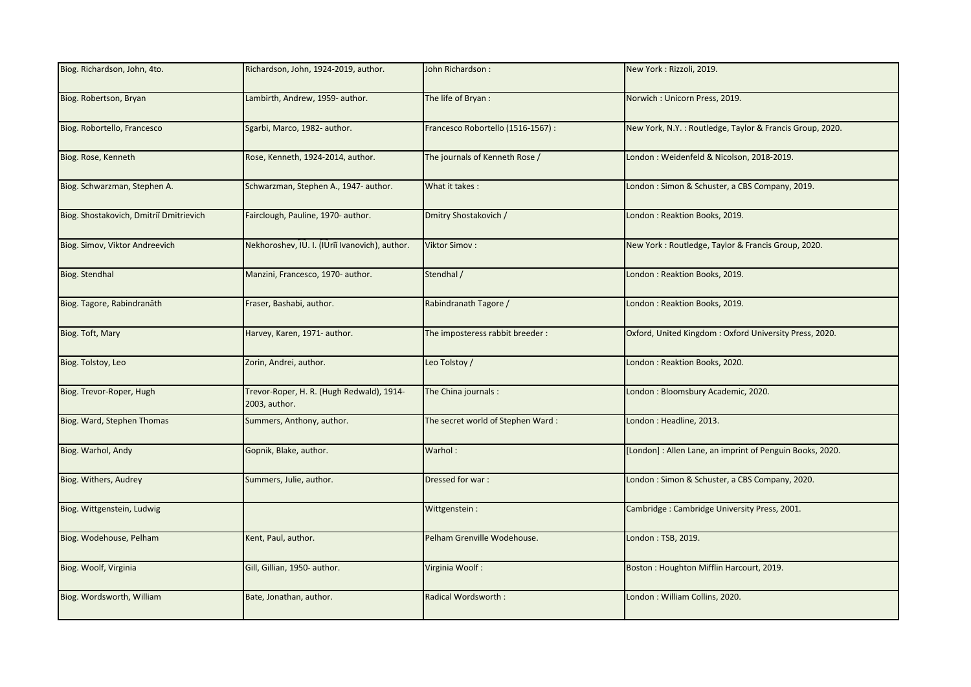| Biog. Richardson, John, 4to.            | Richardson, John, 1924-2019, author.                       | John Richardson:                   | New York: Rizzoli, 2019.                                  |
|-----------------------------------------|------------------------------------------------------------|------------------------------------|-----------------------------------------------------------|
| Biog. Robertson, Bryan                  | Lambirth, Andrew, 1959- author.                            | The life of Bryan:                 | Norwich: Unicorn Press, 2019.                             |
| Biog. Robortello, Francesco             | Sgarbi, Marco, 1982- author.                               | Francesco Robortello (1516-1567) : | New York, N.Y. : Routledge, Taylor & Francis Group, 2020. |
| Biog. Rose, Kenneth                     | Rose, Kenneth, 1924-2014, author.                          | The journals of Kenneth Rose /     | London: Weidenfeld & Nicolson, 2018-2019.                 |
| Biog. Schwarzman, Stephen A.            | Schwarzman, Stephen A., 1947- author.                      | What it takes:                     | London: Simon & Schuster, a CBS Company, 2019.            |
| Biog. Shostakovich, Dmitriĭ Dmitrievich | Fairclough, Pauline, 1970- author.                         | Dmitry Shostakovich /              | London: Reaktion Books, 2019.                             |
| Biog. Simov, Viktor Andreevich          | Nekhoroshev, IU. I. (IUrii Ivanovich), author.             | <b>Viktor Simov:</b>               | New York: Routledge, Taylor & Francis Group, 2020.        |
| Biog. Stendhal                          | Manzini, Francesco, 1970- author.                          | Stendhal /                         | London: Reaktion Books, 2019.                             |
| Biog. Tagore, Rabindranāth              | Fraser, Bashabi, author.                                   | Rabindranath Tagore /              | London: Reaktion Books, 2019.                             |
| Biog. Toft, Mary                        | Harvey, Karen, 1971- author.                               | The imposteress rabbit breeder:    | Oxford, United Kingdom: Oxford University Press, 2020.    |
| Biog. Tolstoy, Leo                      | Zorin, Andrei, author.                                     | Leo Tolstoy /                      | London: Reaktion Books, 2020.                             |
| Biog. Trevor-Roper, Hugh                | Trevor-Roper, H. R. (Hugh Redwald), 1914-<br>2003, author. | The China journals:                | London: Bloomsbury Academic, 2020.                        |
| Biog. Ward, Stephen Thomas              | Summers, Anthony, author.                                  | The secret world of Stephen Ward:  | London: Headline, 2013.                                   |
| Biog. Warhol, Andy                      | Gopnik, Blake, author.                                     | Warhol:                            | [London]: Allen Lane, an imprint of Penguin Books, 2020.  |
| Biog. Withers, Audrey                   | Summers, Julie, author.                                    | Dressed for war:                   | London: Simon & Schuster, a CBS Company, 2020.            |
| Biog. Wittgenstein, Ludwig              |                                                            | Wittgenstein:                      | Cambridge: Cambridge University Press, 2001.              |
| Biog. Wodehouse, Pelham                 | Kent, Paul, author.                                        | Pelham Grenville Wodehouse.        | London: TSB, 2019.                                        |
| Biog. Woolf, Virginia                   | Gill, Gillian, 1950- author.                               | Virginia Woolf:                    | Boston: Houghton Mifflin Harcourt, 2019.                  |
| Biog. Wordsworth, William               | Bate, Jonathan, author.                                    | Radical Wordsworth:                | London: William Collins, 2020.                            |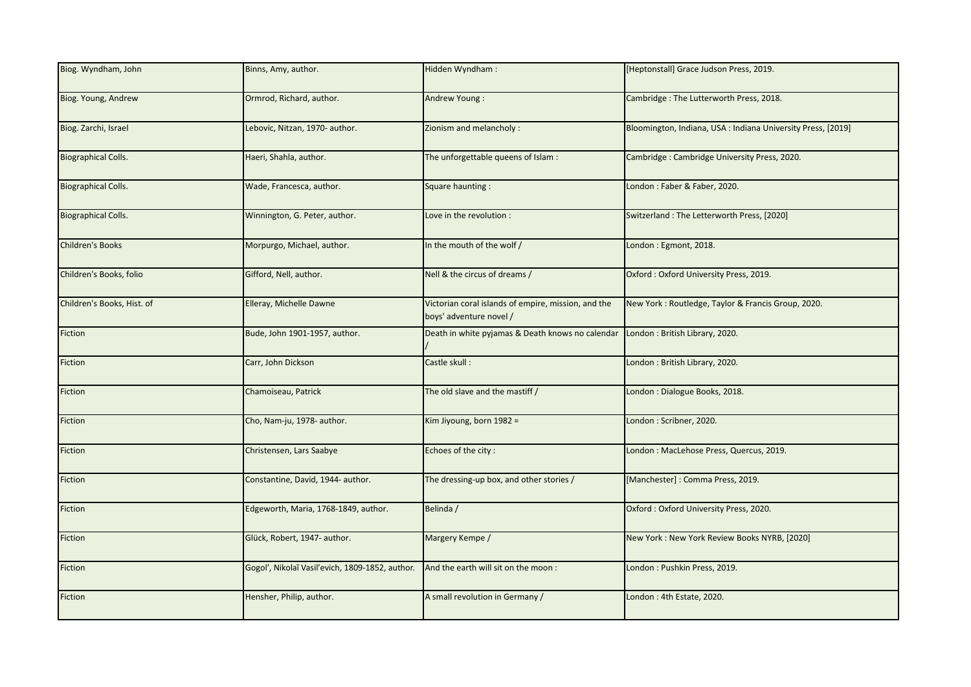| Biog. Wyndham, John        | Binns, Amy, author.                             | Hidden Wyndham:                                                                | [Heptonstall] Grace Judson Press, 2019.                      |
|----------------------------|-------------------------------------------------|--------------------------------------------------------------------------------|--------------------------------------------------------------|
| Biog. Young, Andrew        | Ormrod, Richard, author.                        | Andrew Young:                                                                  | Cambridge: The Lutterworth Press, 2018.                      |
| Biog. Zarchi, Israel       | Lebovic, Nitzan, 1970- author.                  | Zionism and melancholy :                                                       | Bloomington, Indiana, USA : Indiana University Press, [2019] |
| <b>Biographical Colls.</b> | Haeri, Shahla, author.                          | The unforgettable queens of Islam :                                            | Cambridge: Cambridge University Press, 2020.                 |
| <b>Biographical Colls.</b> | Wade, Francesca, author.                        | Square haunting:                                                               | London: Faber & Faber, 2020.                                 |
| <b>Biographical Colls.</b> | Winnington, G. Peter, author.                   | Love in the revolution :                                                       | Switzerland: The Letterworth Press, [2020]                   |
| <b>Children's Books</b>    | Morpurgo, Michael, author.                      | In the mouth of the wolf /                                                     | London: Egmont, 2018.                                        |
| Children's Books, folio    | Gifford, Nell, author.                          | Nell & the circus of dreams /                                                  | Oxford: Oxford University Press, 2019.                       |
| Children's Books, Hist. of | Elleray, Michelle Dawne                         | Victorian coral islands of empire, mission, and the<br>boys' adventure novel / | New York: Routledge, Taylor & Francis Group, 2020.           |
| Fiction                    | Bude, John 1901-1957, author.                   | Death in white pyjamas & Death knows no calendar                               | London: British Library, 2020.                               |
| Fiction                    | Carr, John Dickson                              | Castle skull:                                                                  | London: British Library, 2020.                               |
| Fiction                    | Chamoiseau, Patrick                             | The old slave and the mastiff /                                                | London: Dialogue Books, 2018.                                |
| Fiction                    | Cho, Nam-ju, 1978- author.                      | Kim Jiyoung, born 1982 =                                                       | London: Scribner, 2020.                                      |
| Fiction                    | Christensen, Lars Saabye                        | Echoes of the city:                                                            | London: MacLehose Press, Quercus, 2019.                      |
| Fiction                    | Constantine, David, 1944- author.               | The dressing-up box, and other stories /                                       | [Manchester]: Comma Press, 2019.                             |
| Fiction                    | Edgeworth, Maria, 1768-1849, author.            | Belinda /                                                                      | Oxford: Oxford University Press, 2020.                       |
| Fiction                    | Glück, Robert, 1947- author.                    | Margery Kempe /                                                                | New York: New York Review Books NYRB, [2020]                 |
| Fiction                    | Gogol', Nikolaĭ Vasil'evich, 1809-1852, author. | And the earth will sit on the moon :                                           | London: Pushkin Press, 2019.                                 |
| Fiction                    | Hensher, Philip, author.                        | A small revolution in Germany /                                                | London: 4th Estate, 2020.                                    |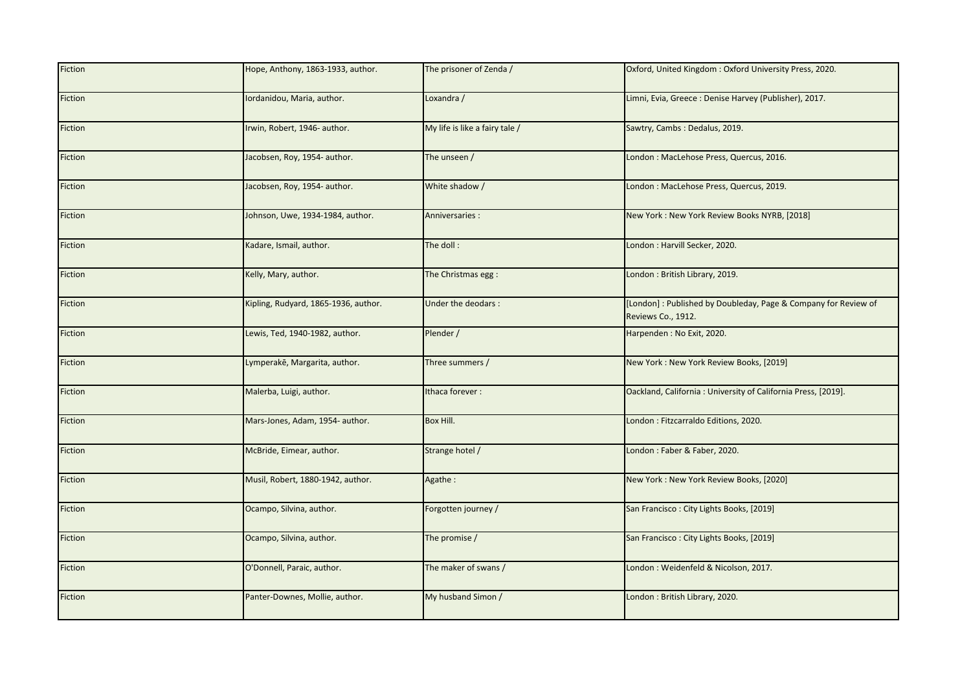| Fiction | Hope, Anthony, 1863-1933, author.    | The prisoner of Zenda /        | Oxford, United Kingdom: Oxford University Press, 2020.                               |
|---------|--------------------------------------|--------------------------------|--------------------------------------------------------------------------------------|
| Fiction | Iordanidou, Maria, author.           | Loxandra /                     | Limni, Evia, Greece : Denise Harvey (Publisher), 2017.                               |
| Fiction | Irwin, Robert, 1946- author.         | My life is like a fairy tale / | Sawtry, Cambs: Dedalus, 2019.                                                        |
| Fiction | Jacobsen, Roy, 1954- author.         | The unseen /                   | London: MacLehose Press, Quercus, 2016.                                              |
| Fiction | Jacobsen, Roy, 1954- author.         | White shadow /                 | London: MacLehose Press, Quercus, 2019.                                              |
| Fiction | Johnson, Uwe, 1934-1984, author.     | Anniversaries :                | New York: New York Review Books NYRB, [2018]                                         |
| Fiction | Kadare, Ismail, author.              | The doll:                      | London : Harvill Secker, 2020.                                                       |
| Fiction | Kelly, Mary, author.                 | The Christmas egg:             | London: British Library, 2019.                                                       |
| Fiction | Kipling, Rudyard, 1865-1936, author. | Under the deodars :            | [London]: Published by Doubleday, Page & Company for Review of<br>Reviews Co., 1912. |
| Fiction | Lewis, Ted, 1940-1982, author.       | Plender /                      | Harpenden : No Exit, 2020.                                                           |
| Fiction | Lymperakē, Margarita, author.        | Three summers /                | New York: New York Review Books, [2019]                                              |
| Fiction | Malerba, Luigi, author.              | Ithaca forever:                | Oackland, California: University of California Press, [2019].                        |
| Fiction | Mars-Jones, Adam, 1954- author.      | Box Hill.                      | London : Fitzcarraldo Editions, 2020.                                                |
| Fiction | McBride, Eimear, author.             | Strange hotel /                | London: Faber & Faber, 2020.                                                         |
| Fiction | Musil, Robert, 1880-1942, author.    | Agathe:                        | New York: New York Review Books, [2020]                                              |
| Fiction | Ocampo, Silvina, author.             | Forgotten journey /            | San Francisco: City Lights Books, [2019]                                             |
| Fiction | Ocampo, Silvina, author.             | The promise /                  | San Francisco: City Lights Books, [2019]                                             |
| Fiction | O'Donnell, Paraic, author.           | The maker of swans /           | London : Weidenfeld & Nicolson, 2017.                                                |
| Fiction | Panter-Downes, Mollie, author.       | My husband Simon /             | London: British Library, 2020.                                                       |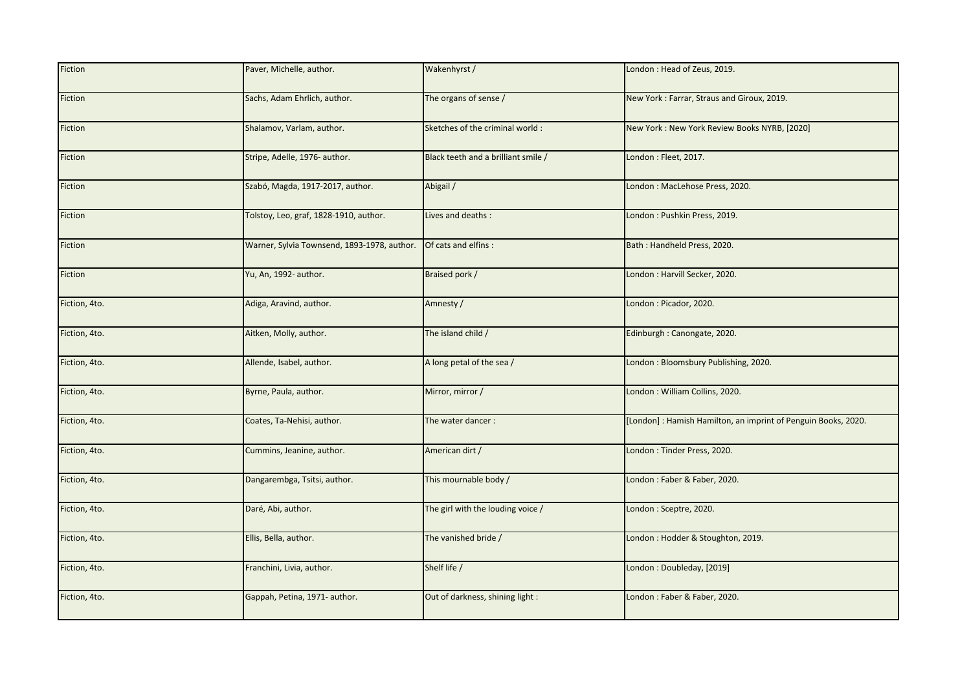| Fiction       | Paver, Michelle, author.                    | Wakenhyrst /                        | London: Head of Zeus, 2019.                                   |
|---------------|---------------------------------------------|-------------------------------------|---------------------------------------------------------------|
| Fiction       | Sachs, Adam Ehrlich, author.                | The organs of sense /               | New York: Farrar, Straus and Giroux, 2019.                    |
| Fiction       | Shalamov, Varlam, author.                   | Sketches of the criminal world:     | New York: New York Review Books NYRB, [2020]                  |
| Fiction       | Stripe, Adelle, 1976- author.               | Black teeth and a brilliant smile / | London: Fleet, 2017.                                          |
| Fiction       | Szabó, Magda, 1917-2017, author.            | Abigail /                           | London: MacLehose Press, 2020.                                |
| Fiction       | Tolstoy, Leo, graf, 1828-1910, author.      | Lives and deaths:                   | London: Pushkin Press, 2019.                                  |
| Fiction       | Warner, Sylvia Townsend, 1893-1978, author. | Of cats and elfins :                | Bath: Handheld Press, 2020.                                   |
| Fiction       | Yu, An, 1992- author.                       | Braised pork /                      | London : Harvill Secker, 2020.                                |
| Fiction, 4to. | Adiga, Aravind, author.                     | Amnesty /                           | London: Picador, 2020.                                        |
| Fiction, 4to. | Aitken, Molly, author.                      | The island child /                  | Edinburgh : Canongate, 2020.                                  |
| Fiction, 4to. | Allende, Isabel, author.                    | A long petal of the sea /           | London: Bloomsbury Publishing, 2020.                          |
| Fiction, 4to. | Byrne, Paula, author.                       | Mirror, mirror /                    | London: William Collins, 2020.                                |
| Fiction, 4to. | Coates, Ta-Nehisi, author.                  | The water dancer:                   | [London]: Hamish Hamilton, an imprint of Penguin Books, 2020. |
| Fiction, 4to. | Cummins, Jeanine, author.                   | American dirt /                     | London: Tinder Press, 2020.                                   |
| Fiction, 4to. | Dangarembga, Tsitsi, author.                | This mournable body /               | London: Faber & Faber, 2020.                                  |
| Fiction, 4to. | Daré, Abi, author.                          | The girl with the louding voice /   | London: Sceptre, 2020.                                        |
| Fiction, 4to. | Ellis, Bella, author.                       | The vanished bride /                | London : Hodder & Stoughton, 2019.                            |
| Fiction, 4to. | Franchini, Livia, author.                   | Shelf life /                        | London: Doubleday, [2019]                                     |
| Fiction, 4to. | Gappah, Petina, 1971- author.               | Out of darkness, shining light :    | London: Faber & Faber, 2020.                                  |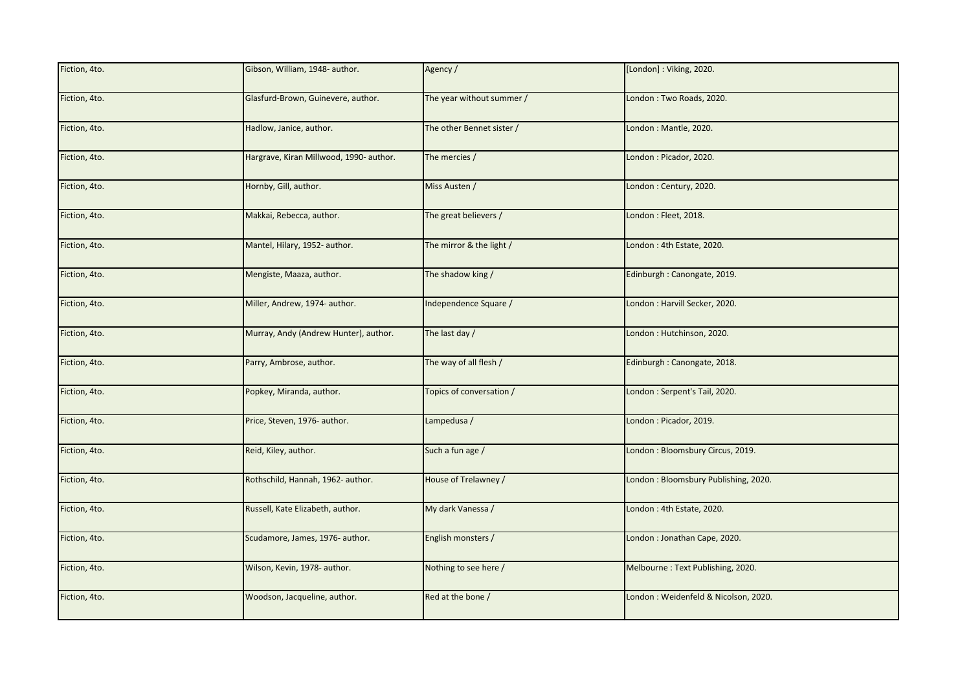| Fiction, 4to. | Gibson, William, 1948- author.          | Agency /                  | [London]: Viking, 2020.              |
|---------------|-----------------------------------------|---------------------------|--------------------------------------|
| Fiction, 4to. | Glasfurd-Brown, Guinevere, author.      | The year without summer / | London: Two Roads, 2020.             |
| Fiction, 4to. | Hadlow, Janice, author.                 | The other Bennet sister / | London: Mantle, 2020.                |
| Fiction, 4to. | Hargrave, Kiran Millwood, 1990- author. | The mercies /             | London: Picador, 2020.               |
| Fiction, 4to. | Hornby, Gill, author.                   | Miss Austen /             | London: Century, 2020.               |
| Fiction, 4to. | Makkai, Rebecca, author.                | The great believers /     | London: Fleet, 2018.                 |
| Fiction, 4to. | Mantel, Hilary, 1952- author.           | The mirror & the light /  | London: 4th Estate, 2020.            |
| Fiction, 4to. | Mengiste, Maaza, author.                | The shadow king /         | Edinburgh: Canongate, 2019.          |
| Fiction, 4to. | Miller, Andrew, 1974- author.           | Independence Square /     | London : Harvill Secker, 2020.       |
| Fiction, 4to. | Murray, Andy (Andrew Hunter), author.   | The last day /            | London: Hutchinson, 2020.            |
| Fiction, 4to. | Parry, Ambrose, author.                 | The way of all flesh /    | Edinburgh : Canongate, 2018.         |
| Fiction, 4to. | Popkey, Miranda, author.                | Topics of conversation /  | London: Serpent's Tail, 2020.        |
| Fiction, 4to. | Price, Steven, 1976- author.            | Lampedusa /               | London: Picador, 2019.               |
| Fiction, 4to. | Reid, Kiley, author.                    | Such a fun age /          | London: Bloomsbury Circus, 2019.     |
| Fiction, 4to. | Rothschild, Hannah, 1962- author.       | House of Trelawney /      | London: Bloomsbury Publishing, 2020. |
| Fiction, 4to. | Russell, Kate Elizabeth, author.        | My dark Vanessa /         | London: 4th Estate, 2020.            |
| Fiction, 4to. | Scudamore, James, 1976- author.         | English monsters /        | London: Jonathan Cape, 2020.         |
| Fiction, 4to. | Wilson, Kevin, 1978- author.            | Nothing to see here /     | Melbourne: Text Publishing, 2020.    |
| Fiction, 4to. | Woodson, Jacqueline, author.            | Red at the bone /         | London: Weidenfeld & Nicolson, 2020. |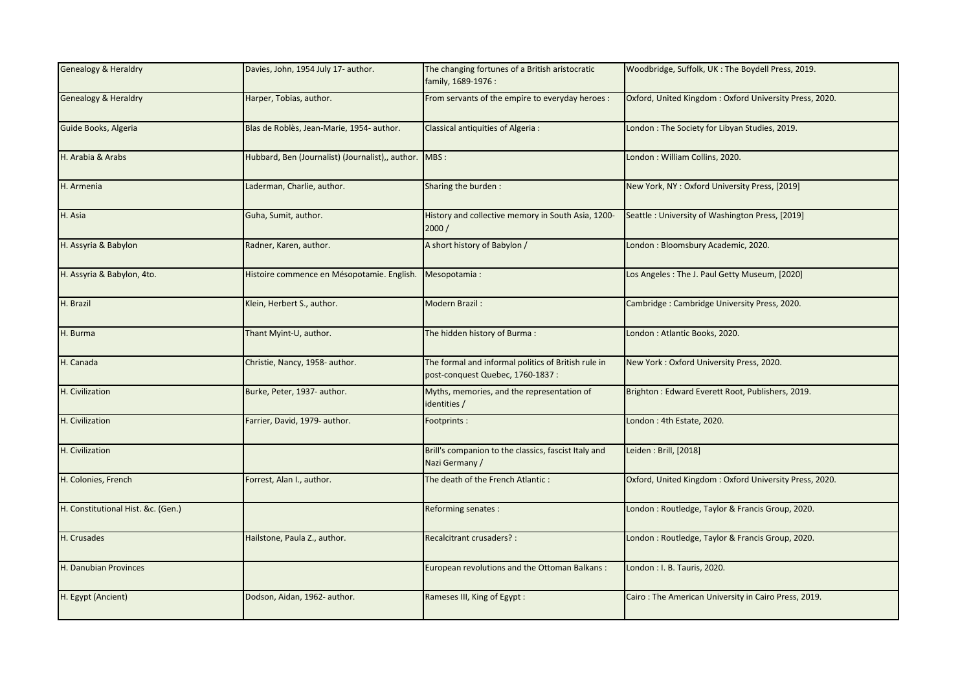| <b>Genealogy &amp; Heraldry</b>    | Davies, John, 1954 July 17- author.                      | The changing fortunes of a British aristocratic<br>family, 1689-1976 :                   | Woodbridge, Suffolk, UK: The Boydell Press, 2019.      |
|------------------------------------|----------------------------------------------------------|------------------------------------------------------------------------------------------|--------------------------------------------------------|
| <b>Genealogy &amp; Heraldry</b>    | Harper, Tobias, author.                                  | From servants of the empire to everyday heroes :                                         | Oxford, United Kingdom: Oxford University Press, 2020. |
| Guide Books, Algeria               | Blas de Roblès, Jean-Marie, 1954- author.                | Classical antiquities of Algeria :                                                       | London: The Society for Libyan Studies, 2019.          |
| H. Arabia & Arabs                  | Hubbard, Ben (Journalist) (Journalist),, author. MBS:    |                                                                                          | London: William Collins, 2020.                         |
| H. Armenia                         | Laderman, Charlie, author.                               | Sharing the burden:                                                                      | New York, NY: Oxford University Press, [2019]          |
| H. Asia                            | Guha, Sumit, author.                                     | History and collective memory in South Asia, 1200-<br>2000/                              | Seattle: University of Washington Press, [2019]        |
| H. Assyria & Babylon               | Radner, Karen, author.                                   | A short history of Babylon /                                                             | London: Bloomsbury Academic, 2020.                     |
| H. Assyria & Babylon, 4to.         | Histoire commence en Mésopotamie. English. Mesopotamia : |                                                                                          | Los Angeles: The J. Paul Getty Museum, [2020]          |
| H. Brazil                          | Klein, Herbert S., author.                               | Modern Brazil:                                                                           | Cambridge: Cambridge University Press, 2020.           |
| H. Burma                           | Thant Myint-U, author.                                   | The hidden history of Burma:                                                             | London: Atlantic Books, 2020.                          |
| H. Canada                          | Christie, Nancy, 1958- author.                           | The formal and informal politics of British rule in<br>post-conquest Quebec, 1760-1837 : | New York: Oxford University Press, 2020.               |
| H. Civilization                    | Burke, Peter, 1937- author.                              | Myths, memories, and the representation of<br>identities /                               | Brighton: Edward Everett Root, Publishers, 2019.       |
| H. Civilization                    | Farrier, David, 1979- author.                            | Footprints:                                                                              | London: 4th Estate, 2020.                              |
| H. Civilization                    |                                                          | Brill's companion to the classics, fascist Italy and<br>Nazi Germany /                   | Leiden: Brill, [2018]                                  |
| H. Colonies, French                | Forrest, Alan I., author.                                | The death of the French Atlantic:                                                        | Oxford, United Kingdom: Oxford University Press, 2020. |
| H. Constitutional Hist. &c. (Gen.) |                                                          | Reforming senates :                                                                      | London: Routledge, Taylor & Francis Group, 2020.       |
| H. Crusades                        | Hailstone, Paula Z., author.                             | Recalcitrant crusaders? :                                                                | London: Routledge, Taylor & Francis Group, 2020.       |
| H. Danubian Provinces              |                                                          | European revolutions and the Ottoman Balkans:                                            | London : I. B. Tauris, 2020.                           |
| H. Egypt (Ancient)                 | Dodson, Aidan, 1962- author.                             | Rameses III, King of Egypt:                                                              | Cairo: The American University in Cairo Press, 2019.   |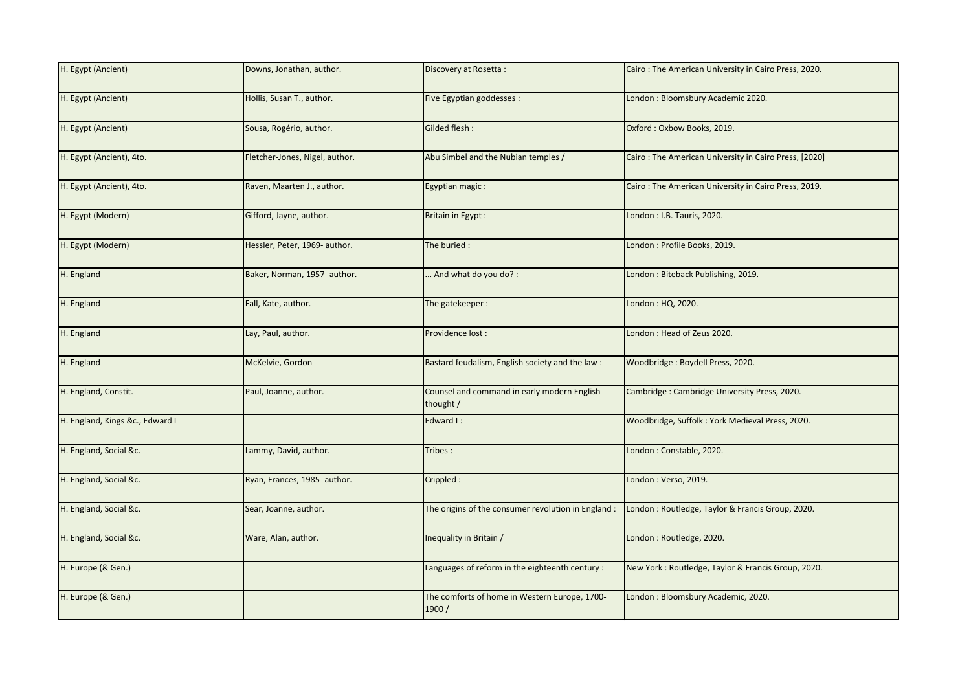| H. Egypt (Ancient)              | Downs, Jonathan, author.       | Discovery at Rosetta:                                    | Cairo: The American University in Cairo Press, 2020.  |
|---------------------------------|--------------------------------|----------------------------------------------------------|-------------------------------------------------------|
| H. Egypt (Ancient)              | Hollis, Susan T., author.      | Five Egyptian goddesses :                                | London: Bloomsbury Academic 2020.                     |
| H. Egypt (Ancient)              | Sousa, Rogério, author.        | Gilded flesh:                                            | Oxford: Oxbow Books, 2019.                            |
| H. Egypt (Ancient), 4to.        | Fletcher-Jones, Nigel, author. | Abu Simbel and the Nubian temples /                      | Cairo: The American University in Cairo Press, [2020] |
| H. Egypt (Ancient), 4to.        | Raven, Maarten J., author.     | Egyptian magic:                                          | Cairo: The American University in Cairo Press, 2019.  |
| H. Egypt (Modern)               | Gifford, Jayne, author.        | Britain in Egypt:                                        | London: I.B. Tauris, 2020.                            |
| H. Egypt (Modern)               | Hessler, Peter, 1969- author.  | The buried:                                              | London : Profile Books, 2019.                         |
| H. England                      | Baker, Norman, 1957- author.   | . And what do you do?:                                   | London: Biteback Publishing, 2019.                    |
| H. England                      | Fall, Kate, author.            | The gatekeeper:                                          | London: HQ, 2020.                                     |
| H. England                      | Lay, Paul, author.             | Providence lost:                                         | London: Head of Zeus 2020.                            |
| H. England                      | McKelvie, Gordon               | Bastard feudalism, English society and the law:          | Woodbridge: Boydell Press, 2020.                      |
| H. England, Constit.            | Paul, Joanne, author.          | Counsel and command in early modern English<br>thought / | Cambridge: Cambridge University Press, 2020.          |
| H. England, Kings &c., Edward I |                                | Edward I:                                                | Woodbridge, Suffolk: York Medieval Press, 2020.       |
| H. England, Social &c.          | Lammy, David, author.          | Tribes:                                                  | London: Constable, 2020.                              |
| H. England, Social &c.          | Ryan, Frances, 1985- author.   | Crippled:                                                | London: Verso, 2019.                                  |
| H. England, Social &c.          | Sear, Joanne, author.          | The origins of the consumer revolution in England :      | London: Routledge, Taylor & Francis Group, 2020.      |
| H. England, Social &c.          | Ware, Alan, author.            | Inequality in Britain /                                  | London: Routledge, 2020.                              |
| H. Europe (& Gen.)              |                                | Languages of reform in the eighteenth century :          | New York: Routledge, Taylor & Francis Group, 2020.    |
| H. Europe (& Gen.)              |                                | The comforts of home in Western Europe, 1700-<br>1900/   | London: Bloomsbury Academic, 2020.                    |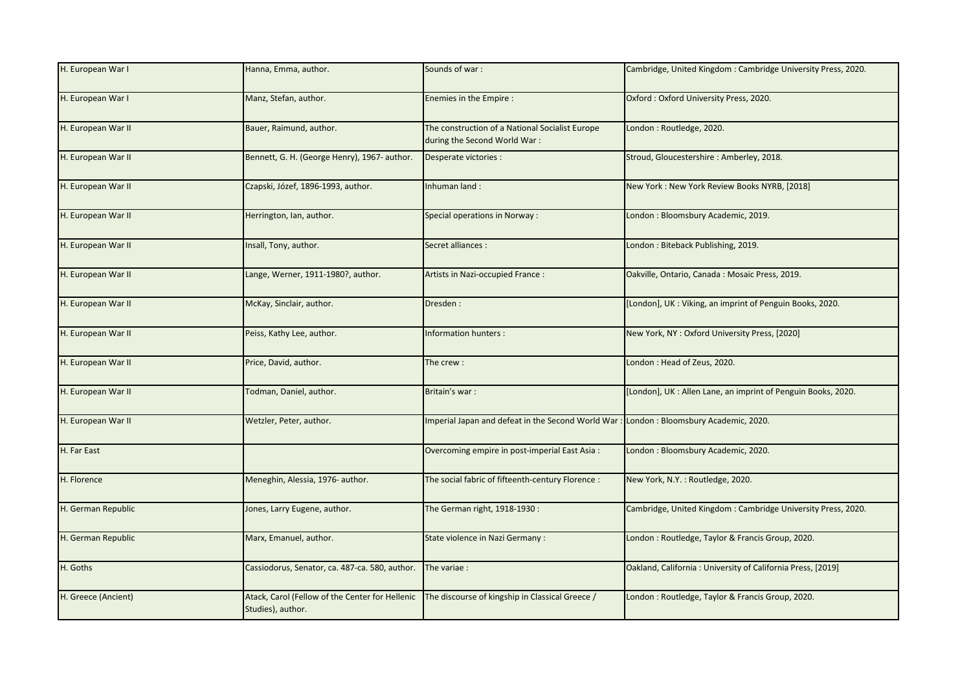| H. European War I   | Hanna, Emma, author.                                                 | Sounds of war:                                                                  | Cambridge, United Kingdom: Cambridge University Press, 2020. |
|---------------------|----------------------------------------------------------------------|---------------------------------------------------------------------------------|--------------------------------------------------------------|
| H. European War I   | Manz, Stefan, author.                                                | Enemies in the Empire :                                                         | Oxford: Oxford University Press, 2020.                       |
| H. European War II  | Bauer, Raimund, author.                                              | The construction of a National Socialist Europe<br>during the Second World War: | London: Routledge, 2020.                                     |
| H. European War II  | Bennett, G. H. (George Henry), 1967- author.                         | Desperate victories :                                                           | Stroud, Gloucestershire: Amberley, 2018.                     |
| H. European War II  | Czapski, Józef, 1896-1993, author.                                   | Inhuman land:                                                                   | New York: New York Review Books NYRB, [2018]                 |
| H. European War II  | Herrington, Ian, author.                                             | Special operations in Norway :                                                  | London: Bloomsbury Academic, 2019.                           |
| H. European War II  | Insall, Tony, author.                                                | Secret alliances :                                                              | London: Biteback Publishing, 2019.                           |
| H. European War II  | Lange, Werner, 1911-1980?, author.                                   | Artists in Nazi-occupied France:                                                | Oakville, Ontario, Canada: Mosaic Press, 2019.               |
| H. European War II  | McKay, Sinclair, author.                                             | Dresden:                                                                        | [London], UK: Viking, an imprint of Penguin Books, 2020.     |
| H. European War II  | Peiss, Kathy Lee, author.                                            | Information hunters :                                                           | New York, NY: Oxford University Press, [2020]                |
| H. European War II  | Price, David, author.                                                | The crew:                                                                       | London: Head of Zeus, 2020.                                  |
| H. European War II  | Todman, Daniel, author.                                              | Britain's war:                                                                  | [London], UK: Allen Lane, an imprint of Penguin Books, 2020. |
| H. European War II  | Wetzler, Peter, author.                                              | Imperial Japan and defeat in the Second World War                               | London: Bloomsbury Academic, 2020.                           |
| H. Far East         |                                                                      | Overcoming empire in post-imperial East Asia :                                  | London: Bloomsbury Academic, 2020.                           |
| H. Florence         | Meneghin, Alessia, 1976- author.                                     | The social fabric of fifteenth-century Florence :                               | New York, N.Y. : Routledge, 2020.                            |
| H. German Republic  | Jones, Larry Eugene, author.                                         | The German right, 1918-1930:                                                    | Cambridge, United Kingdom: Cambridge University Press, 2020. |
| H. German Republic  | Marx, Emanuel, author.                                               | State violence in Nazi Germany :                                                | London: Routledge, Taylor & Francis Group, 2020.             |
| H. Goths            | Cassiodorus, Senator, ca. 487-ca. 580, author.                       | The variae :                                                                    | Oakland, California: University of California Press, [2019]  |
| H. Greece (Ancient) | Atack, Carol (Fellow of the Center for Hellenic<br>Studies), author. | The discourse of kingship in Classical Greece /                                 | London: Routledge, Taylor & Francis Group, 2020.             |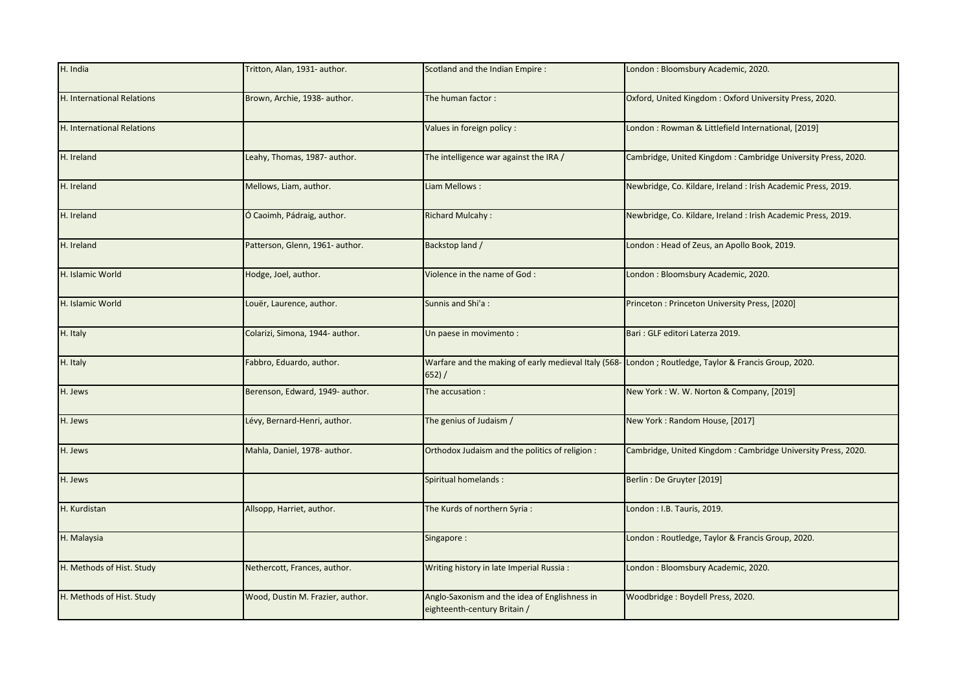| H. India                   | Tritton, Alan, 1931- author.     | Scotland and the Indian Empire:                                                                                 | London: Bloomsbury Academic, 2020.                            |
|----------------------------|----------------------------------|-----------------------------------------------------------------------------------------------------------------|---------------------------------------------------------------|
| H. International Relations | Brown, Archie, 1938- author.     | The human factor:                                                                                               | Oxford, United Kingdom: Oxford University Press, 2020.        |
| H. International Relations |                                  | Values in foreign policy :                                                                                      | London : Rowman & Littlefield International, [2019]           |
| H. Ireland                 | Leahy, Thomas, 1987- author.     | The intelligence war against the IRA /                                                                          | Cambridge, United Kingdom: Cambridge University Press, 2020.  |
| H. Ireland                 | Mellows, Liam, author.           | Liam Mellows:                                                                                                   | Newbridge, Co. Kildare, Ireland : Irish Academic Press, 2019. |
| H. Ireland                 | Ó Caoimh, Pádraig, author.       | <b>Richard Mulcahy:</b>                                                                                         | Newbridge, Co. Kildare, Ireland : Irish Academic Press, 2019. |
| H. Ireland                 | Patterson, Glenn, 1961- author.  | Backstop land /                                                                                                 | London: Head of Zeus, an Apollo Book, 2019.                   |
| H. Islamic World           | Hodge, Joel, author.             | Violence in the name of God:                                                                                    | London: Bloomsbury Academic, 2020.                            |
| H. Islamic World           | Louër, Laurence, author.         | Sunnis and Shi'a:                                                                                               | Princeton: Princeton University Press, [2020]                 |
| H. Italy                   | Colarizi, Simona, 1944- author.  | Un paese in movimento:                                                                                          | Bari: GLF editori Laterza 2019.                               |
| H. Italy                   | Fabbro, Eduardo, author.         | Warfare and the making of early medieval Italy (568- London; Routledge, Taylor & Francis Group, 2020.<br>652) / |                                                               |
| H. Jews                    | Berenson, Edward, 1949- author.  | The accusation :                                                                                                | New York: W. W. Norton & Company, [2019]                      |
| H. Jews                    | Lévy, Bernard-Henri, author.     | The genius of Judaism /                                                                                         | New York: Random House, [2017]                                |
| H. Jews                    | Mahla, Daniel, 1978- author.     | Orthodox Judaism and the politics of religion :                                                                 | Cambridge, United Kingdom: Cambridge University Press, 2020.  |
| H. Jews                    |                                  | Spiritual homelands:                                                                                            | Berlin: De Gruyter [2019]                                     |
| H. Kurdistan               | Allsopp, Harriet, author.        | The Kurds of northern Syria:                                                                                    | London: I.B. Tauris, 2019.                                    |
| H. Malaysia                |                                  | Singapore:                                                                                                      | London: Routledge, Taylor & Francis Group, 2020.              |
| H. Methods of Hist. Study  | Nethercott, Frances, author.     | Writing history in late Imperial Russia:                                                                        | London: Bloomsbury Academic, 2020.                            |
| H. Methods of Hist. Study  | Wood, Dustin M. Frazier, author. | Anglo-Saxonism and the idea of Englishness in<br>eighteenth-century Britain /                                   | Woodbridge: Boydell Press, 2020.                              |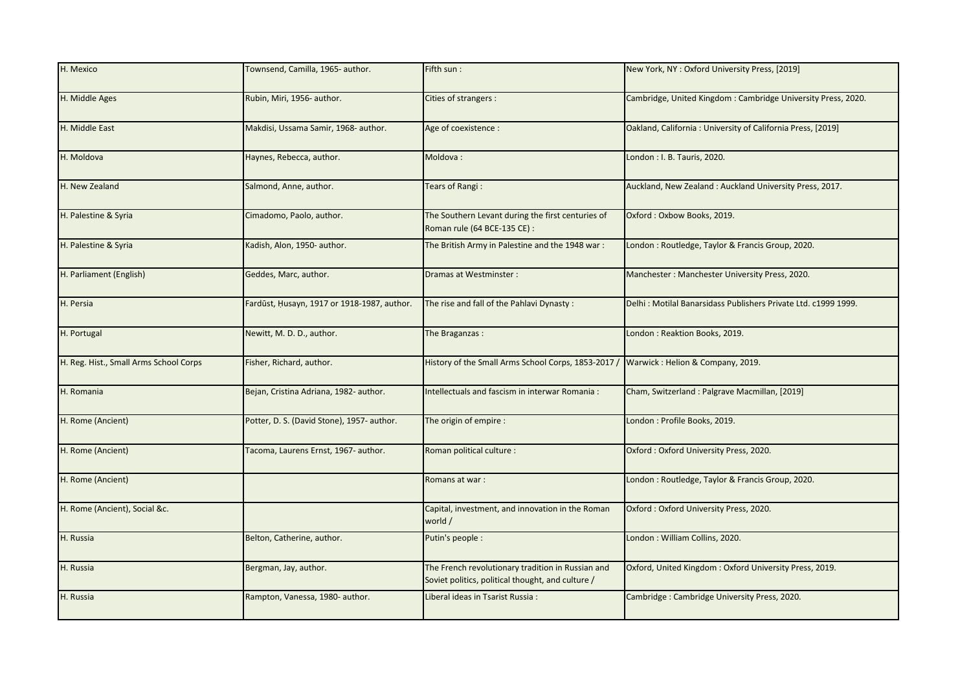| H. Mexico                              | Townsend, Camilla, 1965- author.            | Fifth sun :                                                                                            | New York, NY: Oxford University Press, [2019]                  |
|----------------------------------------|---------------------------------------------|--------------------------------------------------------------------------------------------------------|----------------------------------------------------------------|
| H. Middle Ages                         | Rubin, Miri, 1956- author.                  | Cities of strangers :                                                                                  | Cambridge, United Kingdom: Cambridge University Press, 2020.   |
| H. Middle East                         | Makdisi, Ussama Samir, 1968- author.        | Age of coexistence :                                                                                   | Oakland, California: University of California Press, [2019]    |
| H. Moldova                             | Haynes, Rebecca, author.                    | Moldova:                                                                                               | London: I. B. Tauris, 2020.                                    |
| H. New Zealand                         | Salmond, Anne, author.                      | Tears of Rangi:                                                                                        | Auckland, New Zealand: Auckland University Press, 2017.        |
| H. Palestine & Syria                   | Cimadomo, Paolo, author.                    | The Southern Levant during the first centuries of<br>Roman rule (64 BCE-135 CE) :                      | Oxford: Oxbow Books, 2019.                                     |
| H. Palestine & Syria                   | Kadish, Alon, 1950- author.                 | The British Army in Palestine and the 1948 war:                                                        | London: Routledge, Taylor & Francis Group, 2020.               |
| H. Parliament (English)                | Geddes, Marc, author.                       | Dramas at Westminster:                                                                                 | Manchester: Manchester University Press, 2020.                 |
| H. Persia                              | Fardūst, Husayn, 1917 or 1918-1987, author. | The rise and fall of the Pahlavi Dynasty:                                                              | Delhi: Motilal Banarsidass Publishers Private Ltd. c1999 1999. |
| H. Portugal                            | Newitt, M. D. D., author.                   | The Braganzas:                                                                                         | London: Reaktion Books, 2019.                                  |
| H. Reg. Hist., Small Arms School Corps | Fisher, Richard, author.                    | History of the Small Arms School Corps, 1853-2017 /                                                    | Warwick: Helion & Company, 2019.                               |
| H. Romania                             | Bejan, Cristina Adriana, 1982- author.      | Intellectuals and fascism in interwar Romania:                                                         | Cham, Switzerland: Palgrave Macmillan, [2019]                  |
| H. Rome (Ancient)                      | Potter, D. S. (David Stone), 1957- author.  | The origin of empire :                                                                                 | London: Profile Books, 2019.                                   |
| H. Rome (Ancient)                      | Tacoma, Laurens Ernst, 1967- author.        | Roman political culture :                                                                              | Oxford: Oxford University Press, 2020.                         |
| H. Rome (Ancient)                      |                                             | Romans at war:                                                                                         | London: Routledge, Taylor & Francis Group, 2020.               |
| H. Rome (Ancient), Social &c.          |                                             | Capital, investment, and innovation in the Roman<br>world /                                            | Oxford: Oxford University Press, 2020.                         |
| H. Russia                              | Belton, Catherine, author.                  | Putin's people :                                                                                       | London: William Collins, 2020.                                 |
| H. Russia                              | Bergman, Jay, author.                       | The French revolutionary tradition in Russian and<br>Soviet politics, political thought, and culture / | Oxford, United Kingdom: Oxford University Press, 2019.         |
| H. Russia                              | Rampton, Vanessa, 1980- author.             | Liberal ideas in Tsarist Russia:                                                                       | Cambridge: Cambridge University Press, 2020.                   |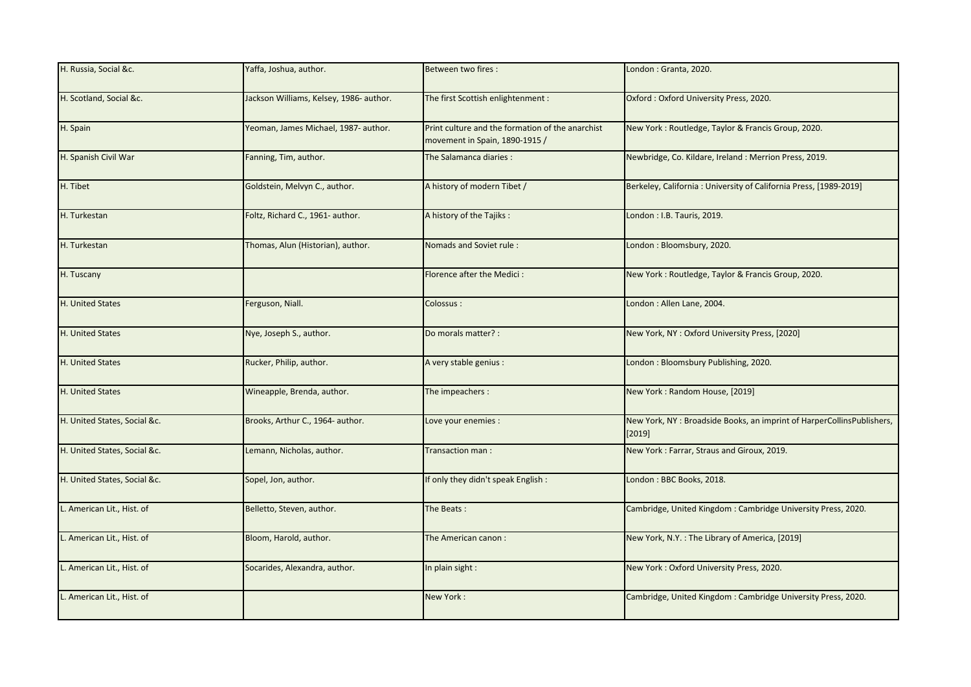| H. Russia, Social &c.        | Yaffa, Joshua, author.                  | Between two fires :                                                                | London: Granta, 2020.                                                           |
|------------------------------|-----------------------------------------|------------------------------------------------------------------------------------|---------------------------------------------------------------------------------|
| H. Scotland, Social &c.      | Jackson Williams, Kelsey, 1986- author. | The first Scottish enlightenment:                                                  | Oxford: Oxford University Press, 2020.                                          |
| H. Spain                     | Yeoman, James Michael, 1987- author.    | Print culture and the formation of the anarchist<br>movement in Spain, 1890-1915 / | New York: Routledge, Taylor & Francis Group, 2020.                              |
| H. Spanish Civil War         | Fanning, Tim, author.                   | The Salamanca diaries:                                                             | Newbridge, Co. Kildare, Ireland: Merrion Press, 2019.                           |
| H. Tibet                     | Goldstein, Melvyn C., author.           | A history of modern Tibet /                                                        | Berkeley, California: University of California Press, [1989-2019]               |
| H. Turkestan                 | Foltz, Richard C., 1961- author.        | A history of the Tajiks:                                                           | London: I.B. Tauris, 2019.                                                      |
| H. Turkestan                 | Thomas, Alun (Historian), author.       | Nomads and Soviet rule:                                                            | London: Bloomsbury, 2020.                                                       |
| H. Tuscany                   |                                         | Florence after the Medici:                                                         | New York: Routledge, Taylor & Francis Group, 2020.                              |
| H. United States             | Ferguson, Niall.                        | Colossus:                                                                          | London: Allen Lane, 2004.                                                       |
| H. United States             | Nye, Joseph S., author.                 | Do morals matter? :                                                                | New York, NY: Oxford University Press, [2020]                                   |
| H. United States             | Rucker, Philip, author.                 | A very stable genius:                                                              | London: Bloomsbury Publishing, 2020.                                            |
| H. United States             | Wineapple, Brenda, author.              | The impeachers:                                                                    | New York: Random House, [2019]                                                  |
| H. United States, Social &c. | Brooks, Arthur C., 1964- author.        | Love your enemies :                                                                | New York, NY: Broadside Books, an imprint of HarperCollinsPublishers,<br>[2019] |
| H. United States, Social &c. | Lemann, Nicholas, author.               | Transaction man :                                                                  | New York: Farrar, Straus and Giroux, 2019.                                      |
| H. United States, Social &c. | Sopel, Jon, author.                     | If only they didn't speak English:                                                 | London: BBC Books, 2018.                                                        |
| L. American Lit., Hist. of   | Belletto, Steven, author.               | The Beats:                                                                         | Cambridge, United Kingdom: Cambridge University Press, 2020.                    |
| L. American Lit., Hist. of   | Bloom, Harold, author.                  | The American canon:                                                                | New York, N.Y. : The Library of America, [2019]                                 |
| L. American Lit., Hist. of   | Socarides, Alexandra, author.           | In plain sight:                                                                    | New York: Oxford University Press, 2020.                                        |
| L. American Lit., Hist. of   |                                         | New York:                                                                          | Cambridge, United Kingdom: Cambridge University Press, 2020.                    |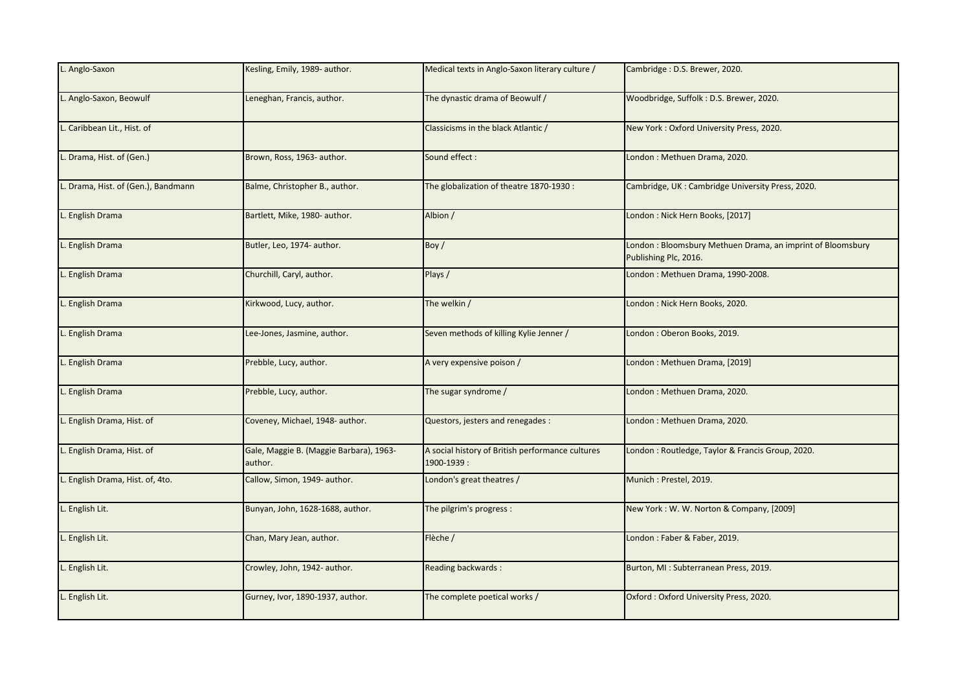| L. Anglo-Saxon                   | Kesling, Emily, 1989- author.                      | Medical texts in Anglo-Saxon literary culture /                | Cambridge: D.S. Brewer, 2020.                                                       |
|----------------------------------|----------------------------------------------------|----------------------------------------------------------------|-------------------------------------------------------------------------------------|
| Anglo-Saxon, Beowulf             | Leneghan, Francis, author.                         | The dynastic drama of Beowulf /                                | Woodbridge, Suffolk: D.S. Brewer, 2020.                                             |
| L. Caribbean Lit., Hist. of      |                                                    | Classicisms in the black Atlantic /                            | New York: Oxford University Press, 2020.                                            |
| Drama, Hist. of (Gen.)           | Brown, Ross, 1963- author.                         | Sound effect:                                                  | London: Methuen Drama, 2020.                                                        |
| Drama, Hist. of (Gen.), Bandmann | Balme, Christopher B., author.                     | The globalization of theatre 1870-1930 :                       | Cambridge, UK: Cambridge University Press, 2020.                                    |
| <b>English Drama</b>             | Bartlett, Mike, 1980- author.                      | Albion /                                                       | London: Nick Hern Books, [2017]                                                     |
| L. English Drama                 | Butler, Leo, 1974- author.                         | Boy /                                                          | London: Bloomsbury Methuen Drama, an imprint of Bloomsbury<br>Publishing Plc, 2016. |
| English Drama                    | Churchill, Caryl, author.                          | Plays /                                                        | London: Methuen Drama, 1990-2008.                                                   |
| <b>English Drama</b>             | Kirkwood, Lucy, author.                            | The welkin /                                                   | London: Nick Hern Books, 2020.                                                      |
| . English Drama                  | Lee-Jones, Jasmine, author.                        | Seven methods of killing Kylie Jenner /                        | London: Oberon Books, 2019.                                                         |
| L. English Drama                 | Prebble, Lucy, author.                             | A very expensive poison /                                      | London: Methuen Drama, [2019]                                                       |
| <b>English Drama</b>             | Prebble, Lucy, author.                             | The sugar syndrome /                                           | London: Methuen Drama, 2020.                                                        |
| English Drama, Hist. of          | Coveney, Michael, 1948- author.                    | Questors, jesters and renegades :                              | London: Methuen Drama, 2020.                                                        |
| English Drama, Hist. of          | Gale, Maggie B. (Maggie Barbara), 1963-<br>author. | A social history of British performance cultures<br>1900-1939: | London: Routledge, Taylor & Francis Group, 2020.                                    |
| English Drama, Hist. of, 4to.    | Callow, Simon, 1949- author.                       | London's great theatres /                                      | Munich: Prestel, 2019.                                                              |
| English Lit.                     | Bunyan, John, 1628-1688, author.                   | The pilgrim's progress :                                       | New York: W. W. Norton & Company, [2009]                                            |
| English Lit.                     | Chan, Mary Jean, author.                           | Flèche /                                                       | London: Faber & Faber, 2019.                                                        |
| . English Lit.                   | Crowley, John, 1942- author.                       | Reading backwards:                                             | Burton, MI: Subterranean Press, 2019.                                               |
| English Lit.                     | Gurney, Ivor, 1890-1937, author.                   | The complete poetical works /                                  | Oxford: Oxford University Press, 2020.                                              |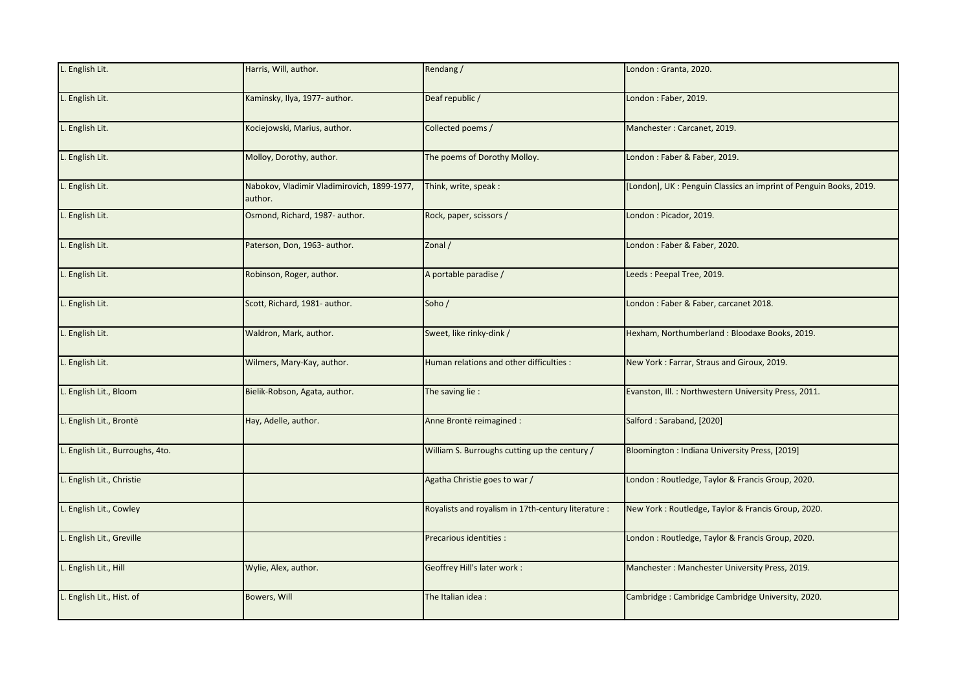| L. English Lit.                  | Harris, Will, author.                                  | Rendang /                                           | London: Granta, 2020.                                             |
|----------------------------------|--------------------------------------------------------|-----------------------------------------------------|-------------------------------------------------------------------|
| L. English Lit.                  | Kaminsky, Ilya, 1977- author.                          | Deaf republic /                                     | London: Faber, 2019.                                              |
| L. English Lit.                  | Kociejowski, Marius, author.                           | Collected poems /                                   | Manchester: Carcanet, 2019.                                       |
| L. English Lit.                  | Molloy, Dorothy, author.                               | The poems of Dorothy Molloy.                        | London: Faber & Faber, 2019.                                      |
| L. English Lit.                  | Nabokov, Vladimir Vladimirovich, 1899-1977,<br>author. | Think, write, speak:                                | [London], UK: Penguin Classics an imprint of Penguin Books, 2019. |
| L. English Lit.                  | Osmond, Richard, 1987- author.                         | Rock, paper, scissors /                             | London: Picador, 2019.                                            |
| L. English Lit.                  | Paterson, Don, 1963- author.                           | Zonal /                                             | London: Faber & Faber, 2020.                                      |
| L. English Lit.                  | Robinson, Roger, author.                               | A portable paradise /                               | Leeds: Peepal Tree, 2019.                                         |
| L. English Lit.                  | Scott, Richard, 1981- author.                          | Soho/                                               | London: Faber & Faber, carcanet 2018.                             |
| L. English Lit.                  | Waldron, Mark, author.                                 | Sweet, like rinky-dink /                            | Hexham, Northumberland: Bloodaxe Books, 2019.                     |
| L. English Lit.                  | Wilmers, Mary-Kay, author.                             | Human relations and other difficulties :            | New York: Farrar, Straus and Giroux, 2019.                        |
| L. English Lit., Bloom           | Bielik-Robson, Agata, author.                          | The saving lie :                                    | Evanston, Ill.: Northwestern University Press, 2011.              |
| L. English Lit., Brontë          | Hay, Adelle, author.                                   | Anne Brontë reimagined :                            | Salford: Saraband, [2020]                                         |
| L. English Lit., Burroughs, 4to. |                                                        | William S. Burroughs cutting up the century /       | Bloomington: Indiana University Press, [2019]                     |
| L. English Lit., Christie        |                                                        | Agatha Christie goes to war /                       | London: Routledge, Taylor & Francis Group, 2020.                  |
| L. English Lit., Cowley          |                                                        | Royalists and royalism in 17th-century literature : | New York: Routledge, Taylor & Francis Group, 2020.                |
| L. English Lit., Greville        |                                                        | Precarious identities :                             | London: Routledge, Taylor & Francis Group, 2020.                  |
| L. English Lit., Hill            | Wylie, Alex, author.                                   | Geoffrey Hill's later work :                        | Manchester: Manchester University Press, 2019.                    |
| L. English Lit., Hist. of        | Bowers, Will                                           | The Italian idea:                                   | Cambridge: Cambridge Cambridge University, 2020.                  |
|                                  |                                                        |                                                     |                                                                   |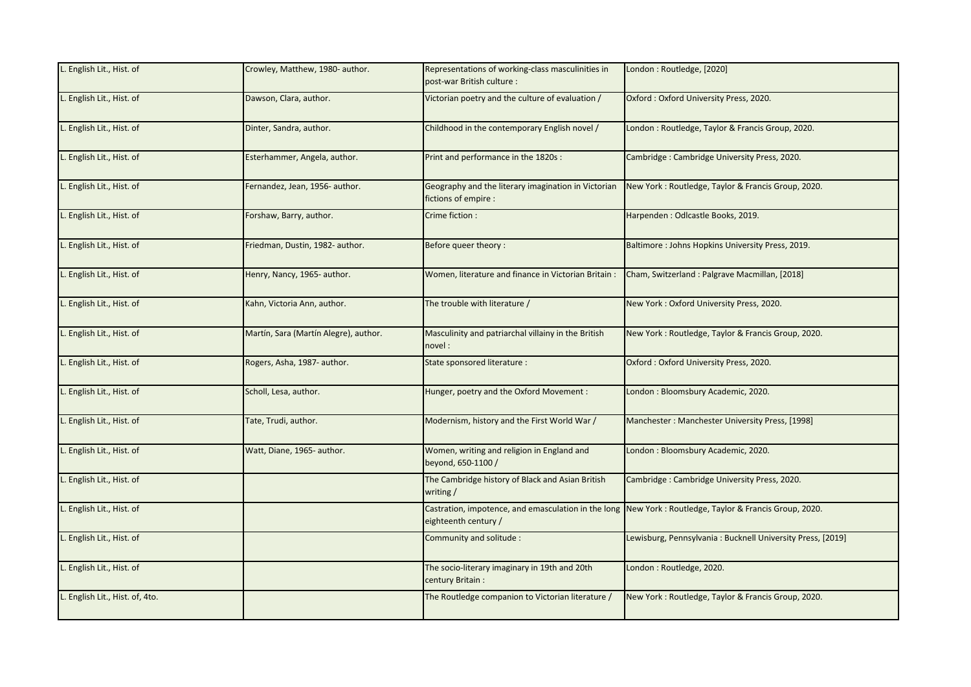| . English Lit., Hist. of        | Crowley, Matthew, 1980- author.       | Representations of working-class masculinities in<br>post-war British culture: | London: Routledge, [2020]                                                                              |
|---------------------------------|---------------------------------------|--------------------------------------------------------------------------------|--------------------------------------------------------------------------------------------------------|
| L. English Lit., Hist. of       | Dawson, Clara, author.                | Victorian poetry and the culture of evaluation /                               | Oxford: Oxford University Press, 2020.                                                                 |
| L. English Lit., Hist. of       | Dinter, Sandra, author.               | Childhood in the contemporary English novel /                                  | London: Routledge, Taylor & Francis Group, 2020.                                                       |
| English Lit., Hist. of          | Esterhammer, Angela, author.          | Print and performance in the 1820s :                                           | Cambridge: Cambridge University Press, 2020.                                                           |
| . English Lit., Hist. of        | Fernandez, Jean, 1956- author.        | Geography and the literary imagination in Victorian<br>fictions of empire :    | New York: Routledge, Taylor & Francis Group, 2020.                                                     |
| . English Lit., Hist. of        | Forshaw, Barry, author.               | Crime fiction :                                                                | Harpenden: Odlcastle Books, 2019.                                                                      |
| L. English Lit., Hist. of       | Friedman, Dustin, 1982- author.       | Before queer theory:                                                           | Baltimore: Johns Hopkins University Press, 2019.                                                       |
| . English Lit., Hist. of        | Henry, Nancy, 1965- author.           | Women, literature and finance in Victorian Britain :                           | Cham, Switzerland: Palgrave Macmillan, [2018]                                                          |
| English Lit., Hist. of          | Kahn, Victoria Ann, author.           | The trouble with literature /                                                  | New York: Oxford University Press, 2020.                                                               |
| L. English Lit., Hist. of       | Martín, Sara (Martín Alegre), author. | Masculinity and patriarchal villainy in the British<br>novel:                  | New York: Routledge, Taylor & Francis Group, 2020.                                                     |
| L. English Lit., Hist. of       | Rogers, Asha, 1987- author.           | State sponsored literature :                                                   | Oxford: Oxford University Press, 2020.                                                                 |
| . English Lit., Hist. of        | Scholl, Lesa, author.                 | Hunger, poetry and the Oxford Movement :                                       | London: Bloomsbury Academic, 2020.                                                                     |
| English Lit., Hist. of          | Tate, Trudi, author.                  | Modernism, history and the First World War /                                   | Manchester: Manchester University Press, [1998]                                                        |
| . English Lit., Hist. of        | Watt, Diane, 1965- author.            | Women, writing and religion in England and<br>beyond, 650-1100 /               | London: Bloomsbury Academic, 2020.                                                                     |
| L. English Lit., Hist. of       |                                       | The Cambridge history of Black and Asian British<br>writing /                  | Cambridge: Cambridge University Press, 2020.                                                           |
| . English Lit., Hist. of        |                                       | eighteenth century /                                                           | Castration, impotence, and emasculation in the long New York: Routledge, Taylor & Francis Group, 2020. |
| . English Lit., Hist. of        |                                       | Community and solitude :                                                       | Lewisburg, Pennsylvania: Bucknell University Press, [2019]                                             |
| L. English Lit., Hist. of       |                                       | The socio-literary imaginary in 19th and 20th<br>century Britain:              | London: Routledge, 2020.                                                                               |
| L. English Lit., Hist. of, 4to. |                                       | The Routledge companion to Victorian literature /                              | New York: Routledge, Taylor & Francis Group, 2020.                                                     |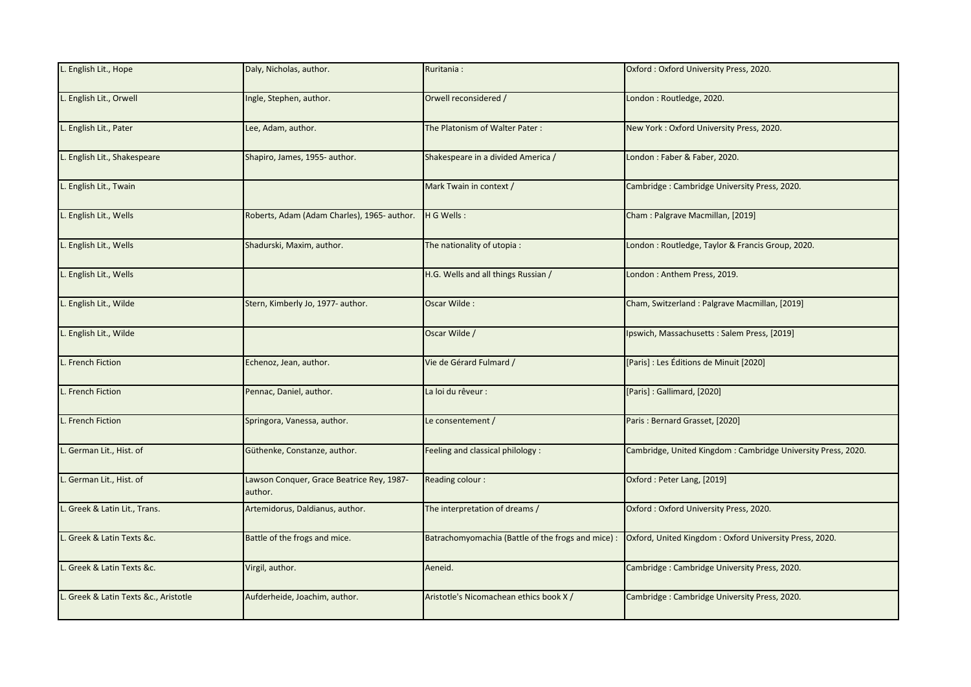| L. English Lit., Hope                 | Daly, Nicholas, author.                              | Ruritania:                                         | Oxford: Oxford University Press, 2020.                       |
|---------------------------------------|------------------------------------------------------|----------------------------------------------------|--------------------------------------------------------------|
| L. English Lit., Orwell               | Ingle, Stephen, author.                              | Orwell reconsidered /                              | London: Routledge, 2020.                                     |
| L. English Lit., Pater                | Lee, Adam, author.                                   | The Platonism of Walter Pater:                     | New York: Oxford University Press, 2020.                     |
| L. English Lit., Shakespeare          | Shapiro, James, 1955- author.                        | Shakespeare in a divided America /                 | London: Faber & Faber, 2020.                                 |
| L. English Lit., Twain                |                                                      | Mark Twain in context /                            | Cambridge: Cambridge University Press, 2020.                 |
| L. English Lit., Wells                | Roberts, Adam (Adam Charles), 1965- author.          | H G Wells:                                         | Cham: Palgrave Macmillan, [2019]                             |
| L. English Lit., Wells                | Shadurski, Maxim, author.                            | The nationality of utopia:                         | London: Routledge, Taylor & Francis Group, 2020.             |
| L. English Lit., Wells                |                                                      | H.G. Wells and all things Russian /                | London: Anthem Press, 2019.                                  |
| L. English Lit., Wilde                | Stern, Kimberly Jo, 1977- author.                    | Oscar Wilde:                                       | Cham, Switzerland: Palgrave Macmillan, [2019]                |
| L. English Lit., Wilde                |                                                      | Oscar Wilde /                                      | Ipswich, Massachusetts: Salem Press, [2019]                  |
| L. French Fiction                     | Echenoz, Jean, author.                               | Vie de Gérard Fulmard /                            | [Paris] : Les Éditions de Minuit [2020]                      |
| L. French Fiction                     | Pennac, Daniel, author.                              | La loi du rêveur :                                 | [Paris]: Gallimard, [2020]                                   |
| . French Fiction                      | Springora, Vanessa, author.                          | Le consentement /                                  | Paris: Bernard Grasset, [2020]                               |
| . German Lit., Hist. of               | Güthenke, Constanze, author.                         | Feeling and classical philology :                  | Cambridge, United Kingdom: Cambridge University Press, 2020. |
| . German Lit., Hist. of               | Lawson Conquer, Grace Beatrice Rey, 1987-<br>author. | Reading colour:                                    | Oxford: Peter Lang, [2019]                                   |
| L. Greek & Latin Lit., Trans.         | Artemidorus, Daldianus, author.                      | The interpretation of dreams /                     | Oxford: Oxford University Press, 2020.                       |
| L. Greek & Latin Texts &c.            | Battle of the frogs and mice.                        | Batrachomyomachia (Battle of the frogs and mice) : | Oxford, United Kingdom: Oxford University Press, 2020.       |
| L. Greek & Latin Texts &c.            | Virgil, author.                                      | Aeneid.                                            | Cambridge: Cambridge University Press, 2020.                 |
| L. Greek & Latin Texts &c., Aristotle | Aufderheide, Joachim, author.                        | Aristotle's Nicomachean ethics book X /            | Cambridge: Cambridge University Press, 2020.                 |
|                                       |                                                      |                                                    |                                                              |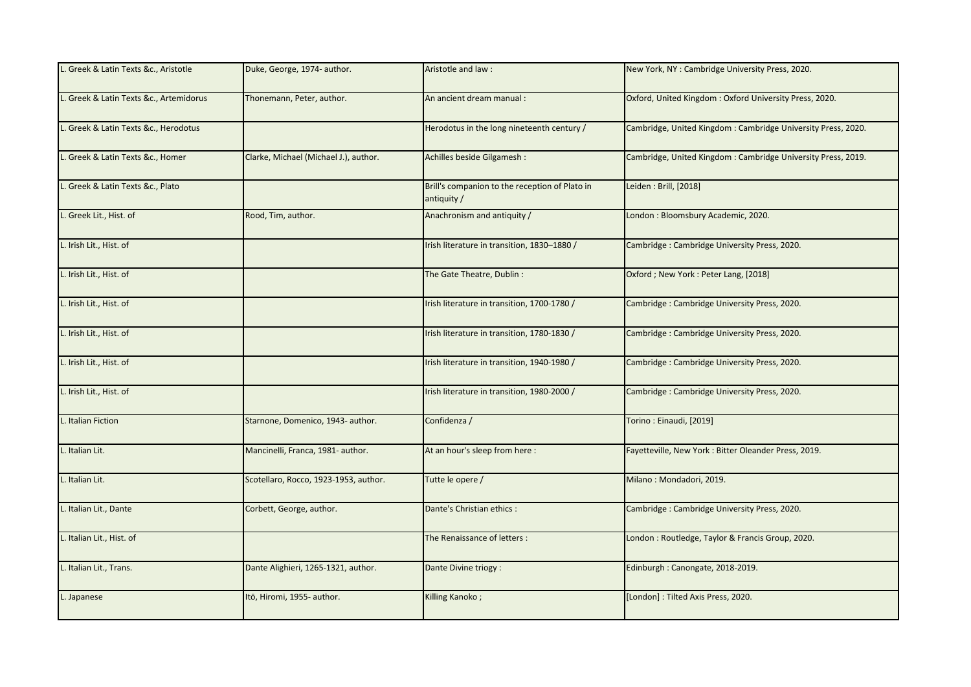| L. Greek & Latin Texts &c., Aristotle   | Duke, George, 1974- author.           | Aristotle and law:                                            | New York, NY: Cambridge University Press, 2020.              |
|-----------------------------------------|---------------------------------------|---------------------------------------------------------------|--------------------------------------------------------------|
| L. Greek & Latin Texts &c., Artemidorus | Thonemann, Peter, author.             | An ancient dream manual :                                     | Oxford, United Kingdom: Oxford University Press, 2020.       |
| L. Greek & Latin Texts &c., Herodotus   |                                       | Herodotus in the long nineteenth century /                    | Cambridge, United Kingdom: Cambridge University Press, 2020. |
| L. Greek & Latin Texts &c., Homer       | Clarke, Michael (Michael J.), author. | Achilles beside Gilgamesh :                                   | Cambridge, United Kingdom: Cambridge University Press, 2019. |
| L. Greek & Latin Texts &c., Plato       |                                       | Brill's companion to the reception of Plato in<br>antiquity / | Leiden: Brill, [2018]                                        |
| L. Greek Lit., Hist. of                 | Rood, Tim, author.                    | Anachronism and antiquity /                                   | London: Bloomsbury Academic, 2020.                           |
| L. Irish Lit., Hist. of                 |                                       | Irish literature in transition, 1830-1880 /                   | Cambridge: Cambridge University Press, 2020.                 |
| L. Irish Lit., Hist. of                 |                                       | The Gate Theatre, Dublin:                                     | Oxford; New York: Peter Lang, [2018]                         |
| L. Irish Lit., Hist. of                 |                                       | Irish literature in transition, 1700-1780 /                   | Cambridge: Cambridge University Press, 2020.                 |
| L. Irish Lit., Hist. of                 |                                       | Irish literature in transition, 1780-1830 /                   | Cambridge: Cambridge University Press, 2020.                 |
| L. Irish Lit., Hist. of                 |                                       | Irish literature in transition, 1940-1980 /                   | Cambridge: Cambridge University Press, 2020.                 |
| L. Irish Lit., Hist. of                 |                                       | Irish literature in transition, 1980-2000 /                   | Cambridge: Cambridge University Press, 2020.                 |
| . Italian Fiction                       | Starnone, Domenico, 1943- author.     | Confidenza /                                                  | Torino: Einaudi, [2019]                                      |
| L. Italian Lit.                         | Mancinelli, Franca, 1981- author.     | At an hour's sleep from here:                                 | Fayetteville, New York: Bitter Oleander Press, 2019.         |
| L. Italian Lit.                         | Scotellaro, Rocco, 1923-1953, author. | Tutte le opere /                                              | Milano: Mondadori, 2019.                                     |
| L. Italian Lit., Dante                  | Corbett, George, author.              | Dante's Christian ethics :                                    | Cambridge: Cambridge University Press, 2020.                 |
| L. Italian Lit., Hist. of               |                                       | The Renaissance of letters :                                  | London : Routledge, Taylor & Francis Group, 2020.            |
| L. Italian Lit., Trans.                 | Dante Alighieri, 1265-1321, author.   | Dante Divine triogy :                                         | Edinburgh: Canongate, 2018-2019.                             |
| L. Japanese                             | Itō, Hiromi, 1955- author.            | Killing Kanoko;                                               | [London]: Tilted Axis Press, 2020.                           |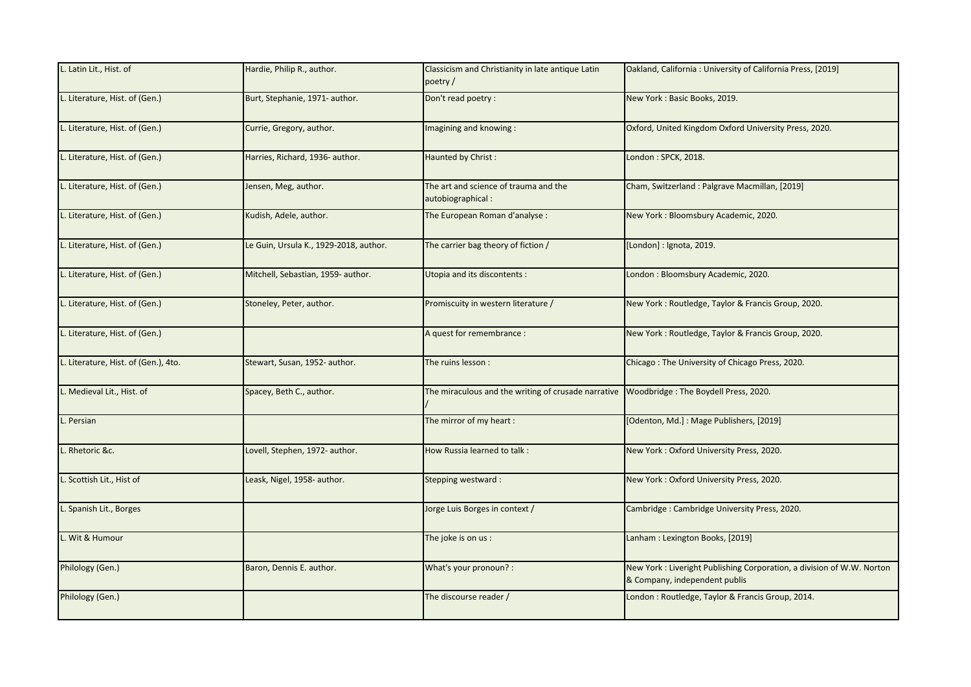| L. Latin Lit., Hist. of              | Hardie, Philip R., author.             | Classicism and Christianity in late antique Latin<br>poetry/ | Oakland, California: University of California Press, [2019]                                            |
|--------------------------------------|----------------------------------------|--------------------------------------------------------------|--------------------------------------------------------------------------------------------------------|
| L. Literature, Hist. of (Gen.)       | Burt, Stephanie, 1971- author.         | Don't read poetry :                                          | New York: Basic Books, 2019.                                                                           |
| L. Literature, Hist. of (Gen.)       | Currie, Gregory, author.               | Imagining and knowing:                                       | Oxford, United Kingdom Oxford University Press, 2020.                                                  |
| L. Literature, Hist. of (Gen.)       | Harries, Richard, 1936- author.        | Haunted by Christ:                                           | London: SPCK, 2018.                                                                                    |
| L. Literature, Hist. of (Gen.)       | Jensen, Meg, author.                   | The art and science of trauma and the<br>autobiographical:   | Cham, Switzerland: Palgrave Macmillan, [2019]                                                          |
| L. Literature, Hist. of (Gen.)       | Kudish, Adele, author.                 | The European Roman d'analyse :                               | New York: Bloomsbury Academic, 2020.                                                                   |
| L. Literature, Hist. of (Gen.)       | Le Guin, Ursula K., 1929-2018, author. | The carrier bag theory of fiction /                          | [London] : Ignota, 2019.                                                                               |
| L. Literature, Hist. of (Gen.)       | Mitchell, Sebastian, 1959- author.     | Utopia and its discontents :                                 | London: Bloomsbury Academic, 2020.                                                                     |
| L. Literature, Hist. of (Gen.)       | Stoneley, Peter, author.               | Promiscuity in western literature /                          | New York: Routledge, Taylor & Francis Group, 2020.                                                     |
| L. Literature, Hist. of (Gen.)       |                                        | A quest for remembrance :                                    | New York: Routledge, Taylor & Francis Group, 2020.                                                     |
| L. Literature, Hist. of (Gen.), 4to. | Stewart, Susan, 1952- author.          | The ruins lesson :                                           | Chicago: The University of Chicago Press, 2020.                                                        |
| L. Medieval Lit., Hist. of           | Spacey, Beth C., author.               | The miraculous and the writing of crusade narrative          | Woodbridge: The Boydell Press, 2020.                                                                   |
| Persian                              |                                        | The mirror of my heart:                                      | [Odenton, Md.]: Mage Publishers, [2019]                                                                |
| Rhetoric &c.                         | Lovell, Stephen, 1972- author.         | How Russia learned to talk:                                  | New York: Oxford University Press, 2020.                                                               |
| L. Scottish Lit., Hist of            | Leask, Nigel, 1958- author.            | Stepping westward:                                           | New York: Oxford University Press, 2020.                                                               |
| L. Spanish Lit., Borges              |                                        | Jorge Luis Borges in context /                               | Cambridge: Cambridge University Press, 2020.                                                           |
| Wit & Humour                         |                                        | The joke is on us :                                          | Lanham: Lexington Books, [2019]                                                                        |
| Philology (Gen.)                     | Baron, Dennis E. author.               | What's your pronoun? :                                       | New York: Liveright Publishing Corporation, a division of W.W. Norton<br>& Company, independent publis |
| Philology (Gen.)                     |                                        | The discourse reader /                                       | London: Routledge, Taylor & Francis Group, 2014.                                                       |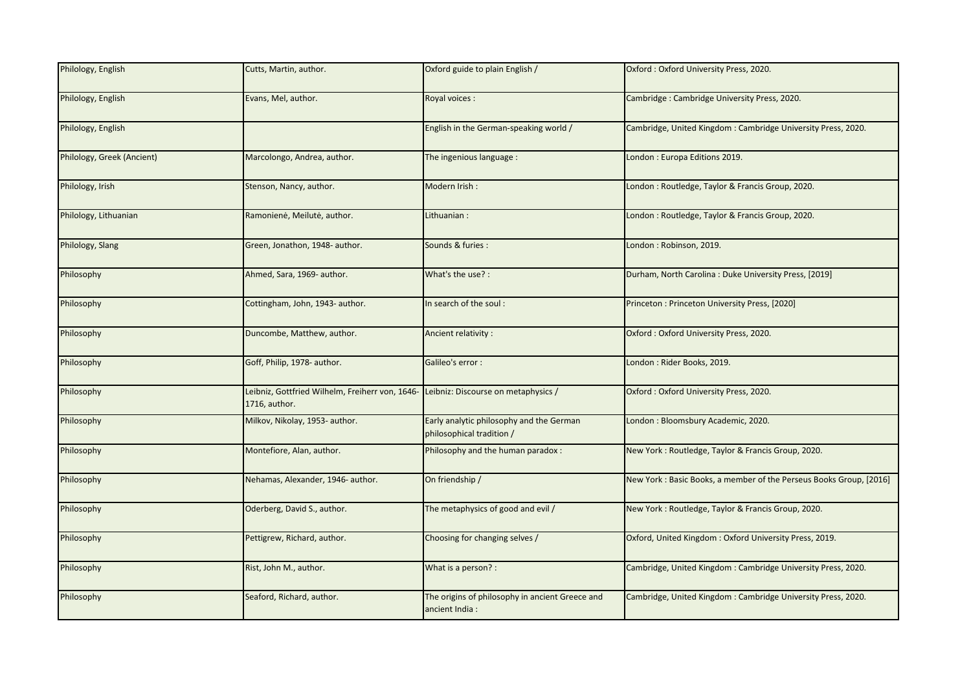| Philology, English         | Cutts, Martin, author.                                                                              | Oxford guide to plain English /                                       | Oxford: Oxford University Press, 2020.                             |
|----------------------------|-----------------------------------------------------------------------------------------------------|-----------------------------------------------------------------------|--------------------------------------------------------------------|
| Philology, English         | Evans, Mel, author.                                                                                 | Royal voices :                                                        | Cambridge: Cambridge University Press, 2020.                       |
| Philology, English         |                                                                                                     | English in the German-speaking world /                                | Cambridge, United Kingdom: Cambridge University Press, 2020.       |
| Philology, Greek (Ancient) | Marcolongo, Andrea, author.                                                                         | The ingenious language :                                              | London : Europa Editions 2019.                                     |
| Philology, Irish           | Stenson, Nancy, author.                                                                             | Modern Irish:                                                         | London: Routledge, Taylor & Francis Group, 2020.                   |
| Philology, Lithuanian      | Ramonienė, Meilutė, author.                                                                         | Lithuanian:                                                           | London: Routledge, Taylor & Francis Group, 2020.                   |
| Philology, Slang           | Green, Jonathon, 1948- author.                                                                      | Sounds & furies :                                                     | London: Robinson, 2019.                                            |
| Philosophy                 | Ahmed, Sara, 1969- author.                                                                          | What's the use? :                                                     | Durham, North Carolina: Duke University Press, [2019]              |
| Philosophy                 | Cottingham, John, 1943- author.                                                                     | In search of the soul:                                                | Princeton: Princeton University Press, [2020]                      |
| Philosophy                 | Duncombe, Matthew, author.                                                                          | Ancient relativity :                                                  | Oxford: Oxford University Press, 2020.                             |
| Philosophy                 | Goff, Philip, 1978- author.                                                                         | Galileo's error :                                                     | London: Rider Books, 2019.                                         |
| Philosophy                 | eibniz, Gottfried Wilhelm, Freiherr von, 1646- Leibniz: Discourse on metaphysics /<br>1716, author. |                                                                       | Oxford: Oxford University Press, 2020.                             |
| Philosophy                 | Milkov, Nikolay, 1953- author.                                                                      | Early analytic philosophy and the German<br>philosophical tradition / | London: Bloomsbury Academic, 2020.                                 |
| Philosophy                 | Montefiore, Alan, author.                                                                           | Philosophy and the human paradox:                                     | New York: Routledge, Taylor & Francis Group, 2020.                 |
| Philosophy                 | Nehamas, Alexander, 1946- author.                                                                   | On friendship /                                                       | New York: Basic Books, a member of the Perseus Books Group, [2016] |
| Philosophy                 | Oderberg, David S., author.                                                                         | The metaphysics of good and evil /                                    | New York: Routledge, Taylor & Francis Group, 2020.                 |
| Philosophy                 | Pettigrew, Richard, author.                                                                         | Choosing for changing selves /                                        | Oxford, United Kingdom: Oxford University Press, 2019.             |
| Philosophy                 | Rist, John M., author.                                                                              | What is a person? :                                                   | Cambridge, United Kingdom: Cambridge University Press, 2020.       |
| Philosophy                 | Seaford, Richard, author.                                                                           | The origins of philosophy in ancient Greece and<br>ancient India:     | Cambridge, United Kingdom: Cambridge University Press, 2020.       |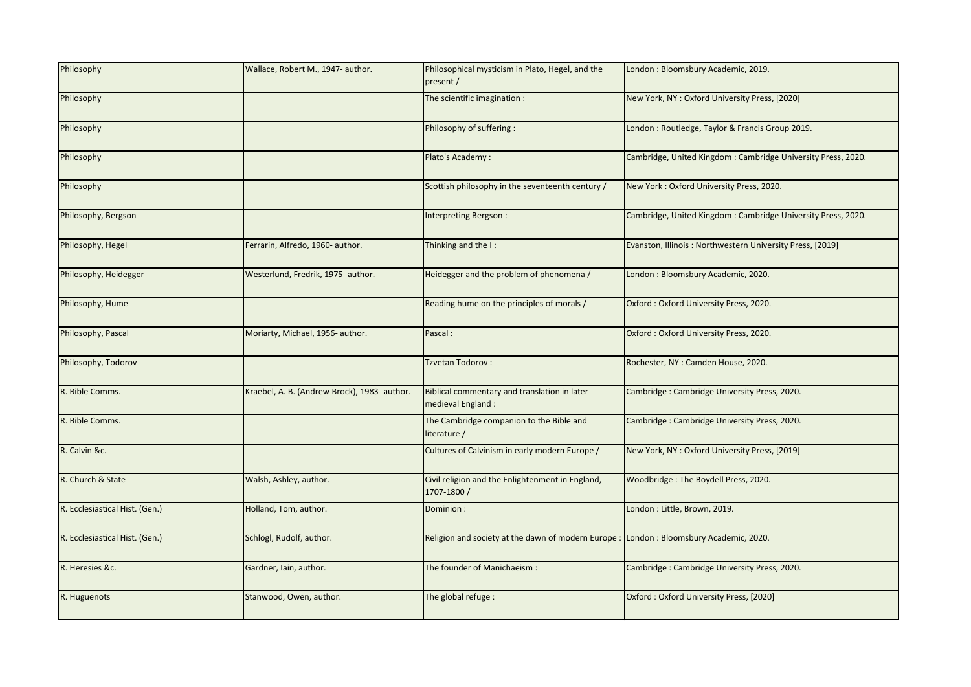| Philosophy                     | Wallace, Robert M., 1947- author.            | Philosophical mysticism in Plato, Hegel, and the<br>present /                           | London: Bloomsbury Academic, 2019.                           |
|--------------------------------|----------------------------------------------|-----------------------------------------------------------------------------------------|--------------------------------------------------------------|
| Philosophy                     |                                              | The scientific imagination :                                                            | New York, NY: Oxford University Press, [2020]                |
| Philosophy                     |                                              | Philosophy of suffering :                                                               | London : Routledge, Taylor & Francis Group 2019.             |
| Philosophy                     |                                              | Plato's Academy:                                                                        | Cambridge, United Kingdom: Cambridge University Press, 2020. |
| Philosophy                     |                                              | Scottish philosophy in the seventeenth century /                                        | New York: Oxford University Press, 2020.                     |
| Philosophy, Bergson            |                                              | Interpreting Bergson:                                                                   | Cambridge, United Kingdom: Cambridge University Press, 2020. |
| Philosophy, Hegel              | Ferrarin, Alfredo, 1960- author.             | Thinking and the I:                                                                     | Evanston, Illinois: Northwestern University Press, [2019]    |
| Philosophy, Heidegger          | Westerlund, Fredrik, 1975- author.           | Heidegger and the problem of phenomena /                                                | London: Bloomsbury Academic, 2020.                           |
| Philosophy, Hume               |                                              | Reading hume on the principles of morals /                                              | Oxford: Oxford University Press, 2020.                       |
| Philosophy, Pascal             | Moriarty, Michael, 1956- author.             | Pascal:                                                                                 | Oxford: Oxford University Press, 2020.                       |
| Philosophy, Todorov            |                                              | Tzvetan Todorov:                                                                        | Rochester, NY : Camden House, 2020.                          |
| R. Bible Comms.                | Kraebel, A. B. (Andrew Brock), 1983- author. | Biblical commentary and translation in later<br>medieval England:                       | Cambridge: Cambridge University Press, 2020.                 |
| R. Bible Comms.                |                                              | The Cambridge companion to the Bible and<br>literature /                                | Cambridge: Cambridge University Press, 2020.                 |
| R. Calvin &c.                  |                                              | Cultures of Calvinism in early modern Europe /                                          | New York, NY: Oxford University Press, [2019]                |
| R. Church & State              | Walsh, Ashley, author.                       | Civil religion and the Enlightenment in England,<br>1707-1800 /                         | Woodbridge: The Boydell Press, 2020.                         |
| R. Ecclesiastical Hist. (Gen.) | Holland, Tom, author.                        | Dominion:                                                                               | London: Little, Brown, 2019.                                 |
| R. Ecclesiastical Hist. (Gen.) | Schlögl, Rudolf, author.                     | Religion and society at the dawn of modern Europe : London : Bloomsbury Academic, 2020. |                                                              |
| R. Heresies &c.                | Gardner, Iain, author.                       | The founder of Manichaeism:                                                             | Cambridge: Cambridge University Press, 2020.                 |
| R. Huguenots                   | Stanwood, Owen, author.                      | The global refuge :                                                                     | Oxford: Oxford University Press, [2020]                      |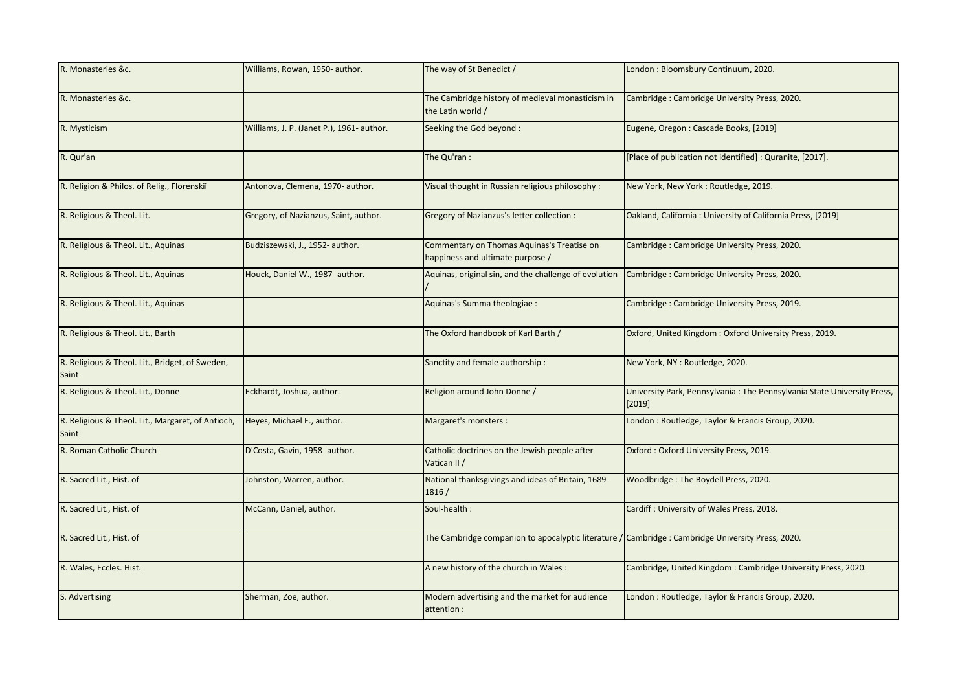| R. Monasteries &c.                                         | Williams, Rowan, 1950- author.            | The way of St Benedict /                                                                          | London: Bloomsbury Continuum, 2020.                                               |
|------------------------------------------------------------|-------------------------------------------|---------------------------------------------------------------------------------------------------|-----------------------------------------------------------------------------------|
| R. Monasteries &c.                                         |                                           | The Cambridge history of medieval monasticism in<br>the Latin world /                             | Cambridge: Cambridge University Press, 2020.                                      |
| R. Mysticism                                               | Williams, J. P. (Janet P.), 1961- author. | Seeking the God beyond:                                                                           | Eugene, Oregon: Cascade Books, [2019]                                             |
| R. Qur'an                                                  |                                           | The Qu'ran :                                                                                      | [Place of publication not identified] : Quranite, [2017].                         |
| R. Religion & Philos. of Relig., Florenskil                | Antonova, Clemena, 1970- author.          | Visual thought in Russian religious philosophy:                                                   | New York, New York: Routledge, 2019.                                              |
| R. Religious & Theol. Lit.                                 | Gregory, of Nazianzus, Saint, author.     | <b>Gregory of Nazianzus's letter collection:</b>                                                  | Oakland, California: University of California Press, [2019]                       |
| R. Religious & Theol. Lit., Aquinas                        | Budziszewski, J., 1952- author.           | Commentary on Thomas Aquinas's Treatise on<br>happiness and ultimate purpose /                    | Cambridge: Cambridge University Press, 2020.                                      |
| R. Religious & Theol. Lit., Aquinas                        | Houck, Daniel W., 1987- author.           | Aquinas, original sin, and the challenge of evolution                                             | Cambridge: Cambridge University Press, 2020.                                      |
| R. Religious & Theol. Lit., Aquinas                        |                                           | Aquinas's Summa theologiae :                                                                      | Cambridge: Cambridge University Press, 2019.                                      |
| R. Religious & Theol. Lit., Barth                          |                                           | The Oxford handbook of Karl Barth /                                                               | Oxford, United Kingdom: Oxford University Press, 2019.                            |
| R. Religious & Theol. Lit., Bridget, of Sweden,<br>Saint   |                                           | Sanctity and female authorship:                                                                   | New York, NY: Routledge, 2020.                                                    |
| R. Religious & Theol. Lit., Donne                          | Eckhardt, Joshua, author.                 | Religion around John Donne /                                                                      | University Park, Pennsylvania: The Pennsylvania State University Press,<br>[2019] |
| R. Religious & Theol. Lit., Margaret, of Antioch,<br>Saint | Heyes, Michael E., author.                | Margaret's monsters :                                                                             | London: Routledge, Taylor & Francis Group, 2020.                                  |
| R. Roman Catholic Church                                   | D'Costa, Gavin, 1958- author.             | Catholic doctrines on the Jewish people after<br>Vatican II /                                     | Oxford: Oxford University Press, 2019.                                            |
| R. Sacred Lit., Hist. of                                   | Johnston, Warren, author.                 | National thanksgivings and ideas of Britain, 1689-<br>1816/                                       | Woodbridge: The Boydell Press, 2020.                                              |
| R. Sacred Lit., Hist. of                                   | McCann, Daniel, author.                   | Soul-health :                                                                                     | Cardiff : University of Wales Press, 2018.                                        |
| R. Sacred Lit., Hist. of                                   |                                           | The Cambridge companion to apocalyptic literature / Cambridge : Cambridge University Press, 2020. |                                                                                   |
| R. Wales, Eccles. Hist.                                    |                                           | A new history of the church in Wales:                                                             | Cambridge, United Kingdom: Cambridge University Press, 2020.                      |
| S. Advertising                                             | Sherman, Zoe, author.                     | Modern advertising and the market for audience<br>attention :                                     | London: Routledge, Taylor & Francis Group, 2020.                                  |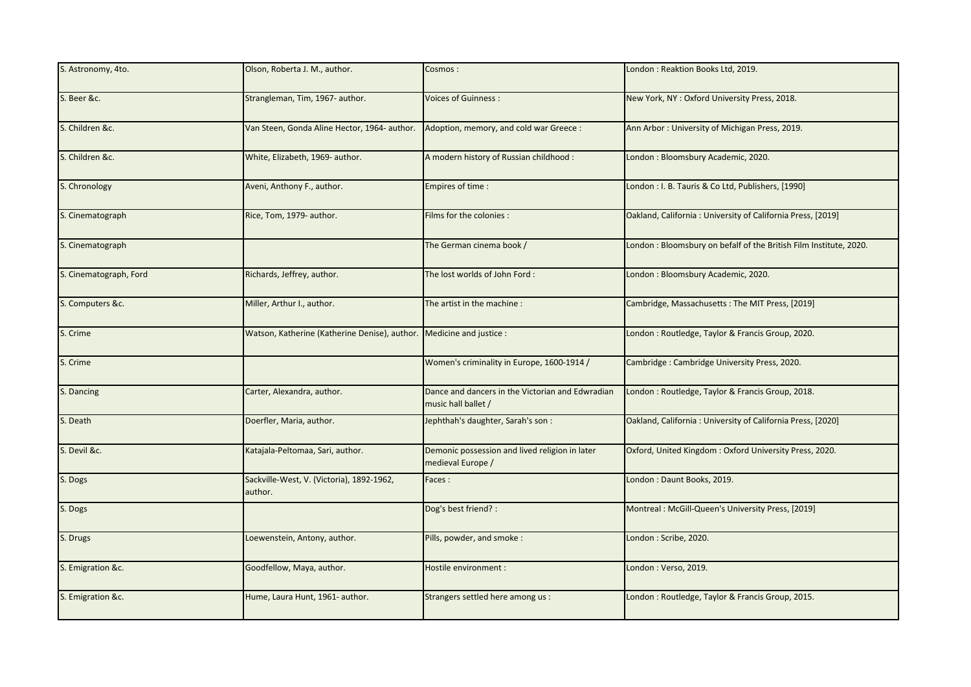| S. Astronomy, 4to.     | Olson, Roberta J. M., author.                                        | Cosmos:                                                                 | London: Reaktion Books Ltd, 2019.                                 |
|------------------------|----------------------------------------------------------------------|-------------------------------------------------------------------------|-------------------------------------------------------------------|
| S. Beer &c.            | Strangleman, Tim, 1967- author.                                      | <b>Voices of Guinness:</b>                                              | New York, NY: Oxford University Press, 2018.                      |
| S. Children &c.        | Van Steen, Gonda Aline Hector, 1964- author.                         | Adoption, memory, and cold war Greece :                                 | Ann Arbor: University of Michigan Press, 2019.                    |
| S. Children &c.        | White, Elizabeth, 1969- author.                                      | A modern history of Russian childhood :                                 | London: Bloomsbury Academic, 2020.                                |
| S. Chronology          | Aveni, Anthony F., author.                                           | Empires of time :                                                       | London: I. B. Tauris & Co Ltd, Publishers, [1990]                 |
| S. Cinematograph       | Rice, Tom, 1979- author.                                             | Films for the colonies :                                                | Oakland, California: University of California Press, [2019]       |
| S. Cinematograph       |                                                                      | The German cinema book /                                                | London: Bloomsbury on befalf of the British Film Institute, 2020. |
| S. Cinematograph, Ford | Richards, Jeffrey, author.                                           | The lost worlds of John Ford:                                           | London: Bloomsbury Academic, 2020.                                |
| S. Computers &c.       | Miller, Arthur I., author.                                           | The artist in the machine :                                             | Cambridge, Massachusetts: The MIT Press, [2019]                   |
| S. Crime               | Watson, Katherine (Katherine Denise), author. Medicine and justice : |                                                                         | London : Routledge, Taylor & Francis Group, 2020.                 |
| S. Crime               |                                                                      | Women's criminality in Europe, 1600-1914 /                              | Cambridge: Cambridge University Press, 2020.                      |
| S. Dancing             | Carter, Alexandra, author.                                           | Dance and dancers in the Victorian and Edwradian<br>music hall ballet / | London: Routledge, Taylor & Francis Group, 2018.                  |
| S. Death               | Doerfler, Maria, author.                                             | Jephthah's daughter, Sarah's son:                                       | Oakland, California: University of California Press, [2020]       |
| S. Devil &c.           | Katajala-Peltomaa, Sari, author.                                     | Demonic possession and lived religion in later<br>medieval Europe /     | Oxford, United Kingdom: Oxford University Press, 2020.            |
| S. Dogs                | Sackville-West, V. (Victoria), 1892-1962,<br>author.                 | Faces:                                                                  | London: Daunt Books, 2019.                                        |
| S. Dogs                |                                                                      | Dog's best friend? :                                                    | Montreal: McGill-Queen's University Press, [2019]                 |
| S. Drugs               | Loewenstein, Antony, author.                                         | Pills, powder, and smoke:                                               | London: Scribe, 2020.                                             |
| S. Emigration &c.      | Goodfellow, Maya, author.                                            | Hostile environment :                                                   | London: Verso, 2019.                                              |
| S. Emigration &c.      | Hume, Laura Hunt, 1961- author.                                      | Strangers settled here among us :                                       | London: Routledge, Taylor & Francis Group, 2015.                  |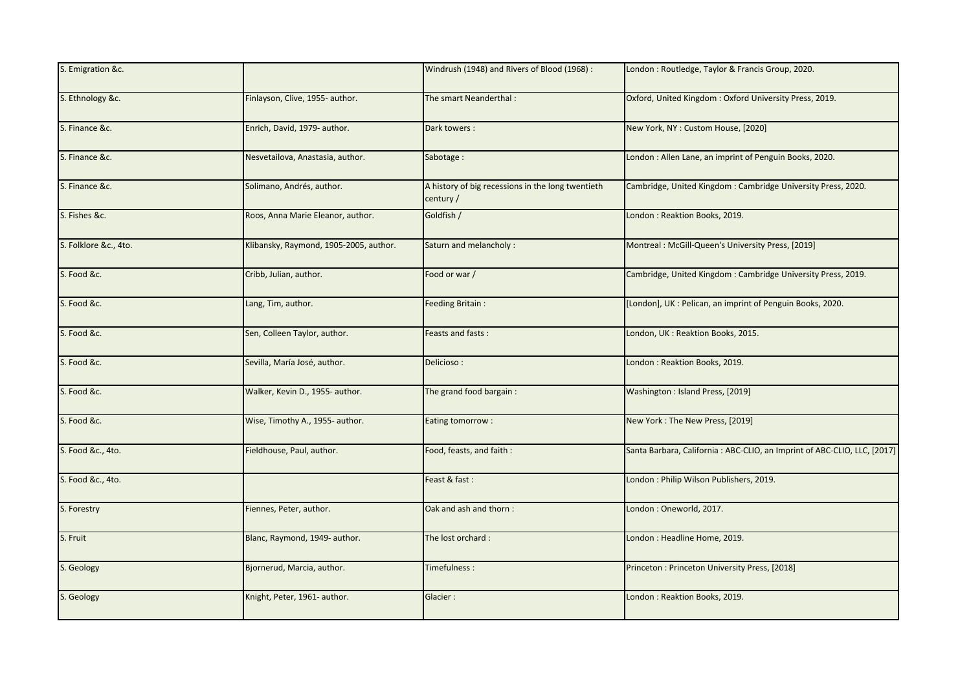|                                        | Windrush (1948) and Rivers of Blood (1968) :                   | London : Routledge, Taylor & Francis Group, 2020.                        |
|----------------------------------------|----------------------------------------------------------------|--------------------------------------------------------------------------|
| Finlayson, Clive, 1955- author.        | The smart Neanderthal:                                         | Oxford, United Kingdom: Oxford University Press, 2019.                   |
| Enrich, David, 1979- author.           | Dark towers:                                                   | New York, NY : Custom House, [2020]                                      |
| Nesvetailova, Anastasia, author.       | Sabotage:                                                      | London: Allen Lane, an imprint of Penguin Books, 2020.                   |
| Solimano, Andrés, author.              | A history of big recessions in the long twentieth<br>century / | Cambridge, United Kingdom: Cambridge University Press, 2020.             |
| Roos, Anna Marie Eleanor, author.      | Goldfish /                                                     | London: Reaktion Books, 2019.                                            |
| Klibansky, Raymond, 1905-2005, author. | Saturn and melancholy:                                         | Montreal: McGill-Queen's University Press, [2019]                        |
| Cribb, Julian, author.                 | Food or war /                                                  | Cambridge, United Kingdom: Cambridge University Press, 2019.             |
| Lang, Tim, author.                     | Feeding Britain:                                               | [London], UK : Pelican, an imprint of Penguin Books, 2020.               |
| Sen, Colleen Taylor, author.           | Feasts and fasts:                                              | London, UK: Reaktion Books, 2015.                                        |
| Sevilla, María José, author.           | Delicioso:                                                     | London: Reaktion Books, 2019.                                            |
| Walker, Kevin D., 1955- author.        | The grand food bargain:                                        | Washington: Island Press, [2019]                                         |
| Wise, Timothy A., 1955- author.        | Eating tomorrow:                                               | New York: The New Press, [2019]                                          |
| Fieldhouse, Paul, author.              | Food, feasts, and faith :                                      | Santa Barbara, California: ABC-CLIO, an Imprint of ABC-CLIO, LLC, [2017] |
|                                        | Feast & fast:                                                  | London: Philip Wilson Publishers, 2019.                                  |
| Fiennes, Peter, author.                | Oak and ash and thorn:                                         | London: Oneworld, 2017.                                                  |
| Blanc, Raymond, 1949- author.          | The lost orchard:                                              | London: Headline Home, 2019.                                             |
| Bjornerud, Marcia, author.             | Timefulness:                                                   | Princeton: Princeton University Press, [2018]                            |
| Knight, Peter, 1961- author.           | Glacier:                                                       | London: Reaktion Books, 2019.                                            |
|                                        |                                                                |                                                                          |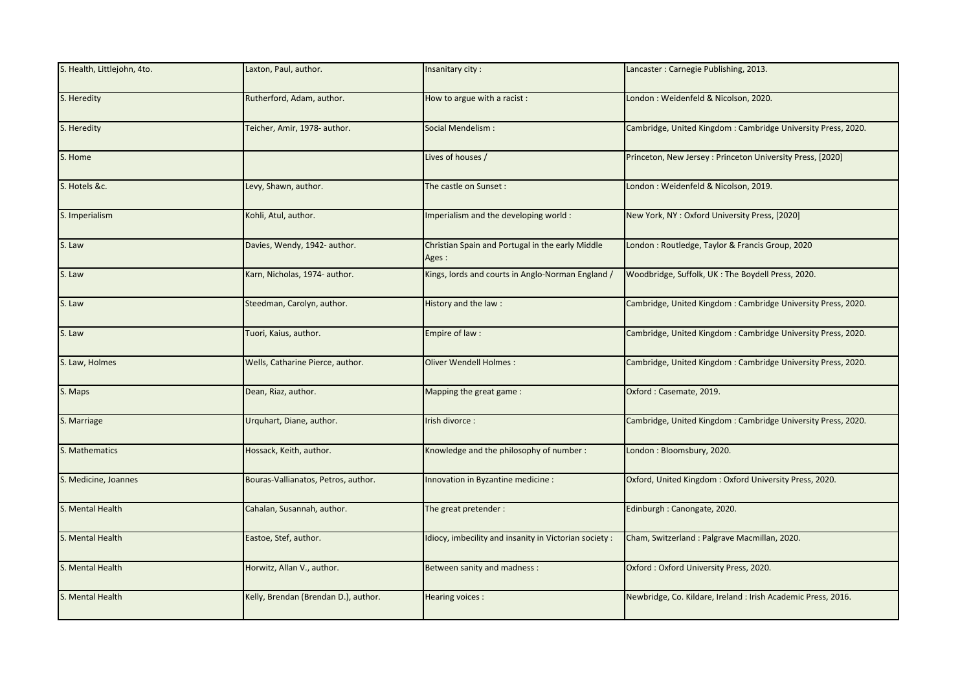| S. Health, Littlejohn, 4to. | Laxton, Paul, author.                | Insanitary city:                                           | Lancaster: Carnegie Publishing, 2013.                         |
|-----------------------------|--------------------------------------|------------------------------------------------------------|---------------------------------------------------------------|
| S. Heredity                 | Rutherford, Adam, author.            | How to argue with a racist :                               | London : Weidenfeld & Nicolson, 2020.                         |
| S. Heredity                 | Teicher, Amir, 1978- author.         | Social Mendelism:                                          | Cambridge, United Kingdom: Cambridge University Press, 2020.  |
| S. Home                     |                                      | Lives of houses /                                          | Princeton, New Jersey: Princeton University Press, [2020]     |
| S. Hotels &c.               | Levy, Shawn, author.                 | The castle on Sunset:                                      | London: Weidenfeld & Nicolson, 2019.                          |
| S. Imperialism              | <br>sohli, Atul, author.             | Imperialism and the developing world:                      | New York, NY: Oxford University Press, [2020]                 |
| S. Law                      | Davies, Wendy, 1942- author.         | Christian Spain and Portugal in the early Middle<br>Ages : | London : Routledge, Taylor & Francis Group, 2020              |
| S. Law                      | Karn, Nicholas, 1974- author.        | Kings, lords and courts in Anglo-Norman England /          | Woodbridge, Suffolk, UK: The Boydell Press, 2020.             |
| S. Law                      | Steedman, Carolyn, author.           | History and the law:                                       | Cambridge, United Kingdom: Cambridge University Press, 2020.  |
| S. Law                      | Tuori, Kaius, author.                | Empire of law:                                             | Cambridge, United Kingdom: Cambridge University Press, 2020.  |
| S. Law, Holmes              | Wells, Catharine Pierce, author.     | Oliver Wendell Holmes:                                     | Cambridge, United Kingdom: Cambridge University Press, 2020.  |
| S. Maps                     | Dean, Riaz, author.                  | Mapping the great game:                                    | Oxford: Casemate, 2019.                                       |
| S. Marriage                 | Urquhart, Diane, author.             | Irish divorce :                                            | Cambridge, United Kingdom: Cambridge University Press, 2020.  |
| S. Mathematics              | Hossack, Keith, author.              | Knowledge and the philosophy of number:                    | London: Bloomsbury, 2020.                                     |
| S. Medicine, Joannes        | Bouras-Vallianatos, Petros, author.  | Innovation in Byzantine medicine :                         | Oxford, United Kingdom: Oxford University Press, 2020.        |
| S. Mental Health            | Cahalan, Susannah, author.           | The great pretender:                                       | Edinburgh: Canongate, 2020.                                   |
| S. Mental Health            | Eastoe, Stef, author.                | Idiocy, imbecility and insanity in Victorian society:      | Cham, Switzerland: Palgrave Macmillan, 2020.                  |
| S. Mental Health            | Horwitz, Allan V., author.           | Between sanity and madness :                               | Oxford: Oxford University Press, 2020.                        |
| S. Mental Health            | Kelly, Brendan (Brendan D.), author. | Hearing voices:                                            | Newbridge, Co. Kildare, Ireland : Irish Academic Press, 2016. |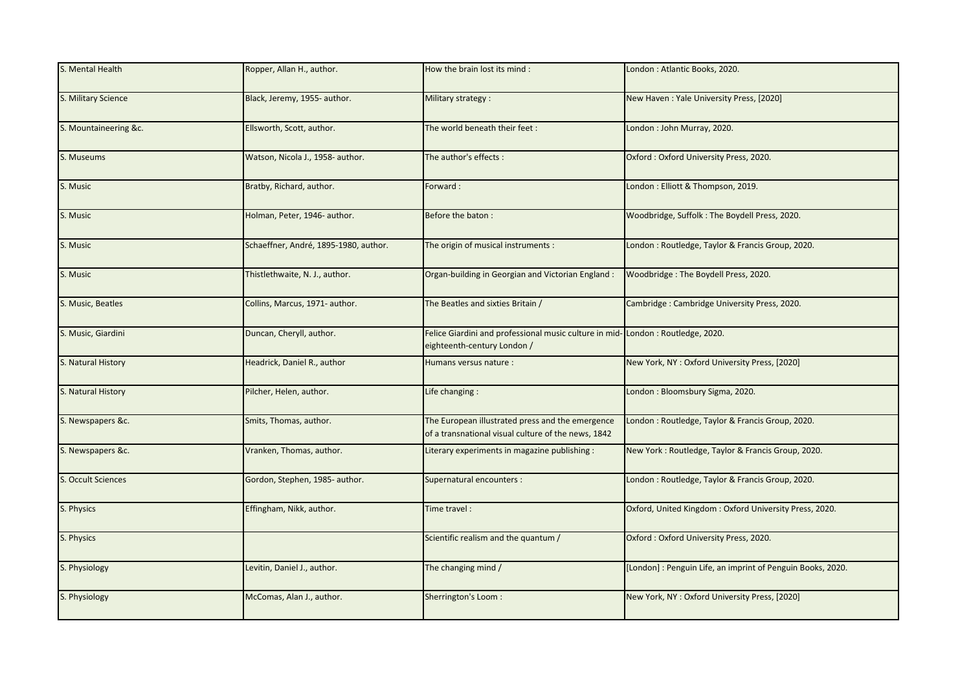| S. Mental Health      | Ropper, Allan H., author.             | How the brain lost its mind :                                                                                 | London: Atlantic Books, 2020.                               |
|-----------------------|---------------------------------------|---------------------------------------------------------------------------------------------------------------|-------------------------------------------------------------|
| S. Military Science   | Black, Jeremy, 1955- author.          | Military strategy:                                                                                            | New Haven: Yale University Press, [2020]                    |
| S. Mountaineering &c. | Ellsworth, Scott, author.             | The world beneath their feet:                                                                                 | London: John Murray, 2020.                                  |
| S. Museums            | Watson, Nicola J., 1958- author.      | The author's effects :                                                                                        | Oxford: Oxford University Press, 2020.                      |
| S. Music              | Bratby, Richard, author.              | Forward:                                                                                                      | London: Elliott & Thompson, 2019.                           |
| S. Music              | Holman, Peter, 1946- author.          | Before the baton:                                                                                             | Woodbridge, Suffolk: The Boydell Press, 2020.               |
| S. Music              | Schaeffner, André, 1895-1980, author. | The origin of musical instruments :                                                                           | London: Routledge, Taylor & Francis Group, 2020.            |
| S. Music              | Fhistlethwaite, N. J., author.        | Organ-building in Georgian and Victorian England:                                                             | Woodbridge: The Boydell Press, 2020.                        |
| S. Music, Beatles     | Collins, Marcus, 1971- author.        | The Beatles and sixties Britain /                                                                             | Cambridge: Cambridge University Press, 2020.                |
| S. Music, Giardini    | Duncan, Cheryll, author.              | Felice Giardini and professional music culture in mid-London: Routledge, 2020.<br>eighteenth-century London / |                                                             |
| S. Natural History    | Headrick, Daniel R., author           | Humans versus nature :                                                                                        | New York, NY: Oxford University Press, [2020]               |
| S. Natural History    | Pilcher, Helen, author.               | Life changing :                                                                                               | London: Bloomsbury Sigma, 2020.                             |
| S. Newspapers &c.     | Smits, Thomas, author.                | The European illustrated press and the emergence<br>of a transnational visual culture of the news, 1842       | London: Routledge, Taylor & Francis Group, 2020.            |
| S. Newspapers &c.     | Vranken, Thomas, author.              | Literary experiments in magazine publishing :                                                                 | New York: Routledge, Taylor & Francis Group, 2020.          |
| S. Occult Sciences    | Gordon, Stephen, 1985- author.        | Supernatural encounters :                                                                                     | London: Routledge, Taylor & Francis Group, 2020.            |
| S. Physics            | Effingham, Nikk, author.              | Time travel:                                                                                                  | Oxford, United Kingdom: Oxford University Press, 2020.      |
| S. Physics            |                                       | Scientific realism and the quantum /                                                                          | Oxford: Oxford University Press, 2020.                      |
| S. Physiology         | Levitin, Daniel J., author.           | The changing mind /                                                                                           | [London] : Penguin Life, an imprint of Penguin Books, 2020. |
| S. Physiology         | McComas, Alan J., author.             | Sherrington's Loom:                                                                                           | New York, NY: Oxford University Press, [2020]               |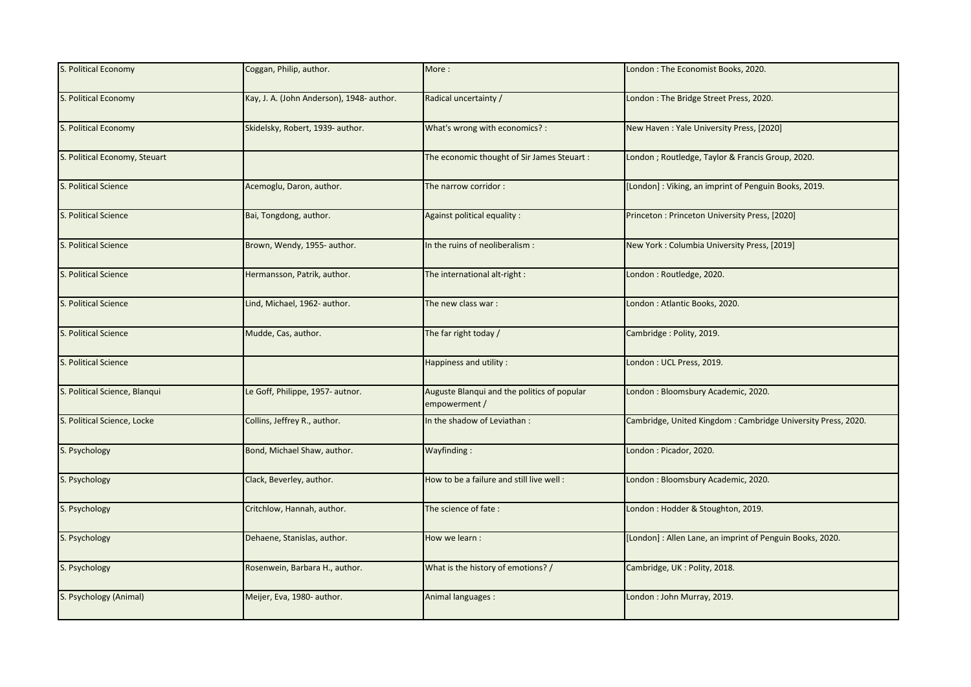| S. Political Economy          | Coggan, Philip, author.                   | More:                                                        | London: The Economist Books, 2020.                           |
|-------------------------------|-------------------------------------------|--------------------------------------------------------------|--------------------------------------------------------------|
| S. Political Economy          | Kay, J. A. (John Anderson), 1948- author. | Radical uncertainty /                                        | London: The Bridge Street Press, 2020.                       |
| S. Political Economy          | Skidelsky, Robert, 1939- author.          | What's wrong with economics? :                               | New Haven: Yale University Press, [2020]                     |
| S. Political Economy, Steuart |                                           | The economic thought of Sir James Steuart :                  | London; Routledge, Taylor & Francis Group, 2020.             |
| S. Political Science          | Acemoglu, Daron, author.                  | The narrow corridor:                                         | [London]: Viking, an imprint of Penguin Books, 2019.         |
| S. Political Science          | Bai, Tongdong, author.                    | Against political equality :                                 | Princeton: Princeton University Press, [2020]                |
| S. Political Science          | Brown, Wendy, 1955- author.               | In the ruins of neoliberalism :                              | New York: Columbia University Press, [2019]                  |
| <b>S. Political Science</b>   | Hermansson, Patrik, author.               | The international alt-right :                                | London: Routledge, 2020.                                     |
| S. Political Science          | Lind, Michael, 1962- author.              | The new class war:                                           | London: Atlantic Books, 2020.                                |
| S. Political Science          | Mudde, Cas, author.                       | The far right today /                                        | Cambridge: Polity, 2019.                                     |
| S. Political Science          |                                           | Happiness and utility:                                       | London: UCL Press, 2019.                                     |
| S. Political Science, Blanqui | Le Goff, Philippe, 1957- autnor.          | Auguste Blanqui and the politics of popular<br>empowerment / | London: Bloomsbury Academic, 2020.                           |
| S. Political Science, Locke   | Collins, Jeffrey R., author.              | In the shadow of Leviathan:                                  | Cambridge, United Kingdom: Cambridge University Press, 2020. |
| S. Psychology                 | Bond, Michael Shaw, author.               | Wayfinding:                                                  | London: Picador, 2020.                                       |
| S. Psychology                 | Clack, Beverley, author.                  | How to be a failure and still live well :                    | London: Bloomsbury Academic, 2020.                           |
| S. Psychology                 | Critchlow, Hannah, author.                | The science of fate:                                         | London : Hodder & Stoughton, 2019.                           |
| S. Psychology                 | Dehaene, Stanislas, author.               | How we learn :                                               | [London]: Allen Lane, an imprint of Penguin Books, 2020.     |
| S. Psychology                 | Rosenwein, Barbara H., author.            | What is the history of emotions? /                           | Cambridge, UK: Polity, 2018.                                 |
| S. Psychology (Animal)        | Meijer, Eva, 1980- author.                | Animal languages :                                           | London: John Murray, 2019.                                   |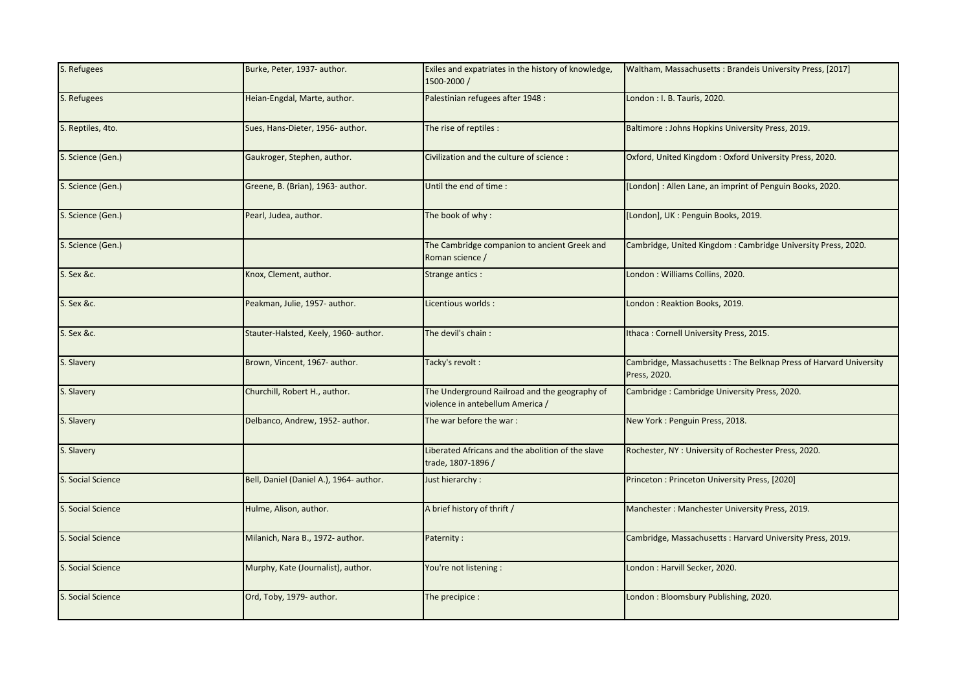| S. Refugees       | Burke, Peter, 1937- author.             | Exiles and expatriates in the history of knowledge,<br>1500-2000/                 | Waltham, Massachusetts: Brandeis University Press, [2017]                         |
|-------------------|-----------------------------------------|-----------------------------------------------------------------------------------|-----------------------------------------------------------------------------------|
| S. Refugees       | Heian-Engdal, Marte, author.            | Palestinian refugees after 1948 :                                                 | London : I. B. Tauris, 2020.                                                      |
| S. Reptiles, 4to. | Sues, Hans-Dieter, 1956- author.        | The rise of reptiles :                                                            | Baltimore: Johns Hopkins University Press, 2019.                                  |
| S. Science (Gen.) | Gaukroger, Stephen, author.             | Civilization and the culture of science :                                         | Oxford, United Kingdom: Oxford University Press, 2020.                            |
| S. Science (Gen.) | Greene, B. (Brian), 1963- author.       | Until the end of time :                                                           | [London]: Allen Lane, an imprint of Penguin Books, 2020.                          |
| S. Science (Gen.) | Pearl, Judea, author.                   | The book of why:                                                                  | [London], UK : Penguin Books, 2019.                                               |
| S. Science (Gen.) |                                         | The Cambridge companion to ancient Greek and<br>Roman science /                   | Cambridge, United Kingdom: Cambridge University Press, 2020.                      |
| S. Sex &c.        | Knox, Clement, author.                  | Strange antics :                                                                  | London: Williams Collins, 2020.                                                   |
| S. Sex &c.        | Peakman, Julie, 1957- author.           | Licentious worlds :                                                               | London: Reaktion Books, 2019.                                                     |
| S. Sex &c.        | Stauter-Halsted, Keely, 1960- author.   | The devil's chain:                                                                | Ithaca: Cornell University Press, 2015.                                           |
| S. Slavery        | Brown, Vincent, 1967- author.           | Tacky's revolt :                                                                  | Cambridge, Massachusetts: The Belknap Press of Harvard University<br>Press, 2020. |
| S. Slavery        | Churchill, Robert H., author.           | The Underground Railroad and the geography of<br>violence in antebellum America / | Cambridge: Cambridge University Press, 2020.                                      |
| S. Slavery        | Delbanco, Andrew, 1952- author.         | The war before the war:                                                           | New York: Penguin Press, 2018.                                                    |
| S. Slavery        |                                         | Liberated Africans and the abolition of the slave<br>trade, 1807-1896 /           | Rochester, NY: University of Rochester Press, 2020.                               |
| S. Social Science | Bell, Daniel (Daniel A.), 1964- author. | Just hierarchy:                                                                   | Princeton: Princeton University Press, [2020]                                     |
| S. Social Science | Hulme, Alison, author.                  | A brief history of thrift /                                                       | Manchester: Manchester University Press, 2019.                                    |
| S. Social Science | Milanich, Nara B., 1972- author.        | Paternity:                                                                        | Cambridge, Massachusetts: Harvard University Press, 2019.                         |
| S. Social Science | Murphy, Kate (Journalist), author.      | You're not listening :                                                            | London: Harvill Secker, 2020.                                                     |
| S. Social Science | Ord, Toby, 1979- author.                | The precipice :                                                                   | London: Bloomsbury Publishing, 2020.                                              |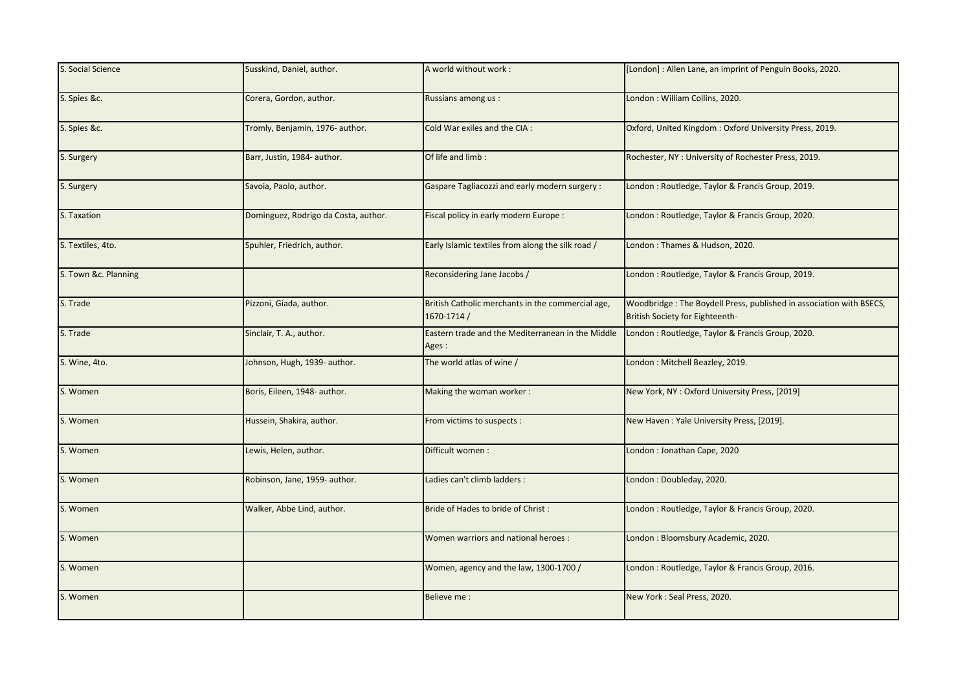| S. Social Science    | Susskind, Daniel, author.            | A world without work:                                            | [London]: Allen Lane, an imprint of Penguin Books, 2020.                                               |
|----------------------|--------------------------------------|------------------------------------------------------------------|--------------------------------------------------------------------------------------------------------|
| S. Spies &c.         | Corera, Gordon, author.              | Russians among us :                                              | London: William Collins, 2020.                                                                         |
| S. Spies &c.         | Tromly, Benjamin, 1976- author.      | Cold War exiles and the CIA :                                    | Oxford, United Kingdom: Oxford University Press, 2019.                                                 |
| S. Surgery           | Barr, Justin, 1984- author.          | Of life and limb:                                                | Rochester, NY: University of Rochester Press, 2019.                                                    |
| S. Surgery           | Savoia, Paolo, author.               | Gaspare Tagliacozzi and early modern surgery:                    | London: Routledge, Taylor & Francis Group, 2019.                                                       |
| S. Taxation          | Dominguez, Rodrigo da Costa, author. | Fiscal policy in early modern Europe :                           | London: Routledge, Taylor & Francis Group, 2020.                                                       |
| S. Textiles, 4to.    | Spuhler, Friedrich, author.          | Early Islamic textiles from along the silk road /                | London: Thames & Hudson, 2020.                                                                         |
| S. Town &c. Planning |                                      | Reconsidering Jane Jacobs /                                      | London: Routledge, Taylor & Francis Group, 2019.                                                       |
| S. Trade             | Pizzoni, Giada, author.              | British Catholic merchants in the commercial age,<br>1670-1714 / | Woodbridge: The Boydell Press, published in association with BSECS,<br>British Society for Eighteenth- |
| S. Trade             | Sinclair, T. A., author.             | Eastern trade and the Mediterranean in the Middle<br>Ages :      | London: Routledge, Taylor & Francis Group, 2020.                                                       |
| S. Wine, 4to.        | Johnson, Hugh, 1939- author.         | The world atlas of wine /                                        | London : Mitchell Beazley, 2019.                                                                       |
| S. Women             | Boris, Eileen, 1948- author.         | Making the woman worker:                                         | New York, NY: Oxford University Press, [2019]                                                          |
| S. Women             | Hussein, Shakira, author.            | From victims to suspects :                                       | New Haven: Yale University Press, [2019].                                                              |
| S. Women             | Lewis, Helen, author.                | Difficult women:                                                 | London: Jonathan Cape, 2020                                                                            |
| S. Women             | Robinson, Jane, 1959- author.        | Ladies can't climb ladders :                                     | London: Doubleday, 2020.                                                                               |
| S. Women             | Walker, Abbe Lind, author.           | Bride of Hades to bride of Christ:                               | London: Routledge, Taylor & Francis Group, 2020.                                                       |
| S. Women             |                                      | Women warriors and national heroes :                             | London: Bloomsbury Academic, 2020.                                                                     |
| S. Women             |                                      | Women, agency and the law, 1300-1700 /                           | London: Routledge, Taylor & Francis Group, 2016.                                                       |
| S. Women             |                                      | Believe me :                                                     | New York: Seal Press, 2020.                                                                            |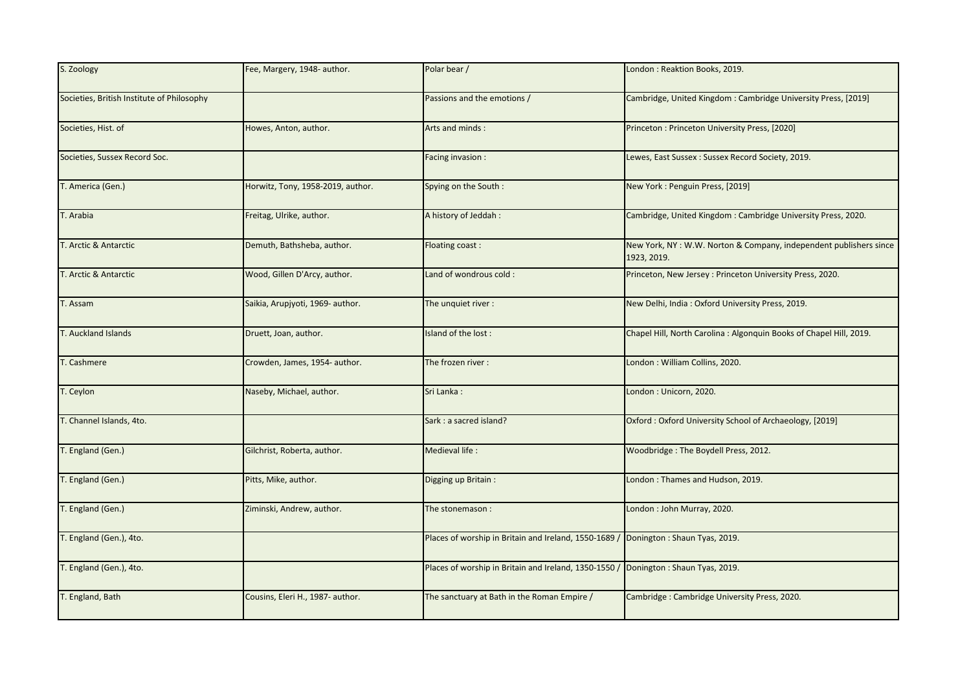| S. Zoology                                 | Fee, Margery, 1948- author.       | Polar bear /                                                                        | London: Reaktion Books, 2019.                                                    |
|--------------------------------------------|-----------------------------------|-------------------------------------------------------------------------------------|----------------------------------------------------------------------------------|
| Societies, British Institute of Philosophy |                                   | Passions and the emotions /                                                         | Cambridge, United Kingdom: Cambridge University Press, [2019]                    |
| Societies, Hist. of                        | Howes, Anton, author.             | Arts and minds:                                                                     | Princeton: Princeton University Press, [2020]                                    |
| Societies, Sussex Record Soc.              |                                   | Facing invasion :                                                                   | Lewes, East Sussex : Sussex Record Society, 2019.                                |
| T. America (Gen.)                          | Horwitz, Tony, 1958-2019, author. | Spying on the South:                                                                | New York: Penguin Press, [2019]                                                  |
| T. Arabia                                  | Freitag, Ulrike, author.          | A history of Jeddah:                                                                | Cambridge, United Kingdom: Cambridge University Press, 2020.                     |
| T. Arctic & Antarctic                      | Demuth, Bathsheba, author.        | Floating coast:                                                                     | New York, NY: W.W. Norton & Company, independent publishers since<br>1923, 2019. |
| T. Arctic & Antarctic                      | Wood, Gillen D'Arcy, author.      | Land of wondrous cold:                                                              | Princeton, New Jersey: Princeton University Press, 2020.                         |
| T. Assam                                   | Saikia, Arupjyoti, 1969- author.  | The unquiet river:                                                                  | New Delhi, India: Oxford University Press, 2019.                                 |
| T. Auckland Islands                        | Druett, Joan, author.             | Island of the lost:                                                                 | Chapel Hill, North Carolina : Algonquin Books of Chapel Hill, 2019.              |
| T. Cashmere                                | Crowden, James, 1954- author.     | The frozen river:                                                                   | London: William Collins, 2020.                                                   |
| T. Ceylon                                  | Naseby, Michael, author.          | Sri Lanka:                                                                          | London: Unicorn, 2020.                                                           |
| T. Channel Islands, 4to.                   |                                   | Sark: a sacred island?                                                              | Oxford: Oxford University School of Archaeology, [2019]                          |
| T. England (Gen.)                          | Gilchrist, Roberta, author.       | Medieval life :                                                                     | Woodbridge: The Boydell Press, 2012.                                             |
| T. England (Gen.)                          | Pitts, Mike, author.              | Digging up Britain:                                                                 | London: Thames and Hudson, 2019.                                                 |
| T. England (Gen.)                          | Ziminski, Andrew, author.         | The stonemason:                                                                     | London: John Murray, 2020.                                                       |
| T. England (Gen.), 4to.                    |                                   | Places of worship in Britain and Ireland, 1550-1689 / Donington : Shaun Tyas, 2019. |                                                                                  |
| T. England (Gen.), 4to.                    |                                   | Places of worship in Britain and Ireland, 1350-1550 / Donington : Shaun Tyas, 2019. |                                                                                  |
| T. England, Bath                           | Cousins, Eleri H., 1987- author.  | The sanctuary at Bath in the Roman Empire /                                         | Cambridge: Cambridge University Press, 2020.                                     |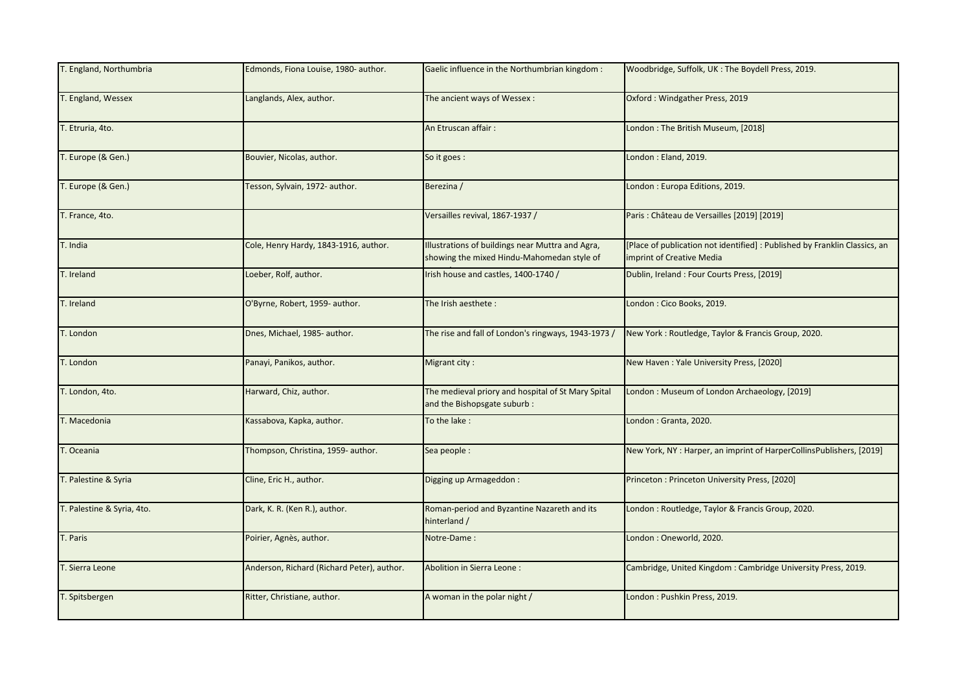| T. England, Northumbria    | Edmonds, Fiona Louise, 1980- author.       | Gaelic influence in the Northumbrian kingdom:                                                  | Woodbridge, Suffolk, UK: The Boydell Press, 2019.                                                       |
|----------------------------|--------------------------------------------|------------------------------------------------------------------------------------------------|---------------------------------------------------------------------------------------------------------|
| T. England, Wessex         | Langlands, Alex, author.                   | The ancient ways of Wessex:                                                                    | Oxford: Windgather Press, 2019                                                                          |
| T. Etruria, 4to.           |                                            | An Etruscan affair:                                                                            | London: The British Museum, [2018]                                                                      |
| T. Europe (& Gen.)         | Bouvier, Nicolas, author.                  | So it goes :                                                                                   | London: Eland, 2019.                                                                                    |
| T. Europe (& Gen.)         | Tesson, Sylvain, 1972- author.             | Berezina /                                                                                     | London: Europa Editions, 2019.                                                                          |
| T. France, 4to.            |                                            | Versailles revival, 1867-1937 /                                                                | Paris : Château de Versailles [2019] [2019]                                                             |
| T. India                   | Cole, Henry Hardy, 1843-1916, author.      | Illustrations of buildings near Muttra and Agra,<br>showing the mixed Hindu-Mahomedan style of | [Place of publication not identified] : Published by Franklin Classics, an<br>imprint of Creative Media |
| T. Ireland                 | Loeber, Rolf, author.                      | Irish house and castles, 1400-1740 /                                                           | Dublin, Ireland: Four Courts Press, [2019]                                                              |
| T. Ireland                 | O'Byrne, Robert, 1959- author.             | The Irish aesthete:                                                                            | London: Cico Books, 2019.                                                                               |
| T. London                  | Dnes, Michael, 1985- author.               | The rise and fall of London's ringways, 1943-1973 /                                            | New York: Routledge, Taylor & Francis Group, 2020.                                                      |
| T. London                  | Panayi, Panikos, author.                   | Migrant city:                                                                                  | New Haven: Yale University Press, [2020]                                                                |
| T. London, 4to.            | Harward, Chiz, author.                     | The medieval priory and hospital of St Mary Spital<br>and the Bishopsgate suburb:              | London: Museum of London Archaeology, [2019]                                                            |
| T. Macedonia               | Kassabova, Kapka, author.                  | To the lake:                                                                                   | London: Granta, 2020.                                                                                   |
| T. Oceania                 | Thompson, Christina, 1959- author.         | Sea people :                                                                                   | New York, NY: Harper, an imprint of HarperCollinsPublishers, [2019]                                     |
| T. Palestine & Syria       | Cline, Eric H., author.                    | Digging up Armageddon:                                                                         | Princeton: Princeton University Press, [2020]                                                           |
| T. Palestine & Syria, 4to. | Dark, K. R. (Ken R.), author.              | Roman-period and Byzantine Nazareth and its<br>hinterland /                                    | London: Routledge, Taylor & Francis Group, 2020.                                                        |
| T. Paris                   | Poirier, Agnès, author.                    | Notre-Dame:                                                                                    | London: Oneworld, 2020.                                                                                 |
| T. Sierra Leone            | Anderson, Richard (Richard Peter), author. | Abolition in Sierra Leone:                                                                     | Cambridge, United Kingdom: Cambridge University Press, 2019.                                            |
| T. Spitsbergen             | Ritter, Christiane, author.                | A woman in the polar night /                                                                   | London: Pushkin Press, 2019.                                                                            |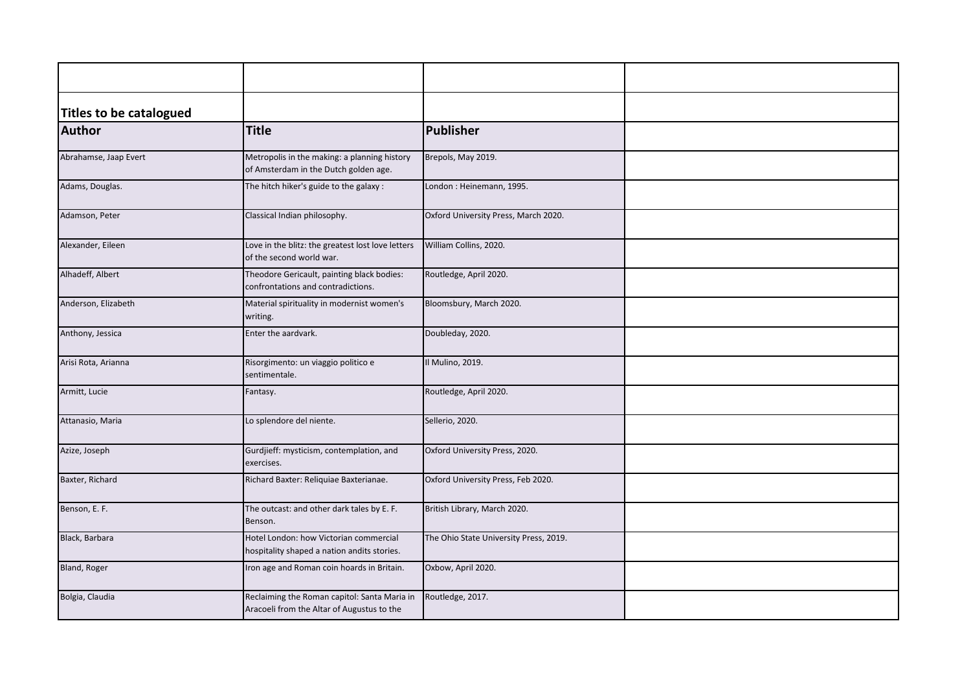| <b>Titles to be catalogued</b> |                                                                                            |                                        |  |
|--------------------------------|--------------------------------------------------------------------------------------------|----------------------------------------|--|
| Author                         | <b>Title</b>                                                                               | Publisher                              |  |
| Abrahamse, Jaap Evert          | Metropolis in the making: a planning history<br>of Amsterdam in the Dutch golden age.      | Brepols, May 2019.                     |  |
| Adams, Douglas.                | The hitch hiker's guide to the galaxy:                                                     | London: Heinemann, 1995.               |  |
| Adamson, Peter                 | Classical Indian philosophy.                                                               | Oxford University Press, March 2020.   |  |
| Alexander, Eileen              | Love in the blitz: the greatest lost love letters<br>of the second world war.              | William Collins, 2020.                 |  |
| Alhadeff, Albert               | Theodore Gericault, painting black bodies:<br>confrontations and contradictions.           | Routledge, April 2020.                 |  |
| Anderson, Elizabeth            | Material spirituality in modernist women's<br>writing.                                     | Bloomsbury, March 2020.                |  |
| Anthony, Jessica               | Enter the aardvark.                                                                        | Doubleday, 2020.                       |  |
| Arisi Rota, Arianna            | Risorgimento: un viaggio politico e<br>sentimentale.                                       | Il Mulino, 2019.                       |  |
| Armitt, Lucie                  | Fantasy.                                                                                   | Routledge, April 2020.                 |  |
| Attanasio, Maria               | Lo splendore del niente.                                                                   | Sellerio, 2020.                        |  |
| Azize, Joseph                  | Gurdjieff: mysticism, contemplation, and<br>exercises.                                     | Oxford University Press, 2020.         |  |
| Baxter, Richard                | Richard Baxter: Reliquiae Baxterianae.                                                     | Oxford University Press, Feb 2020.     |  |
| Benson, E. F.                  | The outcast: and other dark tales by E. F.<br>Benson.                                      | British Library, March 2020.           |  |
| Black, Barbara                 | Hotel London: how Victorian commercial<br>hospitality shaped a nation andits stories.      | The Ohio State University Press, 2019. |  |
| Bland, Roger                   | ron age and Roman coin hoards in Britain.                                                  | Oxbow, April 2020.                     |  |
| Bolgia, Claudia                | Reclaiming the Roman capitol: Santa Maria in<br>Aracoeli from the Altar of Augustus to the | Routledge, 2017.                       |  |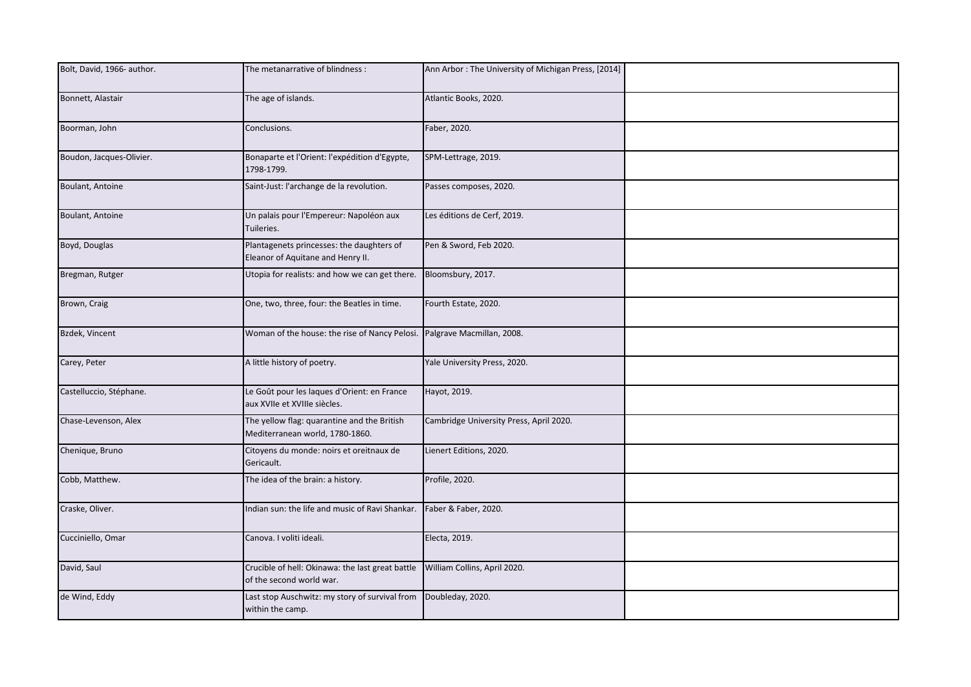| Bolt, David, 1966- author. | The metanarrative of blindness:                                                                             | Ann Arbor: The University of Michigan Press, [2014] |  |
|----------------------------|-------------------------------------------------------------------------------------------------------------|-----------------------------------------------------|--|
| Bonnett, Alastair          | The age of islands.                                                                                         | Atlantic Books, 2020.                               |  |
| Boorman, John              | Conclusions.                                                                                                | Faber, 2020.                                        |  |
| Boudon, Jacques-Olivier.   | Bonaparte et l'Orient: l'expédition d'Egypte,<br>1798-1799.                                                 | SPM-Lettrage, 2019.                                 |  |
| Boulant, Antoine           | Saint-Just: l'archange de la revolution.                                                                    | Passes composes, 2020.                              |  |
| Boulant, Antoine           | Un palais pour l'Empereur: Napoléon aux<br>Tuileries.                                                       | Les éditions de Cerf, 2019.                         |  |
| Boyd, Douglas              | Plantagenets princesses: the daughters of<br>Eleanor of Aquitane and Henry II.                              | Pen & Sword, Feb 2020.                              |  |
| Bregman, Rutger            | Utopia for realists: and how we can get there.                                                              | Bloomsbury, 2017.                                   |  |
| Brown, Craig               | One, two, three, four: the Beatles in time.                                                                 | Fourth Estate, 2020.                                |  |
| Bzdek, Vincent             | Woman of the house: the rise of Nancy Pelosi. Palgrave Macmillan, 2008.                                     |                                                     |  |
| Carey, Peter               | A little history of poetry.                                                                                 | Yale University Press, 2020.                        |  |
| Castelluccio, Stéphane.    | Le Goût pour les laques d'Orient: en France<br>aux XVIIe et XVIIIe siècles.                                 | Hayot, 2019.                                        |  |
| Chase-Levenson, Alex       | The yellow flag: quarantine and the British<br>Mediterranean world, 1780-1860.                              | Cambridge University Press, April 2020.             |  |
| Chenique, Bruno            | Citoyens du monde: noirs et oreitnaux de<br>Gericault.                                                      | Lienert Editions, 2020.                             |  |
| Cobb, Matthew.             | The idea of the brain: a history.                                                                           | Profile, 2020.                                      |  |
| Craske, Oliver.            | Indian sun: the life and music of Ravi Shankar.                                                             | Faber & Faber, 2020.                                |  |
| Cucciniello, Omar          | Canova. I voliti ideali.                                                                                    | Electa, 2019.                                       |  |
| David, Saul                | Crucible of hell: Okinawa: the last great battle   William Collins, April 2020.<br>of the second world war. |                                                     |  |
| de Wind, Eddy              | Last stop Auschwitz: my story of survival from<br>within the camp.                                          | Doubleday, 2020.                                    |  |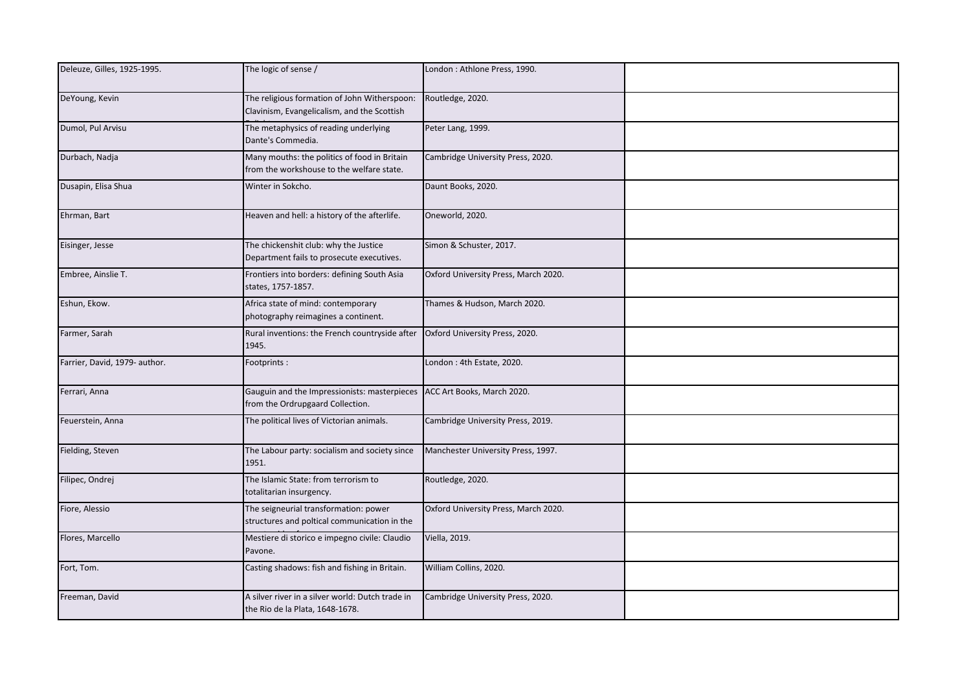| Deleuze, Gilles, 1925-1995.   | The logic of sense /                                                                                        | London: Athlone Press, 1990.         |  |
|-------------------------------|-------------------------------------------------------------------------------------------------------------|--------------------------------------|--|
| DeYoung, Kevin                | The religious formation of John Witherspoon:<br>Clavinism, Evangelicalism, and the Scottish                 | Routledge, 2020.                     |  |
| Dumol, Pul Arvisu             | The metaphysics of reading underlying<br>Dante's Commedia.                                                  | Peter Lang, 1999.                    |  |
| Durbach, Nadja                | Many mouths: the politics of food in Britain<br>from the workshouse to the welfare state.                   | Cambridge University Press, 2020.    |  |
| Dusapin, Elisa Shua           | Winter in Sokcho.                                                                                           | Daunt Books, 2020.                   |  |
| Ehrman, Bart                  | Heaven and hell: a history of the afterlife.                                                                | Oneworld, 2020.                      |  |
| Eisinger, Jesse               | The chickenshit club: why the Justice<br>Department fails to prosecute executives.                          | Simon & Schuster, 2017.              |  |
| Embree, Ainslie T.            | Frontiers into borders: defining South Asia<br>states, 1757-1857.                                           | Oxford University Press, March 2020. |  |
| Eshun, Ekow.                  | Africa state of mind: contemporary<br>photography reimagines a continent.                                   | Thames & Hudson, March 2020.         |  |
| Farmer, Sarah                 | Rural inventions: the French countryside after<br>1945.                                                     | Oxford University Press, 2020.       |  |
| Farrier, David, 1979- author. | Footprints:                                                                                                 | London: 4th Estate, 2020.            |  |
| Ferrari, Anna                 | Gauguin and the Impressionists: masterpieces ACC Art Books, March 2020.<br>from the Ordrupgaard Collection. |                                      |  |
| Feuerstein, Anna              | The political lives of Victorian animals.                                                                   | Cambridge University Press, 2019.    |  |
| Fielding, Steven              | The Labour party: socialism and society since<br>1951.                                                      | Manchester University Press, 1997.   |  |
| Filipec, Ondrej               | The Islamic State: from terrorism to<br>totalitarian insurgency.                                            | Routledge, 2020.                     |  |
| Fiore, Alessio                | The seigneurial transformation: power<br>structures and poltical communication in the                       | Oxford University Press, March 2020. |  |
| Flores, Marcello              | Mestiere di storico e impegno civile: Claudio<br>Pavone.                                                    | Viella, 2019.                        |  |
| Fort, Tom.                    | Casting shadows: fish and fishing in Britain.                                                               | William Collins, 2020.               |  |
| Freeman, David                | A silver river in a silver world: Dutch trade in<br>the Rio de la Plata, 1648-1678.                         | Cambridge University Press, 2020.    |  |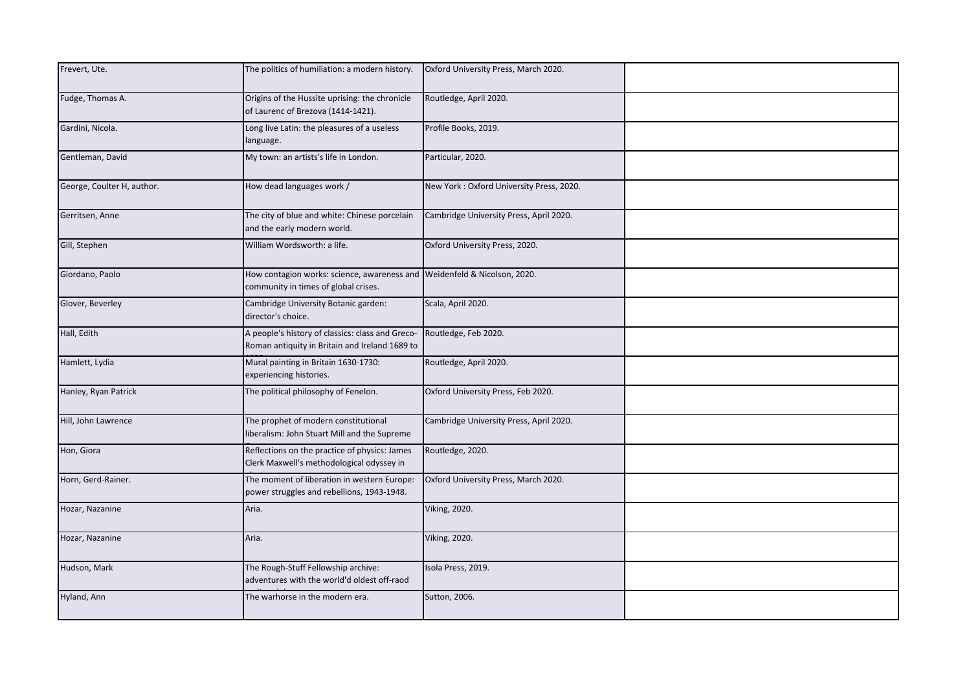| Frevert, Ute.              | The politics of humiliation: a modern history.                                                                   | Oxford University Press, March 2020.     |  |
|----------------------------|------------------------------------------------------------------------------------------------------------------|------------------------------------------|--|
| Fudge, Thomas A.           | Origins of the Hussite uprising: the chronicle<br>of Laurenc of Brezova (1414-1421).                             | Routledge, April 2020.                   |  |
| Gardini, Nicola.           | Long live Latin: the pleasures of a useless<br>language.                                                         | Profile Books, 2019.                     |  |
| Gentleman, David           | My town: an artists's life in London.                                                                            | Particular, 2020.                        |  |
| George, Coulter H, author. | How dead languages work /                                                                                        | New York: Oxford University Press, 2020. |  |
| Gerritsen, Anne            | The city of blue and white: Chinese porcelain<br>and the early modern world.                                     | Cambridge University Press, April 2020.  |  |
| Gill, Stephen              | William Wordsworth: a life.                                                                                      | Oxford University Press, 2020.           |  |
| Giordano, Paolo            | How contagion works: science, awareness and Weidenfeld & Nicolson, 2020.<br>community in times of global crises. |                                          |  |
| Glover, Beverley           | Cambridge University Botanic garden:<br>director's choice.                                                       | Scala, April 2020.                       |  |
| Hall, Edith                | A people's history of classics: class and Greco-<br>Roman antiquity in Britain and Ireland 1689 to               | Routledge, Feb 2020.                     |  |
| Hamlett, Lydia             | Mural painting in Britain 1630-1730:<br>experiencing histories.                                                  | Routledge, April 2020.                   |  |
| Hanley, Ryan Patrick       | The political philosophy of Fenelon.                                                                             | Oxford University Press, Feb 2020.       |  |
| Hill, John Lawrence        | The prophet of modern constitutional<br>iberalism: John Stuart Mill and the Supreme                              | Cambridge University Press, April 2020.  |  |
| Hon, Giora                 | Reflections on the practice of physics: James<br>Clerk Maxwell's methodological odyssey in                       | Routledge, 2020.                         |  |
| Horn, Gerd-Rainer.         | The moment of liberation in western Europe:<br>power struggles and rebellions, 1943-1948.                        | Oxford University Press, March 2020.     |  |
| Hozar, Nazanine            | Aria.                                                                                                            | <b>Viking, 2020.</b>                     |  |
| Hozar, Nazanine            | Aria.                                                                                                            | <b>Viking, 2020.</b>                     |  |
| Hudson, Mark               | The Rough-Stuff Fellowship archive:<br>adventures with the world'd oldest off-raod                               | Isola Press, 2019.                       |  |
| Hyland, Ann                | The warhorse in the modern era.                                                                                  | Sutton, 2006.                            |  |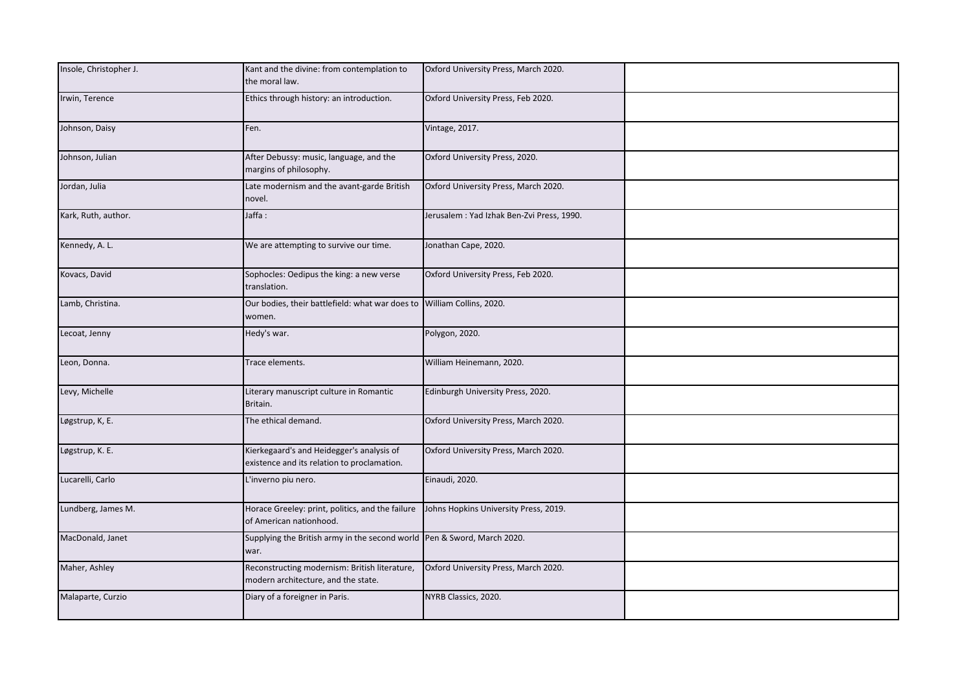| Insole, Christopher J. | Kant and the divine: from contemplation to<br>the moral law.                             | Oxford University Press, March 2020.       |  |
|------------------------|------------------------------------------------------------------------------------------|--------------------------------------------|--|
| Irwin, Terence         | Ethics through history: an introduction.                                                 | Oxford University Press, Feb 2020.         |  |
| Johnson, Daisy         | Fen.                                                                                     | <b>Vintage, 2017.</b>                      |  |
| Johnson, Julian        | After Debussy: music, language, and the<br>margins of philosophy.                        | Oxford University Press, 2020.             |  |
| Jordan, Julia          | Late modernism and the avant-garde British<br>novel.                                     | Oxford University Press, March 2020.       |  |
| Kark, Ruth, author.    | Jaffa :                                                                                  | Jerusalem : Yad Izhak Ben-Zvi Press, 1990. |  |
| Kennedy, A. L.         | We are attempting to survive our time.                                                   | Jonathan Cape, 2020.                       |  |
| Kovacs, David          | Sophocles: Oedipus the king: a new verse<br>translation.                                 | Oxford University Press, Feb 2020.         |  |
| Lamb, Christina.       | Our bodies, their battlefield: what war does to William Collins, 2020.<br>women.         |                                            |  |
| Lecoat, Jenny          | Hedy's war.                                                                              | Polygon, 2020.                             |  |
| Leon, Donna.           | Trace elements.                                                                          | William Heinemann, 2020.                   |  |
| Levy, Michelle         | Literary manuscript culture in Romantic<br>Britain.                                      | Edinburgh University Press, 2020.          |  |
| Løgstrup, K, E.        | The ethical demand.                                                                      | Oxford University Press, March 2020.       |  |
| Løgstrup, K. E.        | Kierkegaard's and Heidegger's analysis of<br>existence and its relation to proclamation. | Oxford University Press, March 2020.       |  |
| Lucarelli, Carlo       | L'inverno piu nero.                                                                      | Einaudi, 2020.                             |  |
| Lundberg, James M.     | Horace Greeley: print, politics, and the failure<br>of American nationhood.              | Johns Hopkins University Press, 2019.      |  |
| MacDonald, Janet       | Supplying the British army in the second world Pen & Sword, March 2020.<br>war.          |                                            |  |
| Maher, Ashley          | Reconstructing modernism: British literature,<br>modern architecture, and the state.     | Oxford University Press, March 2020.       |  |
| Malaparte, Curzio      | Diary of a foreigner in Paris.                                                           | NYRB Classics, 2020.                       |  |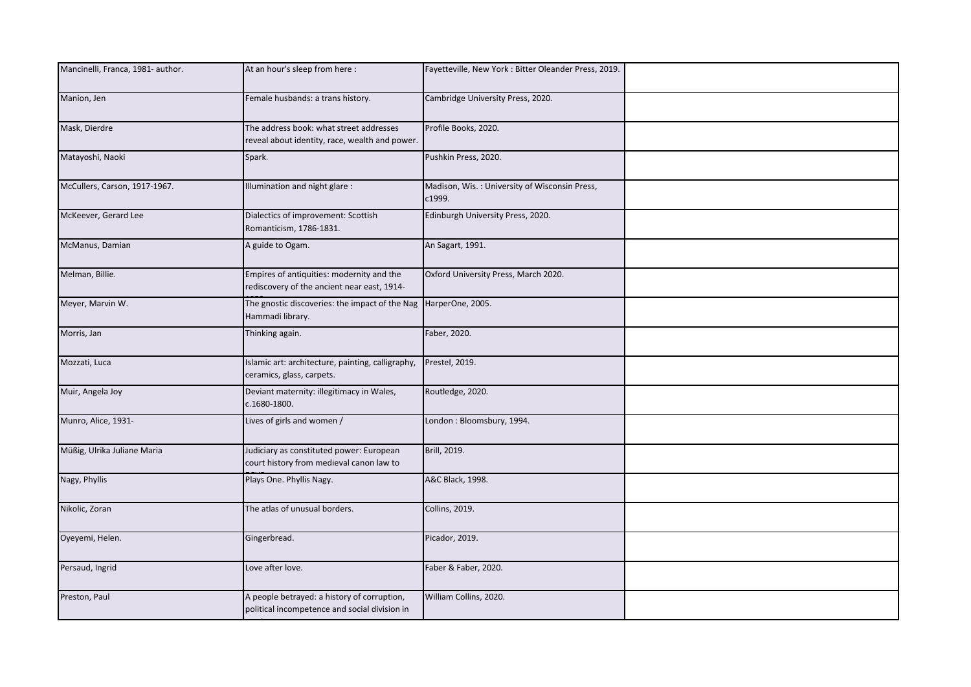| Mancinelli, Franca, 1981- author. | At an hour's sleep from here:                                                                | Fayetteville, New York: Bitter Oleander Press, 2019.    |  |
|-----------------------------------|----------------------------------------------------------------------------------------------|---------------------------------------------------------|--|
| Manion, Jen                       | Female husbands: a trans history.                                                            | Cambridge University Press, 2020.                       |  |
| Mask, Dierdre                     | The address book: what street addresses<br>reveal about identity, race, wealth and power.    | Profile Books, 2020.                                    |  |
| Matayoshi, Naoki                  | Spark.                                                                                       | Pushkin Press, 2020.                                    |  |
| McCullers, Carson, 1917-1967.     | llumination and night glare:                                                                 | Madison, Wis.: University of Wisconsin Press,<br>c1999. |  |
| McKeever, Gerard Lee              | Dialectics of improvement: Scottish<br>Romanticism, 1786-1831.                               | Edinburgh University Press, 2020.                       |  |
| McManus, Damian                   | A guide to Ogam.                                                                             | An Sagart, 1991.                                        |  |
| Melman, Billie.                   | Empires of antiquities: modernity and the<br>rediscovery of the ancient near east, 1914-     | Oxford University Press, March 2020.                    |  |
| Meyer, Marvin W.                  | The gnostic discoveries: the impact of the Nag<br>Hammadi library.                           | HarperOne, 2005.                                        |  |
| Morris, Jan                       | Thinking again.                                                                              | Faber, 2020.                                            |  |
| Mozzati, Luca                     | Islamic art: architecture, painting, calligraphy,<br>ceramics, glass, carpets.               | Prestel, 2019.                                          |  |
| Muir, Angela Joy                  | Deviant maternity: illegitimacy in Wales,<br>c.1680-1800.                                    | Routledge, 2020.                                        |  |
| Munro, Alice, 1931-               | Lives of girls and women /                                                                   | London: Bloomsbury, 1994.                               |  |
| Müßig, Ulrika Juliane Maria       | Judiciary as constituted power: European<br>court history from medieval canon law to         | Brill, 2019.                                            |  |
| Nagy, Phyllis                     | Plays One. Phyllis Nagy.                                                                     | A&C Black, 1998.                                        |  |
| Nikolic, Zoran                    | The atlas of unusual borders.                                                                | Collins, 2019.                                          |  |
| Oyeyemi, Helen.                   | Gingerbread.                                                                                 | Picador, 2019.                                          |  |
| Persaud, Ingrid                   | Love after love.                                                                             | Faber & Faber, 2020.                                    |  |
| Preston, Paul                     | A people betrayed: a history of corruption,<br>political incompetence and social division in | William Collins, 2020.                                  |  |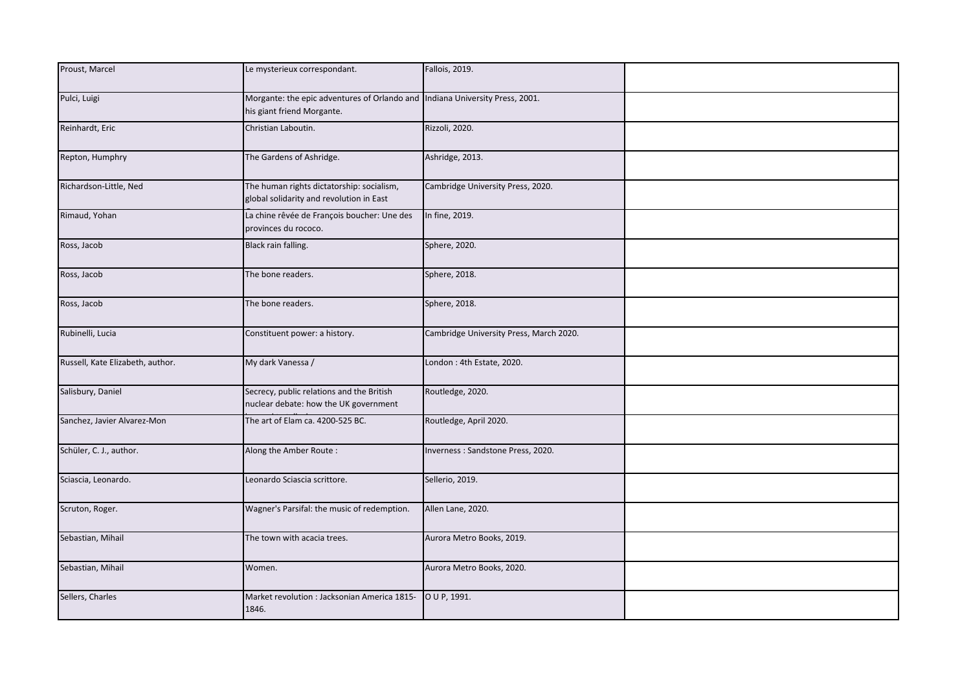| Proust, Marcel                   | Le mysterieux correspondant.                                                                               | Fallois, 2019.                          |  |
|----------------------------------|------------------------------------------------------------------------------------------------------------|-----------------------------------------|--|
|                                  |                                                                                                            |                                         |  |
| Pulci, Luigi                     | Morgante: the epic adventures of Orlando and Indiana University Press, 2001.<br>his giant friend Morgante. |                                         |  |
| Reinhardt, Eric                  | Christian Laboutin.                                                                                        | Rizzoli, 2020.                          |  |
| Repton, Humphry                  | The Gardens of Ashridge.                                                                                   | Ashridge, 2013.                         |  |
| Richardson-Little, Ned           | The human rights dictatorship: socialism,<br>global solidarity and revolution in East                      | Cambridge University Press, 2020.       |  |
| Rimaud, Yohan                    | La chine rêvée de François boucher: Une des<br>provinces du rococo.                                        | In fine, 2019.                          |  |
| Ross, Jacob                      | Black rain falling.                                                                                        | Sphere, 2020.                           |  |
| Ross, Jacob                      | The bone readers.                                                                                          | Sphere, 2018.                           |  |
| Ross, Jacob                      | The bone readers.                                                                                          | Sphere, 2018.                           |  |
| Rubinelli, Lucia                 | Constituent power: a history.                                                                              | Cambridge University Press, March 2020. |  |
| Russell, Kate Elizabeth, author. | My dark Vanessa /                                                                                          | London: 4th Estate, 2020.               |  |
| Salisbury, Daniel                | Secrecy, public relations and the British<br>nuclear debate: how the UK government                         | Routledge, 2020.                        |  |
| Sanchez, Javier Alvarez-Mon      | The art of Elam ca. 4200-525 BC.                                                                           | Routledge, April 2020.                  |  |
| Schüler, C. J., author.          | Along the Amber Route:                                                                                     | Inverness: Sandstone Press, 2020.       |  |
| Sciascia, Leonardo.              | Leonardo Sciascia scrittore.                                                                               | Sellerio, 2019.                         |  |
| Scruton, Roger.                  | Wagner's Parsifal: the music of redemption.                                                                | Allen Lane, 2020.                       |  |
| Sebastian, Mihail                | The town with acacia trees.                                                                                | Aurora Metro Books, 2019.               |  |
| Sebastian, Mihail                | Women.                                                                                                     | Aurora Metro Books, 2020.               |  |
| Sellers, Charles                 | Market revolution : Jacksonian America 1815-<br>1846.                                                      | O U P, 1991.                            |  |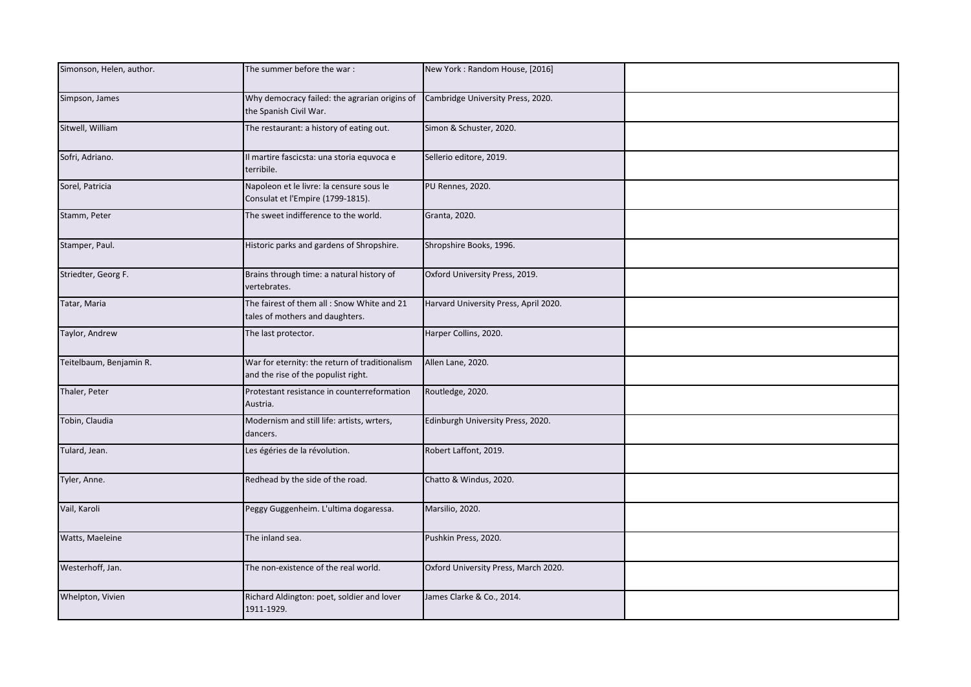| Simonson, Helen, author. | The summer before the war:                                                            | New York: Random House, [2016]        |  |
|--------------------------|---------------------------------------------------------------------------------------|---------------------------------------|--|
| Simpson, James           | Why democracy failed: the agrarian origins of<br>the Spanish Civil War.               | Cambridge University Press, 2020.     |  |
| Sitwell, William         | The restaurant: a history of eating out.                                              | Simon & Schuster, 2020.               |  |
| Sofri, Adriano.          | Il martire fascicsta: una storia equvoca e<br>terribile.                              | Sellerio editore, 2019.               |  |
| Sorel, Patricia          | Napoleon et le livre: la censure sous le<br>Consulat et l'Empire (1799-1815).         | PU Rennes, 2020.                      |  |
| Stamm, Peter             | The sweet indifference to the world.                                                  | Granta, 2020.                         |  |
| Stamper, Paul.           | Historic parks and gardens of Shropshire.                                             | Shropshire Books, 1996.               |  |
| Striedter, Georg F.      | Brains through time: a natural history of<br>vertebrates.                             | Oxford University Press, 2019.        |  |
| Tatar, Maria             | The fairest of them all : Snow White and 21<br>tales of mothers and daughters.        | Harvard University Press, April 2020. |  |
| Taylor, Andrew           | The last protector.                                                                   | Harper Collins, 2020.                 |  |
| Teitelbaum, Benjamin R.  | War for eternity: the return of traditionalism<br>and the rise of the populist right. | Allen Lane, 2020.                     |  |
| Thaler, Peter            | Protestant resistance in counterreformation<br>Austria.                               | Routledge, 2020.                      |  |
| Tobin, Claudia           | Modernism and still life: artists, wrters,<br>dancers.                                | Edinburgh University Press, 2020.     |  |
| Tulard, Jean.            | Les égéries de la révolution.                                                         | Robert Laffont, 2019.                 |  |
| Tyler, Anne.             | Redhead by the side of the road.                                                      | Chatto & Windus, 2020.                |  |
| Vail, Karoli             | Peggy Guggenheim. L'ultima dogaressa.                                                 | Marsilio, 2020.                       |  |
| Watts, Maeleine          | The inland sea.                                                                       | Pushkin Press, 2020.                  |  |
| Westerhoff, Jan.         | The non-existence of the real world.                                                  | Oxford University Press, March 2020.  |  |
| Whelpton, Vivien         | Richard Aldington: poet, soldier and lover<br>1911-1929.                              | James Clarke & Co., 2014.             |  |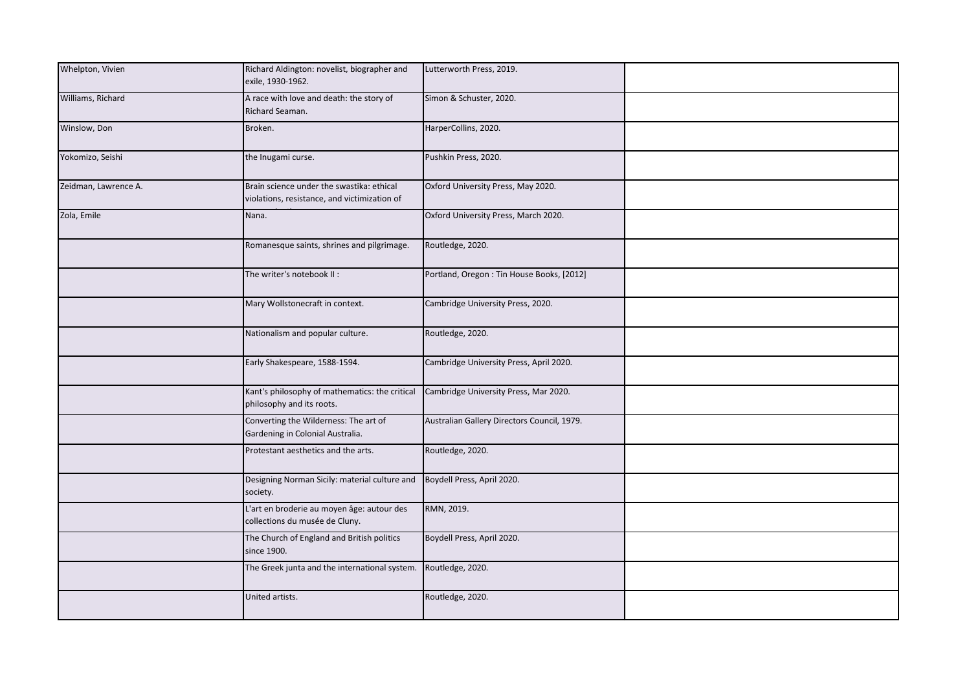| Whelpton, Vivien     | Richard Aldington: novelist, biographer and<br>exile, 1930-1962.                          | Lutterworth Press, 2019.                    |  |
|----------------------|-------------------------------------------------------------------------------------------|---------------------------------------------|--|
| Williams, Richard    | A race with love and death: the story of<br>Richard Seaman.                               | Simon & Schuster, 2020.                     |  |
| Winslow, Don         | Broken.                                                                                   | HarperCollins, 2020.                        |  |
| Yokomizo, Seishi     | the Inugami curse.                                                                        | Pushkin Press, 2020.                        |  |
| Zeidman, Lawrence A. | Brain science under the swastika: ethical<br>violations, resistance, and victimization of | Oxford University Press, May 2020.          |  |
| Zola, Emile          | Nana.                                                                                     | Oxford University Press, March 2020.        |  |
|                      | Romanesque saints, shrines and pilgrimage.                                                | Routledge, 2020.                            |  |
|                      | The writer's notebook II:                                                                 | Portland, Oregon: Tin House Books, [2012]   |  |
|                      | Mary Wollstonecraft in context.                                                           | Cambridge University Press, 2020.           |  |
|                      | Nationalism and popular culture.                                                          | Routledge, 2020.                            |  |
|                      | Early Shakespeare, 1588-1594.                                                             | Cambridge University Press, April 2020.     |  |
|                      | Kant's philosophy of mathematics: the critical<br>philosophy and its roots.               | Cambridge University Press, Mar 2020.       |  |
|                      | Converting the Wilderness: The art of<br>Gardening in Colonial Australia.                 | Australian Gallery Directors Council, 1979. |  |
|                      | Protestant aesthetics and the arts.                                                       | Routledge, 2020.                            |  |
|                      | Designing Norman Sicily: material culture and<br>society.                                 | Boydell Press, April 2020.                  |  |
|                      | L'art en broderie au moyen âge: autour des<br>collections du musée de Cluny.              | RMN, 2019.                                  |  |
|                      | The Church of England and British politics<br>since 1900.                                 | Boydell Press, April 2020.                  |  |
|                      | The Greek junta and the international system.                                             | Routledge, 2020.                            |  |
|                      | United artists.                                                                           | Routledge, 2020.                            |  |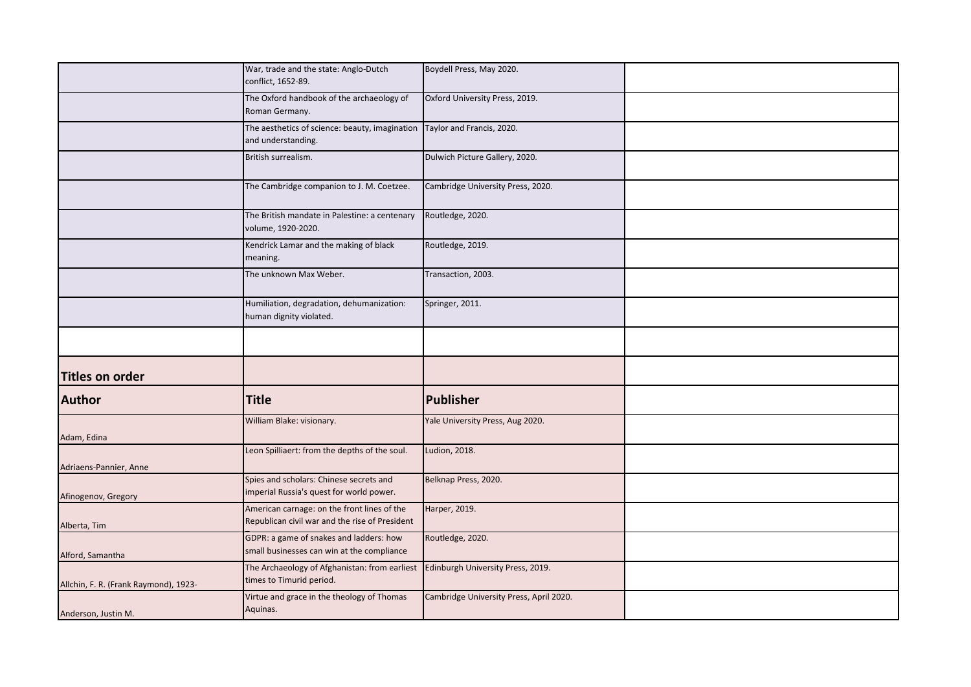|                                       | War, trade and the state: Anglo-Dutch                                                          | Boydell Press, May 2020.                |  |
|---------------------------------------|------------------------------------------------------------------------------------------------|-----------------------------------------|--|
|                                       | conflict, 1652-89.                                                                             |                                         |  |
|                                       | The Oxford handbook of the archaeology of<br>Roman Germany.                                    | Oxford University Press, 2019.          |  |
|                                       | The aesthetics of science: beauty, imagination Taylor and Francis, 2020.<br>and understanding. |                                         |  |
|                                       | British surrealism.                                                                            | Dulwich Picture Gallery, 2020.          |  |
|                                       | The Cambridge companion to J. M. Coetzee.                                                      | Cambridge University Press, 2020.       |  |
|                                       | The British mandate in Palestine: a centenary<br>volume, 1920-2020.                            | Routledge, 2020.                        |  |
|                                       | Kendrick Lamar and the making of black<br>meaning.                                             | Routledge, 2019.                        |  |
|                                       | The unknown Max Weber.                                                                         | Transaction, 2003.                      |  |
|                                       | Humiliation, degradation, dehumanization:<br>human dignity violated.                           | Springer, 2011.                         |  |
|                                       |                                                                                                |                                         |  |
| <b>Titles on order</b>                |                                                                                                |                                         |  |
| <b>Author</b>                         | <b>Title</b>                                                                                   | Publisher                               |  |
| Adam, Edina                           | William Blake: visionary.                                                                      | Yale University Press, Aug 2020.        |  |
| Adriaens-Pannier, Anne                | Leon Spilliaert: from the depths of the soul.                                                  | Ludion, 2018.                           |  |
| Afinogenov, Gregory                   | Spies and scholars: Chinese secrets and<br>imperial Russia's quest for world power.            | Belknap Press, 2020.                    |  |
| Alberta, Tim                          | American carnage: on the front lines of the<br>Republican civil war and the rise of President  | Harper, 2019.                           |  |
| Alford, Samantha                      | GDPR: a game of snakes and ladders: how<br>small businesses can win at the compliance          | Routledge, 2020.                        |  |
| Allchin, F. R. (Frank Raymond), 1923- | The Archaeology of Afghanistan: from earliest<br>times to Timurid period.                      | Edinburgh University Press, 2019.       |  |
| Anderson, Justin M.                   | Virtue and grace in the theology of Thomas<br>Aquinas.                                         | Cambridge University Press, April 2020. |  |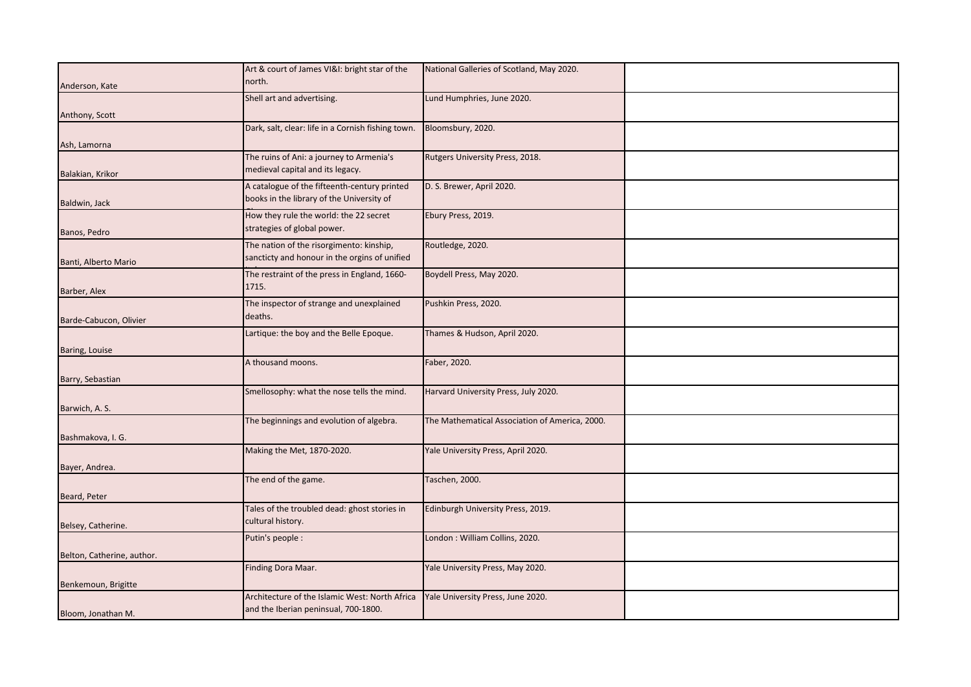|                            | Art & court of James VI&I: bright star of the      | National Galleries of Scotland, May 2020.      |  |
|----------------------------|----------------------------------------------------|------------------------------------------------|--|
| Anderson, Kate             | north.                                             |                                                |  |
|                            |                                                    |                                                |  |
|                            | Shell art and advertising.                         | Lund Humphries, June 2020.                     |  |
| Anthony, Scott             |                                                    |                                                |  |
|                            | Dark, salt, clear: life in a Cornish fishing town. | Bloomsbury, 2020.                              |  |
|                            |                                                    |                                                |  |
| Ash, Lamorna               |                                                    |                                                |  |
|                            | The ruins of Ani: a journey to Armenia's           | Rutgers University Press, 2018.                |  |
|                            | medieval capital and its legacy.                   |                                                |  |
| Balakian, Krikor           |                                                    |                                                |  |
|                            | A catalogue of the fifteenth-century printed       | D. S. Brewer, April 2020.                      |  |
| Baldwin, Jack              | books in the library of the University of          |                                                |  |
|                            | How they rule the world: the 22 secret             | Ebury Press, 2019.                             |  |
|                            |                                                    |                                                |  |
| Banos, Pedro               | strategies of global power.                        |                                                |  |
|                            | The nation of the risorgimento: kinship,           | Routledge, 2020.                               |  |
|                            | sancticty and honour in the orgins of unified      |                                                |  |
| Banti, Alberto Mario       |                                                    |                                                |  |
|                            | The restraint of the press in England, 1660-       | Boydell Press, May 2020.                       |  |
|                            | 1715.                                              |                                                |  |
| Barber, Alex               |                                                    |                                                |  |
|                            | The inspector of strange and unexplained           | Pushkin Press, 2020.                           |  |
| Barde-Cabucon, Olivier     | deaths.                                            |                                                |  |
|                            |                                                    |                                                |  |
|                            | Lartique: the boy and the Belle Epoque.            | Thames & Hudson, April 2020.                   |  |
| Baring, Louise             |                                                    |                                                |  |
|                            | A thousand moons.                                  | Faber, 2020.                                   |  |
|                            |                                                    |                                                |  |
| Barry, Sebastian           |                                                    |                                                |  |
|                            | Smellosophy: what the nose tells the mind.         | Harvard University Press, July 2020.           |  |
|                            |                                                    |                                                |  |
| Barwich, A. S.             |                                                    |                                                |  |
|                            | The beginnings and evolution of algebra.           | The Mathematical Association of America, 2000. |  |
| Bashmakova, I. G.          |                                                    |                                                |  |
|                            |                                                    |                                                |  |
|                            | Making the Met, 1870-2020.                         | Yale University Press, April 2020.             |  |
| Bayer, Andrea.             |                                                    |                                                |  |
|                            | The end of the game.                               | Taschen, 2000.                                 |  |
|                            |                                                    |                                                |  |
| Beard, Peter               |                                                    |                                                |  |
|                            | Tales of the troubled dead: ghost stories in       | Edinburgh University Press, 2019.              |  |
|                            | cultural history.                                  |                                                |  |
| Belsey, Catherine.         |                                                    |                                                |  |
|                            | Putin's people :                                   | London: William Collins, 2020.                 |  |
| Belton, Catherine, author. |                                                    |                                                |  |
|                            |                                                    |                                                |  |
|                            | Finding Dora Maar.                                 | Yale University Press, May 2020.               |  |
| Benkemoun, Brigitte        |                                                    |                                                |  |
|                            | Architecture of the Islamic West: North Africa     | Yale University Press, June 2020.              |  |
|                            |                                                    |                                                |  |
| Bloom, Jonathan M.         | and the Iberian peninsual, 700-1800.               |                                                |  |
|                            |                                                    |                                                |  |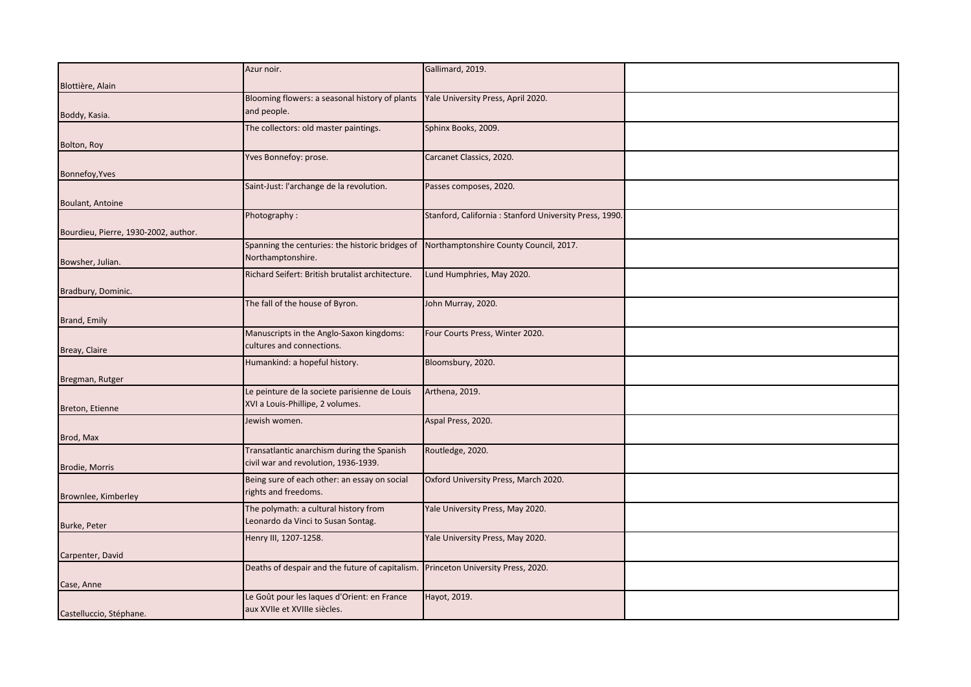|                                      | Azur noir.                                                                             | Gallimard, 2019.                                       |  |
|--------------------------------------|----------------------------------------------------------------------------------------|--------------------------------------------------------|--|
|                                      |                                                                                        |                                                        |  |
| Blottière, Alain                     |                                                                                        |                                                        |  |
|                                      | Blooming flowers: a seasonal history of plants                                         | Yale University Press, April 2020.                     |  |
| Boddy, Kasia.                        | and people.                                                                            |                                                        |  |
|                                      | The collectors: old master paintings.                                                  | Sphinx Books, 2009.                                    |  |
| Bolton, Roy                          |                                                                                        |                                                        |  |
|                                      | Yves Bonnefoy: prose.                                                                  | Carcanet Classics, 2020.                               |  |
| Bonnefoy, Yves                       |                                                                                        |                                                        |  |
|                                      | Saint-Just: l'archange de la revolution.                                               | Passes composes, 2020.                                 |  |
|                                      |                                                                                        |                                                        |  |
| Boulant, Antoine                     |                                                                                        |                                                        |  |
|                                      | Photography:                                                                           | Stanford, California: Stanford University Press, 1990. |  |
| Bourdieu, Pierre, 1930-2002, author. |                                                                                        |                                                        |  |
|                                      | Spanning the centuries: the historic bridges of Northamptonshire County Council, 2017. |                                                        |  |
| Bowsher, Julian.                     | Northamptonshire.                                                                      |                                                        |  |
|                                      | Richard Seifert: British brutalist architecture.                                       | Lund Humphries, May 2020.                              |  |
| Bradbury, Dominic.                   |                                                                                        |                                                        |  |
|                                      | The fall of the house of Byron.                                                        | John Murray, 2020.                                     |  |
|                                      |                                                                                        |                                                        |  |
| Brand, Emily                         |                                                                                        |                                                        |  |
|                                      | Manuscripts in the Anglo-Saxon kingdoms:<br>cultures and connections.                  | Four Courts Press, Winter 2020.                        |  |
| Breay, Claire                        |                                                                                        |                                                        |  |
|                                      | Humankind: a hopeful history.                                                          | Bloomsbury, 2020.                                      |  |
| Bregman, Rutger                      |                                                                                        |                                                        |  |
|                                      | Le peinture de la societe parisienne de Louis                                          | Arthena, 2019.                                         |  |
| Breton, Etienne                      | XVI a Louis-Phillipe, 2 volumes.                                                       |                                                        |  |
|                                      | Jewish women.                                                                          | Aspal Press, 2020.                                     |  |
|                                      |                                                                                        |                                                        |  |
| Brod, Max                            | Transatlantic anarchism during the Spanish                                             | Routledge, 2020.                                       |  |
|                                      | civil war and revolution, 1936-1939.                                                   |                                                        |  |
| Brodie, Morris                       |                                                                                        |                                                        |  |
|                                      | Being sure of each other: an essay on social                                           | Oxford University Press, March 2020.                   |  |
| Brownlee, Kimberley                  | rights and freedoms.                                                                   |                                                        |  |
|                                      | The polymath: a cultural history from                                                  | Yale University Press, May 2020.                       |  |
| Burke, Peter                         | Leonardo da Vinci to Susan Sontag.                                                     |                                                        |  |
|                                      | Henry III, 1207-1258.                                                                  | Yale University Press, May 2020.                       |  |
| Carpenter, David                     |                                                                                        |                                                        |  |
|                                      | Deaths of despair and the future of capitalism. Princeton University Press, 2020.      |                                                        |  |
|                                      |                                                                                        |                                                        |  |
| Case, Anne                           |                                                                                        |                                                        |  |
|                                      | Le Goût pour les laques d'Orient: en France                                            | Hayot, 2019.                                           |  |
| Castelluccio, Stéphane.              | aux XVIIe et XVIIIe siècles.                                                           |                                                        |  |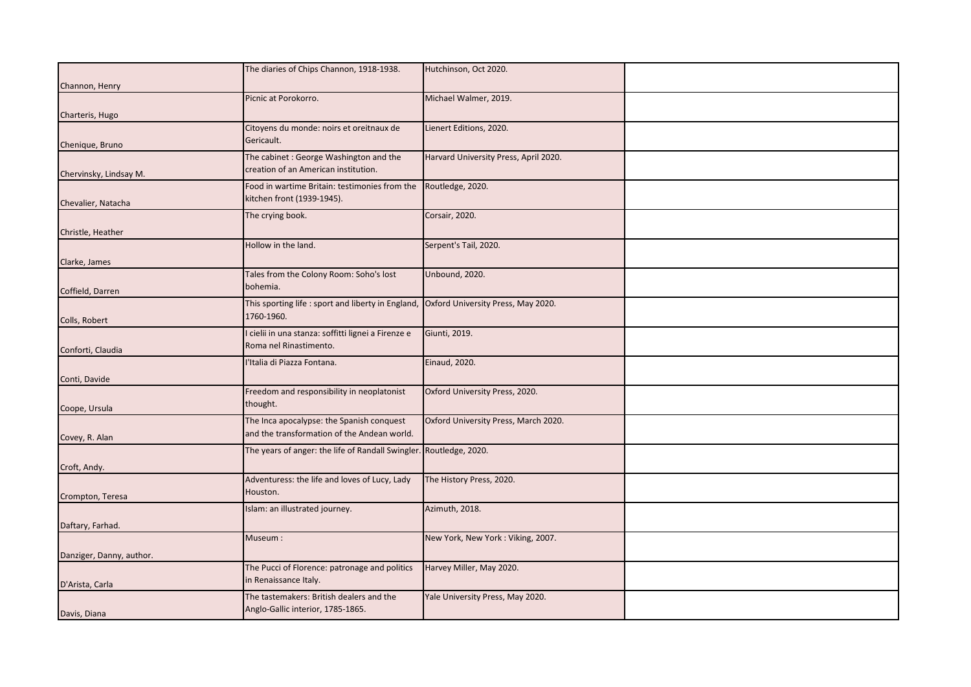|                          | The diaries of Chips Channon, 1918-1938.                                             | Hutchinson, Oct 2020.                 |  |
|--------------------------|--------------------------------------------------------------------------------------|---------------------------------------|--|
|                          |                                                                                      |                                       |  |
| Channon, Henry           |                                                                                      |                                       |  |
|                          | Picnic at Porokorro.                                                                 | Michael Walmer, 2019.                 |  |
| Charteris, Hugo          |                                                                                      |                                       |  |
|                          | Citoyens du monde: noirs et oreitnaux de                                             | Lienert Editions, 2020.               |  |
|                          | Gericault.                                                                           |                                       |  |
| Chenique, Bruno          |                                                                                      |                                       |  |
|                          | The cabinet: George Washington and the                                               | Harvard University Press, April 2020. |  |
| Chervinsky, Lindsay M.   | creation of an American institution.                                                 |                                       |  |
|                          | Food in wartime Britain: testimonies from the                                        | Routledge, 2020.                      |  |
| Chevalier, Natacha       | kitchen front (1939-1945).                                                           |                                       |  |
|                          | The crying book.                                                                     | Corsair, 2020.                        |  |
|                          |                                                                                      |                                       |  |
| Christle, Heather        |                                                                                      |                                       |  |
|                          | Hollow in the land.                                                                  | Serpent's Tail, 2020.                 |  |
| Clarke, James            |                                                                                      |                                       |  |
|                          | Tales from the Colony Room: Soho's lost                                              | Unbound, 2020.                        |  |
| Coffield, Darren         | bohemia.                                                                             |                                       |  |
|                          | This sporting life: sport and liberty in England, Oxford University Press, May 2020. |                                       |  |
|                          | 1760-1960.                                                                           |                                       |  |
| Colls, Robert            |                                                                                      |                                       |  |
|                          | I cielii in una stanza: soffitti lignei a Firenze e                                  | Giunti, 2019.                         |  |
| Conforti, Claudia        | Roma nel Rinastimento.                                                               |                                       |  |
|                          | l'Italia di Piazza Fontana.                                                          | Einaud, 2020.                         |  |
|                          |                                                                                      |                                       |  |
| Conti, Davide            |                                                                                      |                                       |  |
|                          | Freedom and responsibility in neoplatonist                                           | Oxford University Press, 2020.        |  |
| Coope, Ursula            | thought.                                                                             |                                       |  |
|                          | The Inca apocalypse: the Spanish conquest                                            | Oxford University Press, March 2020.  |  |
| Covey, R. Alan           | and the transformation of the Andean world.                                          |                                       |  |
|                          | The years of anger: the life of Randall Swingler. Routledge, 2020.                   |                                       |  |
|                          |                                                                                      |                                       |  |
| Croft, Andy.             |                                                                                      |                                       |  |
|                          | Adventuress: the life and loves of Lucy, Lady                                        | The History Press, 2020.              |  |
| Crompton, Teresa         | Houston.                                                                             |                                       |  |
|                          | Islam: an illustrated journey.                                                       | Azimuth, 2018.                        |  |
|                          |                                                                                      |                                       |  |
| Daftary, Farhad.         |                                                                                      |                                       |  |
|                          | Museum:                                                                              | New York, New York: Viking, 2007.     |  |
| Danziger, Danny, author. |                                                                                      |                                       |  |
|                          | The Pucci of Florence: patronage and politics                                        | Harvey Miller, May 2020.              |  |
| D'Arista, Carla          | in Renaissance Italy.                                                                |                                       |  |
|                          | The tastemakers: British dealers and the                                             | Yale University Press, May 2020.      |  |
|                          | Anglo-Gallic interior, 1785-1865.                                                    |                                       |  |
| Davis, Diana             |                                                                                      |                                       |  |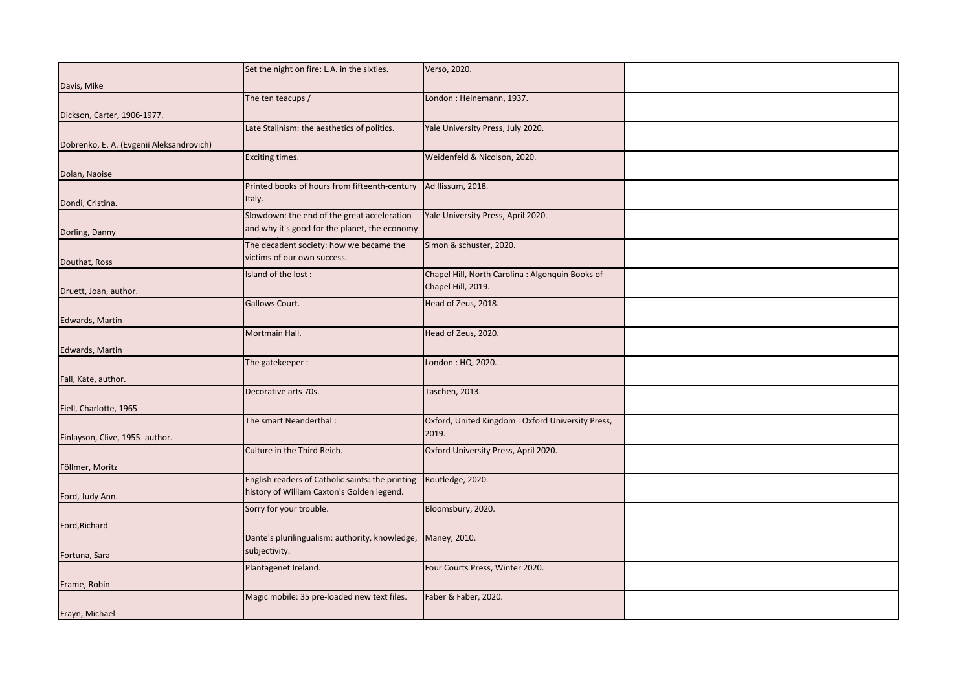|                                          | Set the night on fire: L.A. in the sixties.      | Verso, 2020.                                     |  |
|------------------------------------------|--------------------------------------------------|--------------------------------------------------|--|
|                                          |                                                  |                                                  |  |
| Davis, Mike                              |                                                  |                                                  |  |
|                                          | The ten teacups /                                | London: Heinemann, 1937.                         |  |
| Dickson, Carter, 1906-1977.              |                                                  |                                                  |  |
|                                          | Late Stalinism: the aesthetics of politics.      | Yale University Press, July 2020.                |  |
| Dobrenko, E. A. (Evgenii Aleksandrovich) |                                                  |                                                  |  |
|                                          | Exciting times.                                  | Weidenfeld & Nicolson, 2020.                     |  |
| Dolan, Naoise                            |                                                  |                                                  |  |
|                                          | Printed books of hours from fifteenth-century    | Ad Ilissum, 2018.                                |  |
|                                          | Italy.                                           |                                                  |  |
| Dondi, Cristina.                         |                                                  |                                                  |  |
|                                          | Slowdown: the end of the great acceleration-     | Yale University Press, April 2020.               |  |
| Dorling, Danny                           | and why it's good for the planet, the economy    |                                                  |  |
|                                          | The decadent society: how we became the          | Simon & schuster, 2020.                          |  |
| Douthat, Ross                            | victims of our own success.                      |                                                  |  |
|                                          | Island of the lost:                              | Chapel Hill, North Carolina : Algonquin Books of |  |
|                                          |                                                  | Chapel Hill, 2019.                               |  |
| Druett, Joan, author.                    | Gallows Court.                                   | Head of Zeus, 2018.                              |  |
|                                          |                                                  |                                                  |  |
| Edwards, Martin                          |                                                  |                                                  |  |
|                                          | Mortmain Hall.                                   | Head of Zeus, 2020.                              |  |
| Edwards, Martin                          |                                                  |                                                  |  |
|                                          | The gatekeeper:                                  | London: HQ, 2020.                                |  |
| Fall, Kate, author.                      |                                                  |                                                  |  |
|                                          | Decorative arts 70s.                             | Taschen, 2013.                                   |  |
| Fiell, Charlotte, 1965-                  |                                                  |                                                  |  |
|                                          | The smart Neanderthal:                           | Oxford, United Kingdom: Oxford University Press, |  |
|                                          |                                                  | 2019.                                            |  |
| Finlayson, Clive, 1955- author.          |                                                  |                                                  |  |
|                                          | Culture in the Third Reich.                      | Oxford University Press, April 2020.             |  |
| Föllmer, Moritz                          |                                                  |                                                  |  |
|                                          | English readers of Catholic saints: the printing | Routledge, 2020.                                 |  |
| Ford, Judy Ann.                          | history of William Caxton's Golden legend.       |                                                  |  |
|                                          | Sorry for your trouble.                          | Bloomsbury, 2020.                                |  |
| Ford, Richard                            |                                                  |                                                  |  |
|                                          | Dante's plurilingualism: authority, knowledge,   | Maney, 2010.                                     |  |
|                                          | subjectivity.                                    |                                                  |  |
| Fortuna, Sara                            |                                                  |                                                  |  |
|                                          | Plantagenet Ireland.                             | Four Courts Press, Winter 2020.                  |  |
| Frame, Robin                             |                                                  |                                                  |  |
|                                          | Magic mobile: 35 pre-loaded new text files.      | Faber & Faber, 2020.                             |  |
| Frayn, Michael                           |                                                  |                                                  |  |
|                                          |                                                  |                                                  |  |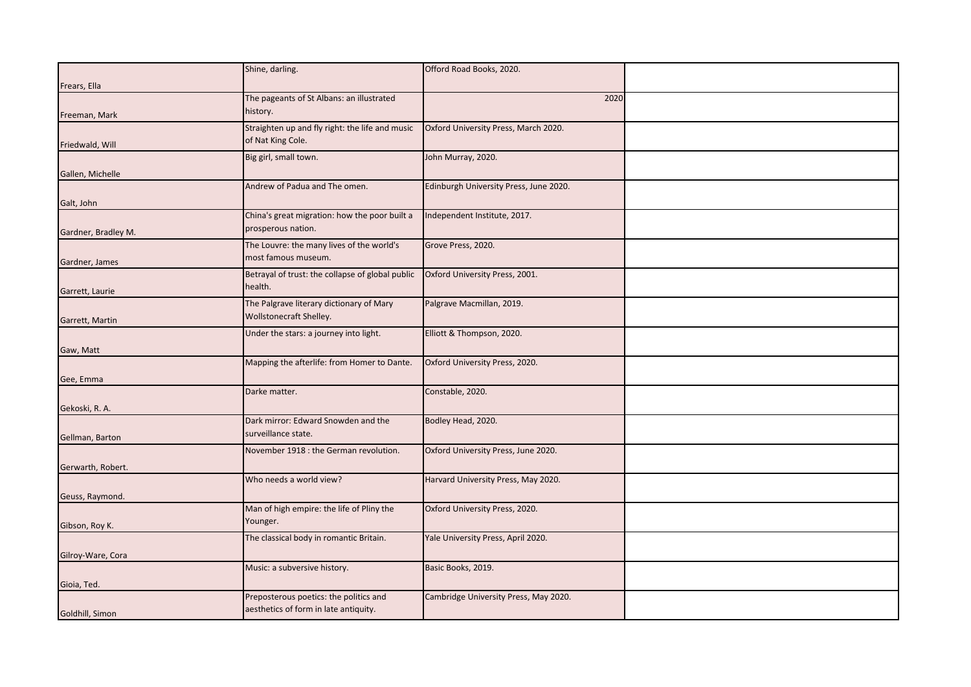|                     | Shine, darling.                                                     | Offord Road Books, 2020.               |  |
|---------------------|---------------------------------------------------------------------|----------------------------------------|--|
| Frears, Ella        |                                                                     |                                        |  |
|                     | The pageants of St Albans: an illustrated                           | 2020                                   |  |
| Freeman, Mark       | history.                                                            |                                        |  |
|                     | Straighten up and fly right: the life and music                     | Oxford University Press, March 2020.   |  |
| Friedwald, Will     | of Nat King Cole.                                                   |                                        |  |
| Gallen, Michelle    | Big girl, small town.                                               | John Murray, 2020.                     |  |
|                     | Andrew of Padua and The omen.                                       | Edinburgh University Press, June 2020. |  |
| Galt, John          | China's great migration: how the poor built a                       | Independent Institute, 2017.           |  |
| Gardner, Bradley M. | prosperous nation.                                                  |                                        |  |
|                     | The Louvre: the many lives of the world's<br>most famous museum.    | Grove Press, 2020.                     |  |
| Gardner, James      | Betrayal of trust: the collapse of global public                    | Oxford University Press, 2001.         |  |
| Garrett, Laurie     | health.                                                             |                                        |  |
| Garrett, Martin     | The Palgrave literary dictionary of Mary<br>Wollstonecraft Shelley. | Palgrave Macmillan, 2019.              |  |
|                     | Under the stars: a journey into light.                              | Elliott & Thompson, 2020.              |  |
| Gaw, Matt           |                                                                     |                                        |  |
|                     | Mapping the afterlife: from Homer to Dante.                         | Oxford University Press, 2020.         |  |
| Gee, Emma           | Darke matter.                                                       | Constable, 2020.                       |  |
| Gekoski, R. A.      |                                                                     |                                        |  |
| Gellman, Barton     | Dark mirror: Edward Snowden and the<br>surveillance state.          | Bodley Head, 2020.                     |  |
|                     | November 1918 : the German revolution.                              | Oxford University Press, June 2020.    |  |
| Gerwarth, Robert.   |                                                                     |                                        |  |
| Geuss, Raymond.     | Who needs a world view?                                             | Harvard University Press, May 2020.    |  |
|                     | Man of high empire: the life of Pliny the<br>Younger.               | Oxford University Press, 2020.         |  |
| Gibson, Roy K.      | The classical body in romantic Britain.                             | Yale University Press, April 2020.     |  |
| Gilroy-Ware, Cora   |                                                                     |                                        |  |
|                     | Music: a subversive history.                                        | Basic Books, 2019.                     |  |
| Gioia, Ted.         | Preposterous poetics: the politics and                              | Cambridge University Press, May 2020.  |  |
| Goldhill, Simon     | aesthetics of form in late antiquity.                               |                                        |  |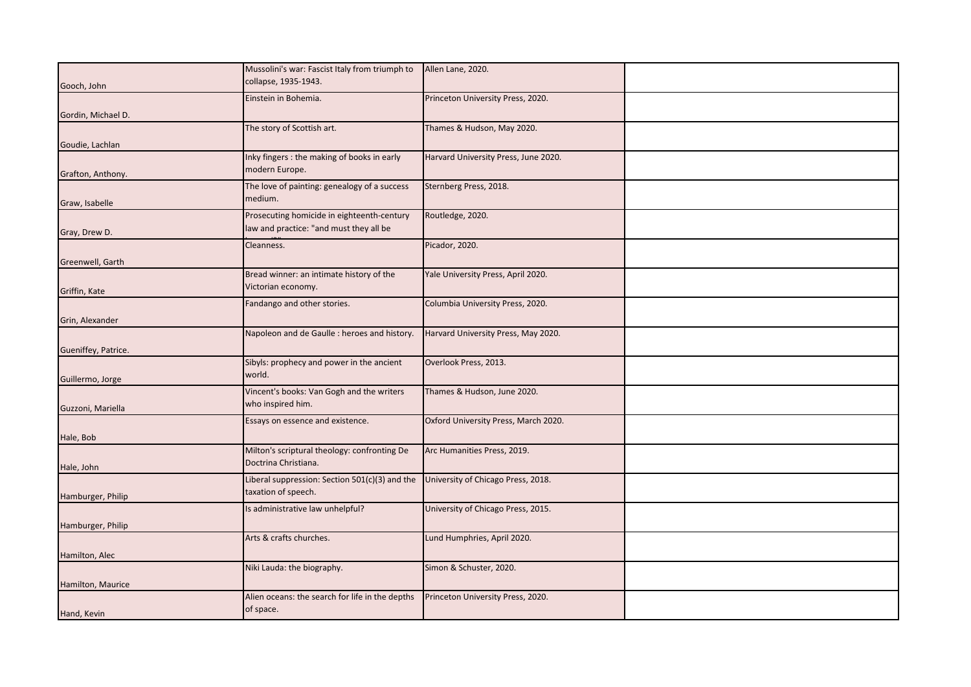|                     | Mussolini's war: Fascist Italy from triumph to  | Allen Lane, 2020.                    |  |
|---------------------|-------------------------------------------------|--------------------------------------|--|
| Gooch, John         | collapse, 1935-1943.                            |                                      |  |
|                     |                                                 |                                      |  |
|                     | Einstein in Bohemia.                            | Princeton University Press, 2020.    |  |
| Gordin, Michael D.  |                                                 |                                      |  |
|                     | The story of Scottish art.                      | Thames & Hudson, May 2020.           |  |
|                     |                                                 |                                      |  |
| Goudie, Lachlan     |                                                 |                                      |  |
|                     | Inky fingers : the making of books in early     | Harvard University Press, June 2020. |  |
|                     | modern Europe.                                  |                                      |  |
| Grafton, Anthony.   |                                                 |                                      |  |
|                     | The love of painting: genealogy of a success    | Sternberg Press, 2018.               |  |
| Graw, Isabelle      | medium.                                         |                                      |  |
|                     | Prosecuting homicide in eighteenth-century      | Routledge, 2020.                     |  |
|                     |                                                 |                                      |  |
| Gray, Drew D.       | law and practice: "and must they all be         |                                      |  |
|                     | Cleanness.                                      | Picador, 2020.                       |  |
|                     |                                                 |                                      |  |
| Greenwell, Garth    |                                                 |                                      |  |
|                     | Bread winner: an intimate history of the        | Yale University Press, April 2020.   |  |
|                     | Victorian economy.                              |                                      |  |
| Griffin, Kate       |                                                 |                                      |  |
|                     | Fandango and other stories.                     | Columbia University Press, 2020.     |  |
| Grin, Alexander     |                                                 |                                      |  |
|                     | Napoleon and de Gaulle : heroes and history.    | Harvard University Press, May 2020.  |  |
|                     |                                                 |                                      |  |
| Gueniffey, Patrice. |                                                 |                                      |  |
|                     | Sibyls: prophecy and power in the ancient       | Overlook Press, 2013.                |  |
|                     | world.                                          |                                      |  |
| Guillermo, Jorge    |                                                 |                                      |  |
|                     | Vincent's books: Van Gogh and the writers       | Thames & Hudson, June 2020.          |  |
| Guzzoni, Mariella   | who inspired him.                               |                                      |  |
|                     |                                                 |                                      |  |
|                     | Essays on essence and existence.                | Oxford University Press, March 2020. |  |
| Hale, Bob           |                                                 |                                      |  |
|                     | Milton's scriptural theology: confronting De    | Arc Humanities Press, 2019.          |  |
|                     | Doctrina Christiana.                            |                                      |  |
| Hale, John          |                                                 |                                      |  |
|                     | Liberal suppression: Section 501(c)(3) and the  | University of Chicago Press, 2018.   |  |
|                     | taxation of speech.                             |                                      |  |
| Hamburger, Philip   |                                                 |                                      |  |
|                     | Is administrative law unhelpful?                | University of Chicago Press, 2015.   |  |
| Hamburger, Philip   |                                                 |                                      |  |
|                     | Arts & crafts churches.                         | Lund Humphries, April 2020.          |  |
|                     |                                                 |                                      |  |
| Hamilton, Alec      |                                                 |                                      |  |
|                     | Niki Lauda: the biography.                      | Simon & Schuster, 2020.              |  |
|                     |                                                 |                                      |  |
| Hamilton, Maurice   |                                                 |                                      |  |
|                     | Alien oceans: the search for life in the depths | Princeton University Press, 2020.    |  |
| Hand, Kevin         | of space.                                       |                                      |  |
|                     |                                                 |                                      |  |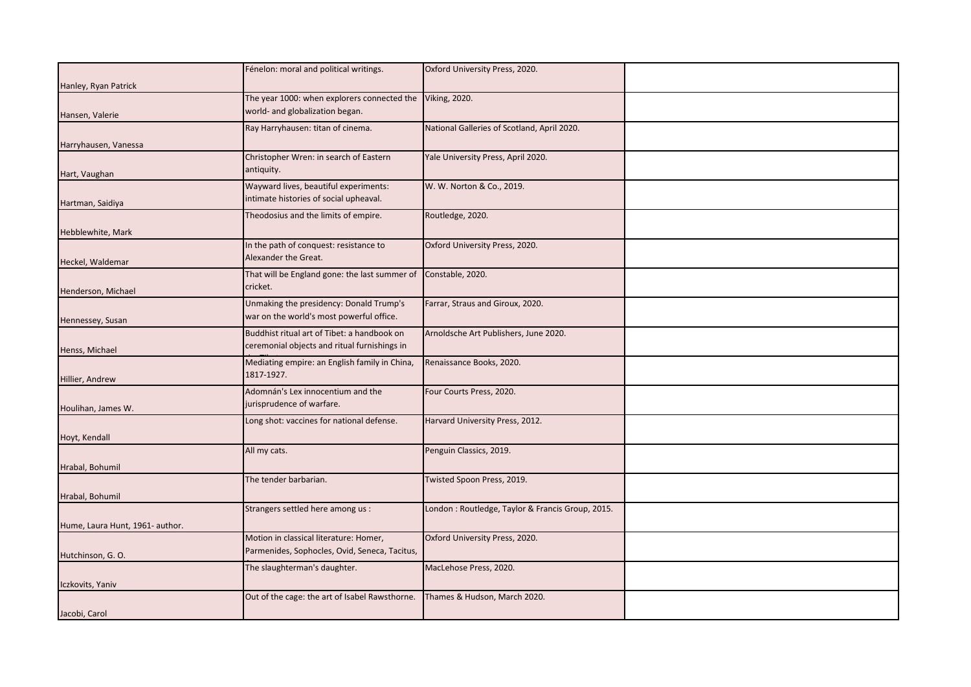|                                 | Fénelon: moral and political writings.               | Oxford University Press, 2020.                   |  |
|---------------------------------|------------------------------------------------------|--------------------------------------------------|--|
|                                 |                                                      |                                                  |  |
| Hanley, Ryan Patrick            | The year 1000: when explorers connected the          | <b>Viking, 2020.</b>                             |  |
|                                 | world- and globalization began.                      |                                                  |  |
| Hansen, Valerie                 | Ray Harryhausen: titan of cinema.                    | National Galleries of Scotland, April 2020.      |  |
|                                 |                                                      |                                                  |  |
| Harryhausen, Vanessa            |                                                      |                                                  |  |
| Hart, Vaughan                   | Christopher Wren: in search of Eastern<br>antiquity. | Yale University Press, April 2020.               |  |
|                                 | Wayward lives, beautiful experiments:                | W. W. Norton & Co., 2019.                        |  |
| Hartman, Saidiya                | ntimate histories of social upheaval.                |                                                  |  |
|                                 | Theodosius and the limits of empire.                 | Routledge, 2020.                                 |  |
| Hebblewhite, Mark               |                                                      |                                                  |  |
|                                 | In the path of conquest: resistance to               | Oxford University Press, 2020.                   |  |
| Heckel, Waldemar                | Alexander the Great.                                 |                                                  |  |
|                                 | That will be England gone: the last summer of        | Constable, 2020.                                 |  |
| Henderson, Michael              | cricket.                                             |                                                  |  |
|                                 | Unmaking the presidency: Donald Trump's              | Farrar, Straus and Giroux, 2020.                 |  |
| Hennessey, Susan                | war on the world's most powerful office.             |                                                  |  |
|                                 | Buddhist ritual art of Tibet: a handbook on          | Arnoldsche Art Publishers, June 2020.            |  |
| Henss, Michael                  | ceremonial objects and ritual furnishings in         |                                                  |  |
|                                 | Mediating empire: an English family in China,        | Renaissance Books, 2020.                         |  |
| Hillier, Andrew                 | 1817-1927.                                           |                                                  |  |
|                                 | Adomnán's Lex innocentium and the                    | Four Courts Press, 2020.                         |  |
| Houlihan, James W.              | urisprudence of warfare.                             |                                                  |  |
|                                 | Long shot: vaccines for national defense.            | Harvard University Press, 2012.                  |  |
| Hoyt, Kendall                   |                                                      |                                                  |  |
|                                 | All my cats.                                         | Penguin Classics, 2019.                          |  |
|                                 |                                                      |                                                  |  |
| Hrabal, Bohumil                 | The tender barbarian.                                | Twisted Spoon Press, 2019.                       |  |
|                                 |                                                      |                                                  |  |
| Hrabal, Bohumil                 |                                                      |                                                  |  |
|                                 | Strangers settled here among us :                    | London: Routledge, Taylor & Francis Group, 2015. |  |
| Hume, Laura Hunt, 1961- author. |                                                      |                                                  |  |
|                                 | Motion in classical literature: Homer,               | Oxford University Press, 2020.                   |  |
| Hutchinson, G. O.               | Parmenides, Sophocles, Ovid, Seneca, Tacitus,        |                                                  |  |
|                                 | The slaughterman's daughter.                         | MacLehose Press, 2020.                           |  |
| Iczkovits, Yaniv                |                                                      |                                                  |  |
|                                 | Out of the cage: the art of Isabel Rawsthorne.       | Thames & Hudson, March 2020.                     |  |
| Jacobi, Carol                   |                                                      |                                                  |  |
|                                 |                                                      |                                                  |  |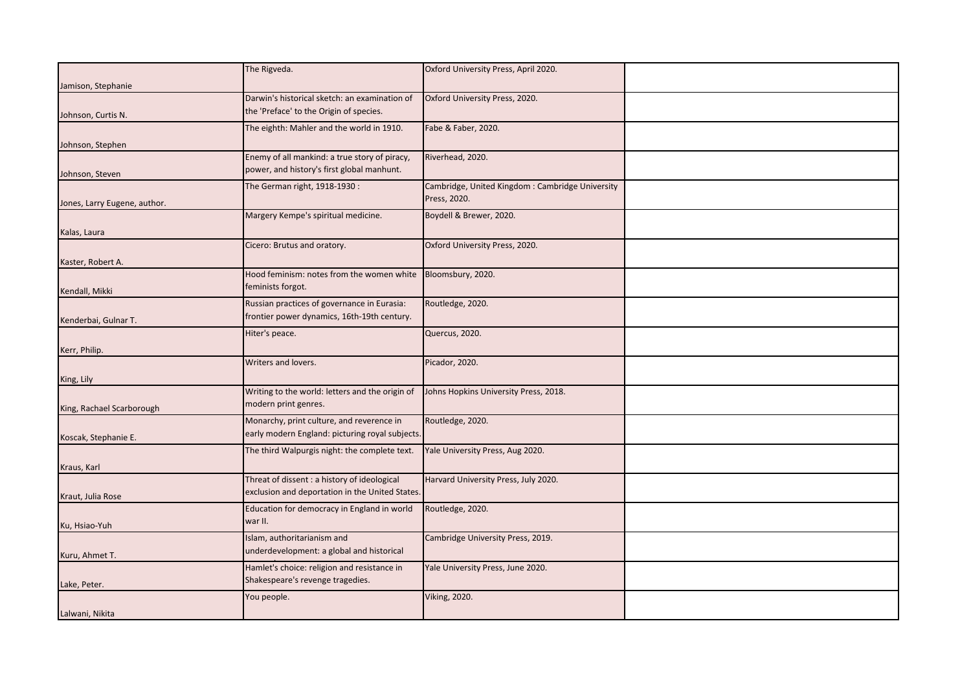|                              | The Rigveda.                                                                               | Oxford University Press, April 2020.            |  |
|------------------------------|--------------------------------------------------------------------------------------------|-------------------------------------------------|--|
|                              |                                                                                            |                                                 |  |
| Jamison, Stephanie           |                                                                                            |                                                 |  |
|                              | Darwin's historical sketch: an examination of<br>the 'Preface' to the Origin of species.   | Oxford University Press, 2020.                  |  |
| Johnson, Curtis N.           |                                                                                            |                                                 |  |
|                              | The eighth: Mahler and the world in 1910.                                                  | Fabe & Faber, 2020.                             |  |
| Johnson, Stephen             |                                                                                            |                                                 |  |
|                              | Enemy of all mankind: a true story of piracy,                                              | Riverhead, 2020.                                |  |
| Johnson, Steven              | power, and history's first global manhunt.                                                 |                                                 |  |
|                              | The German right, 1918-1930:                                                               | Cambridge, United Kingdom: Cambridge University |  |
| Jones, Larry Eugene, author. |                                                                                            | Press, 2020.                                    |  |
|                              | Margery Kempe's spiritual medicine.                                                        | Boydell & Brewer, 2020.                         |  |
| Kalas, Laura                 |                                                                                            |                                                 |  |
|                              | Cicero: Brutus and oratory.                                                                | Oxford University Press, 2020.                  |  |
| Kaster, Robert A.            |                                                                                            |                                                 |  |
|                              | Hood feminism: notes from the women white                                                  | Bloomsbury, 2020.                               |  |
|                              | feminists forgot.                                                                          |                                                 |  |
| Kendall, Mikki               |                                                                                            |                                                 |  |
|                              | Russian practices of governance in Eurasia:<br>frontier power dynamics, 16th-19th century. | Routledge, 2020.                                |  |
| Kenderbai, Gulnar T.         |                                                                                            |                                                 |  |
|                              | Hiter's peace.                                                                             | Quercus, 2020.                                  |  |
| Kerr, Philip.                |                                                                                            |                                                 |  |
|                              | Writers and lovers.                                                                        | Picador, 2020.                                  |  |
| King, Lily                   |                                                                                            |                                                 |  |
|                              | Writing to the world: letters and the origin of                                            | Johns Hopkins University Press, 2018.           |  |
| King, Rachael Scarborough    | modern print genres.                                                                       |                                                 |  |
|                              | Monarchy, print culture, and reverence in                                                  | Routledge, 2020.                                |  |
| Koscak, Stephanie E.         | early modern England: picturing royal subjects.                                            |                                                 |  |
|                              | The third Walpurgis night: the complete text.                                              | Yale University Press, Aug 2020.                |  |
|                              |                                                                                            |                                                 |  |
| Kraus, Karl                  | Threat of dissent : a history of ideological                                               | Harvard University Press, July 2020.            |  |
|                              | exclusion and deportation in the United States.                                            |                                                 |  |
| Kraut, Julia Rose            |                                                                                            |                                                 |  |
|                              | Education for democracy in England in world                                                | Routledge, 2020.                                |  |
| Ku, Hsiao-Yuh                | war II.                                                                                    |                                                 |  |
|                              | Islam, authoritarianism and                                                                | Cambridge University Press, 2019.               |  |
| Kuru, Ahmet T.               | underdevelopment: a global and historical                                                  |                                                 |  |
|                              | Hamlet's choice: religion and resistance in                                                | Yale University Press, June 2020.               |  |
| Lake, Peter.                 | Shakespeare's revenge tragedies.                                                           |                                                 |  |
|                              | You people.                                                                                | <b>Viking, 2020.</b>                            |  |
| Lalwani, Nikita              |                                                                                            |                                                 |  |
|                              |                                                                                            |                                                 |  |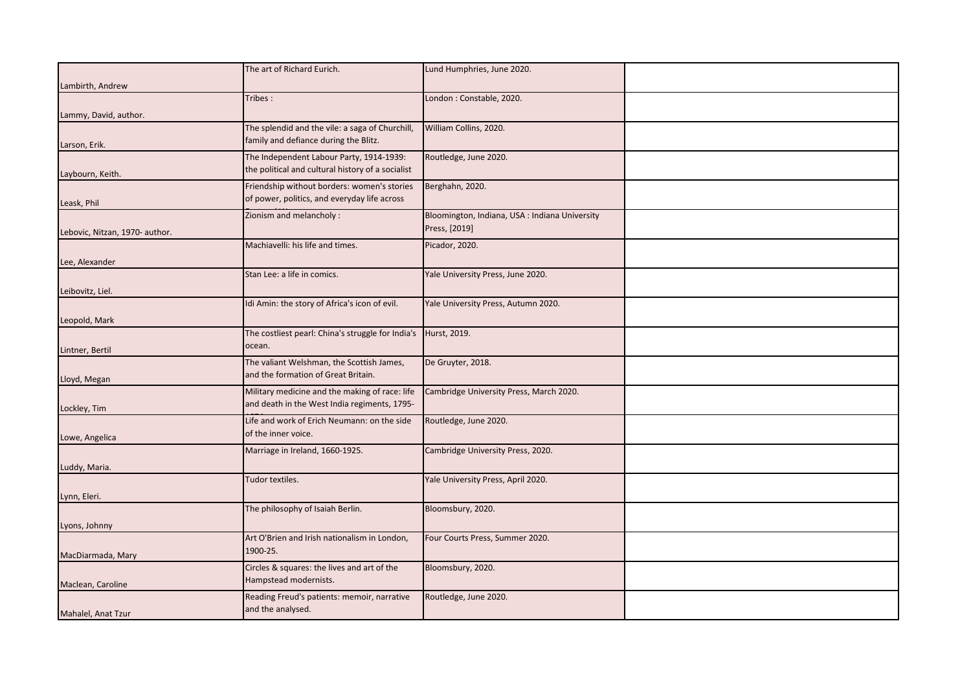|                                | The art of Richard Eurich.                        | Lund Humphries, June 2020.                     |  |
|--------------------------------|---------------------------------------------------|------------------------------------------------|--|
| Lambirth, Andrew               |                                                   |                                                |  |
|                                | Tribes:                                           | London: Constable, 2020.                       |  |
| Lammy, David, author.          |                                                   |                                                |  |
|                                | The splendid and the vile: a saga of Churchill,   | William Collins, 2020.                         |  |
|                                | family and defiance during the Blitz.             |                                                |  |
| Larson, Erik.                  | The Independent Labour Party, 1914-1939:          | Routledge, June 2020.                          |  |
|                                | the political and cultural history of a socialist |                                                |  |
| Laybourn, Keith.               | Friendship without borders: women's stories       | Berghahn, 2020.                                |  |
|                                | of power, politics, and everyday life across      |                                                |  |
| Leask, Phil                    | Zionism and melancholy:                           | Bloomington, Indiana, USA : Indiana University |  |
|                                |                                                   | Press, [2019]                                  |  |
| Lebovic, Nitzan, 1970- author. | Machiavelli: his life and times.                  |                                                |  |
|                                |                                                   | Picador, 2020.                                 |  |
| Lee, Alexander                 |                                                   |                                                |  |
|                                | Stan Lee: a life in comics.                       | Yale University Press, June 2020.              |  |
| Leibovitz, Liel.               |                                                   |                                                |  |
|                                | Idi Amin: the story of Africa's icon of evil.     | Yale University Press, Autumn 2020.            |  |
| Leopold, Mark                  |                                                   |                                                |  |
|                                | The costliest pearl: China's struggle for India's | Hurst, 2019.                                   |  |
| Lintner, Bertil                | ocean.                                            |                                                |  |
|                                | The valiant Welshman, the Scottish James,         | De Gruyter, 2018.                              |  |
| Lloyd, Megan                   | and the formation of Great Britain.               |                                                |  |
|                                | Military medicine and the making of race: life    | Cambridge University Press, March 2020.        |  |
| Lockley, Tim                   | and death in the West India regiments, 1795-      |                                                |  |
|                                | Life and work of Erich Neumann: on the side       | Routledge, June 2020.                          |  |
| Lowe, Angelica                 | of the inner voice.                               |                                                |  |
|                                | Marriage in Ireland, 1660-1925.                   | Cambridge University Press, 2020.              |  |
| Luddy, Maria.                  |                                                   |                                                |  |
|                                | Tudor textiles.                                   | Yale University Press, April 2020.             |  |
| Lynn, Eleri.                   |                                                   |                                                |  |
|                                | The philosophy of Isaiah Berlin.                  | Bloomsbury, 2020.                              |  |
| Lyons, Johnny                  |                                                   |                                                |  |
|                                | Art O'Brien and Irish nationalism in London,      | Four Courts Press, Summer 2020.                |  |
| MacDiarmada, Mary              | 1900-25.                                          |                                                |  |
|                                | Circles & squares: the lives and art of the       | Bloomsbury, 2020.                              |  |
| Maclean, Caroline              | Hampstead modernists.                             |                                                |  |
|                                | Reading Freud's patients: memoir, narrative       | Routledge, June 2020.                          |  |
| Mahalel, Anat Tzur             | and the analysed.                                 |                                                |  |
|                                |                                                   |                                                |  |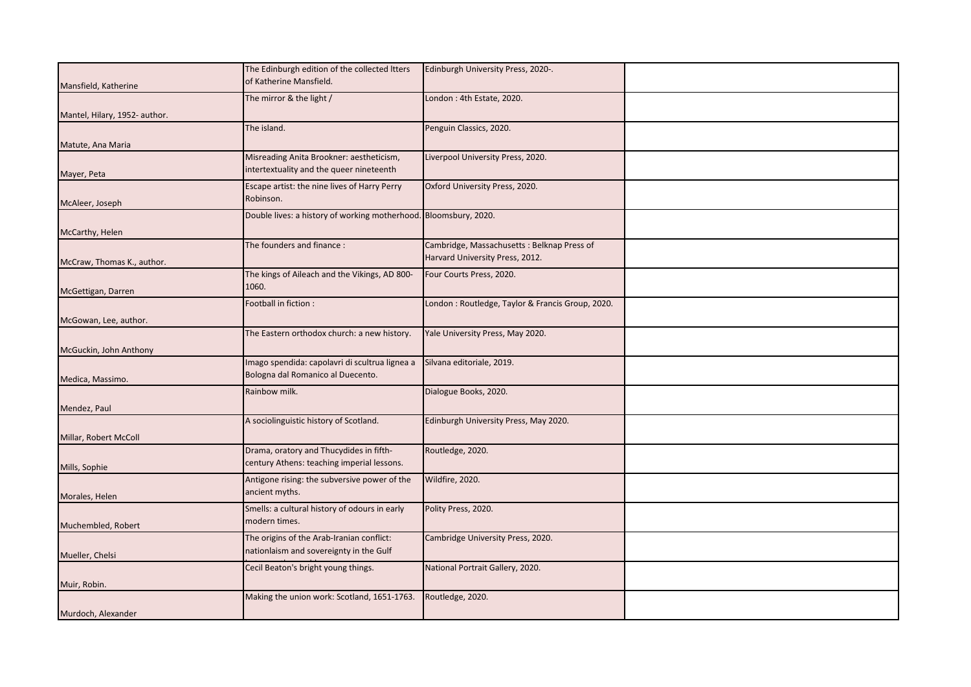|                               | The Edinburgh edition of the collected Itters                    |                                                  |  |
|-------------------------------|------------------------------------------------------------------|--------------------------------------------------|--|
|                               |                                                                  | Edinburgh University Press, 2020-.               |  |
| Mansfield, Katherine          | of Katherine Mansfield.                                          |                                                  |  |
|                               | The mirror & the light /                                         | London: 4th Estate, 2020.                        |  |
| Mantel, Hilary, 1952- author. |                                                                  |                                                  |  |
|                               | The island.                                                      | Penguin Classics, 2020.                          |  |
|                               |                                                                  |                                                  |  |
| Matute, Ana Maria             |                                                                  |                                                  |  |
|                               | Misreading Anita Brookner: aestheticism,                         | Liverpool University Press, 2020.                |  |
| Mayer, Peta                   | intertextuality and the queer nineteenth                         |                                                  |  |
|                               | Escape artist: the nine lives of Harry Perry                     | Oxford University Press, 2020.                   |  |
| McAleer, Joseph               | Robinson.                                                        |                                                  |  |
|                               | Double lives: a history of working motherhood. Bloomsbury, 2020. |                                                  |  |
|                               |                                                                  |                                                  |  |
| McCarthy, Helen               |                                                                  |                                                  |  |
|                               | The founders and finance:                                        | Cambridge, Massachusetts: Belknap Press of       |  |
| McCraw, Thomas K., author.    |                                                                  | Harvard University Press, 2012.                  |  |
|                               | The kings of Aileach and the Vikings, AD 800-                    | Four Courts Press, 2020.                         |  |
|                               | 1060.                                                            |                                                  |  |
| McGettigan, Darren            |                                                                  |                                                  |  |
|                               | Football in fiction :                                            | London: Routledge, Taylor & Francis Group, 2020. |  |
| McGowan, Lee, author.         |                                                                  |                                                  |  |
|                               | The Eastern orthodox church: a new history.                      | Yale University Press, May 2020.                 |  |
|                               |                                                                  |                                                  |  |
| McGuckin, John Anthony        |                                                                  |                                                  |  |
|                               | Imago spendida: capolavri di scultrua lignea a                   | Silvana editoriale, 2019.                        |  |
| Medica, Massimo.              | Bologna dal Romanico al Duecento.                                |                                                  |  |
|                               | Rainbow milk.                                                    | Dialogue Books, 2020.                            |  |
| Mendez, Paul                  |                                                                  |                                                  |  |
|                               | A sociolinguistic history of Scotland.                           | Edinburgh University Press, May 2020.            |  |
|                               |                                                                  |                                                  |  |
| Millar, Robert McColl         |                                                                  |                                                  |  |
|                               | Drama, oratory and Thucydides in fifth-                          | Routledge, 2020.                                 |  |
| Mills, Sophie                 | century Athens: teaching imperial lessons.                       |                                                  |  |
|                               | Antigone rising: the subversive power of the                     | Wildfire, 2020.                                  |  |
|                               | ancient myths.                                                   |                                                  |  |
| Morales, Helen                |                                                                  |                                                  |  |
|                               | Smells: a cultural history of odours in early                    | Polity Press, 2020.                              |  |
| Muchembled, Robert            | modern times.                                                    |                                                  |  |
|                               | The origins of the Arab-Iranian conflict:                        | Cambridge University Press, 2020.                |  |
| Mueller, Chelsi               | nationlaism and sovereignty in the Gulf                          |                                                  |  |
|                               | Cecil Beaton's bright young things.                              | National Portrait Gallery, 2020.                 |  |
|                               |                                                                  |                                                  |  |
| Muir, Robin.                  |                                                                  |                                                  |  |
|                               | Making the union work: Scotland, 1651-1763.                      | Routledge, 2020.                                 |  |
| Murdoch, Alexander            |                                                                  |                                                  |  |
|                               |                                                                  |                                                  |  |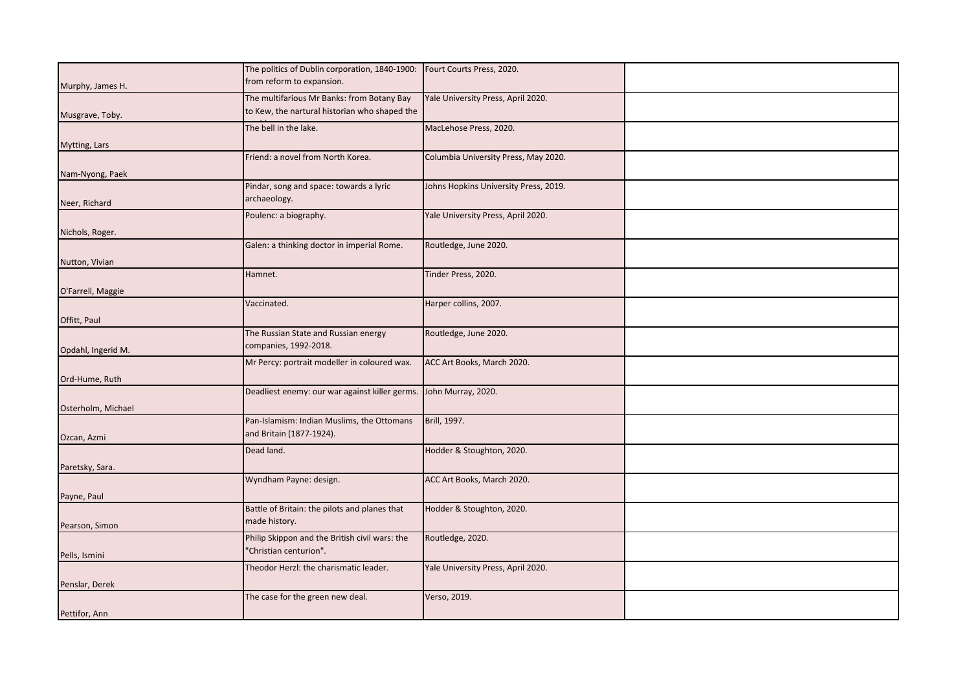|                      | The politics of Dublin corporation, 1840-1900:                    | Fourt Courts Press, 2020.             |  |
|----------------------|-------------------------------------------------------------------|---------------------------------------|--|
| Murphy, James H.     | from reform to expansion.                                         |                                       |  |
|                      | The multifarious Mr Banks: from Botany Bay                        | Yale University Press, April 2020.    |  |
|                      |                                                                   |                                       |  |
| Musgrave, Toby.      | to Kew, the nartural historian who shaped the                     |                                       |  |
|                      | The bell in the lake.                                             | MacLehose Press, 2020.                |  |
|                      |                                                                   |                                       |  |
| <b>Mytting, Lars</b> |                                                                   |                                       |  |
|                      | Friend: a novel from North Korea.                                 | Columbia University Press, May 2020.  |  |
| Nam-Nyong, Paek      |                                                                   |                                       |  |
|                      |                                                                   |                                       |  |
|                      | Pindar, song and space: towards a lyric                           | Johns Hopkins University Press, 2019. |  |
| Neer, Richard        | archaeology.                                                      |                                       |  |
|                      | Poulenc: a biography.                                             | Yale University Press, April 2020.    |  |
|                      |                                                                   |                                       |  |
| Nichols, Roger.      |                                                                   |                                       |  |
|                      | Galen: a thinking doctor in imperial Rome.                        | Routledge, June 2020.                 |  |
| Nutton, Vivian       |                                                                   |                                       |  |
|                      | Hamnet.                                                           | Tinder Press, 2020.                   |  |
|                      |                                                                   |                                       |  |
| O'Farrell, Maggie    |                                                                   |                                       |  |
|                      | Vaccinated.                                                       | Harper collins, 2007.                 |  |
|                      |                                                                   |                                       |  |
| Offitt, Paul         |                                                                   |                                       |  |
|                      | The Russian State and Russian energy                              | Routledge, June 2020.                 |  |
| Opdahl, Ingerid M.   | companies, 1992-2018.                                             |                                       |  |
|                      | Mr Percy: portrait modeller in coloured wax.                      | ACC Art Books, March 2020.            |  |
|                      |                                                                   |                                       |  |
| Ord-Hume, Ruth       |                                                                   |                                       |  |
|                      | Deadliest enemy: our war against killer germs. John Murray, 2020. |                                       |  |
|                      |                                                                   |                                       |  |
| Osterholm, Michael   |                                                                   |                                       |  |
|                      | Pan-Islamism: Indian Muslims, the Ottomans                        | Brill, 1997.                          |  |
| Ozcan, Azmi          | and Britain (1877-1924).                                          |                                       |  |
|                      | Dead land.                                                        | Hodder & Stoughton, 2020.             |  |
|                      |                                                                   |                                       |  |
| Paretsky, Sara.      |                                                                   |                                       |  |
|                      | Wyndham Payne: design.                                            | ACC Art Books, March 2020.            |  |
| Payne, Paul          |                                                                   |                                       |  |
|                      | Battle of Britain: the pilots and planes that                     | Hodder & Stoughton, 2020.             |  |
|                      |                                                                   |                                       |  |
| Pearson, Simon       | made history.                                                     |                                       |  |
|                      | Philip Skippon and the British civil wars: the                    | Routledge, 2020.                      |  |
|                      | 'Christian centurion".                                            |                                       |  |
| Pells, Ismini        |                                                                   |                                       |  |
|                      | Theodor Herzl: the charismatic leader.                            | Yale University Press, April 2020.    |  |
| Penslar, Derek       |                                                                   |                                       |  |
|                      | The case for the green new deal.                                  | Verso, 2019.                          |  |
|                      |                                                                   |                                       |  |
| Pettifor, Ann        |                                                                   |                                       |  |
|                      |                                                                   |                                       |  |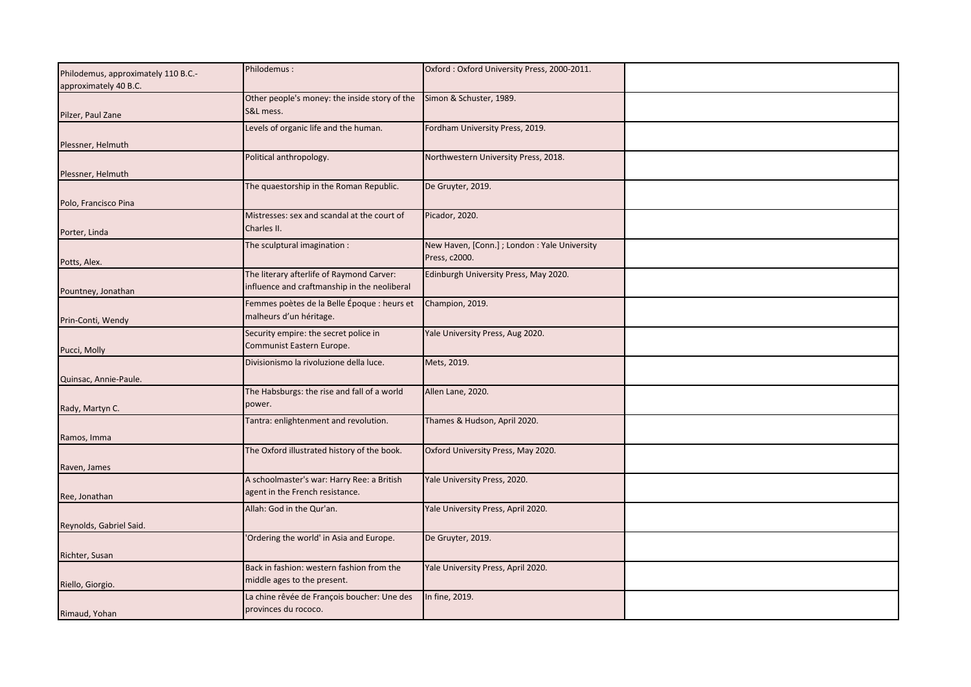|                                     | Philodemus:                                   |                                               |  |
|-------------------------------------|-----------------------------------------------|-----------------------------------------------|--|
| Philodemus, approximately 110 B.C.- |                                               | Oxford: Oxford University Press, 2000-2011.   |  |
| approximately 40 B.C.               |                                               |                                               |  |
|                                     | Other people's money: the inside story of the | Simon & Schuster, 1989.                       |  |
|                                     | S&L mess.                                     |                                               |  |
| Pilzer, Paul Zane                   |                                               |                                               |  |
|                                     | Levels of organic life and the human.         | Fordham University Press, 2019.               |  |
| Plessner, Helmuth                   |                                               |                                               |  |
|                                     | Political anthropology.                       | Northwestern University Press, 2018.          |  |
|                                     |                                               |                                               |  |
| Plessner, Helmuth                   |                                               |                                               |  |
|                                     | The quaestorship in the Roman Republic.       | De Gruyter, 2019.                             |  |
|                                     |                                               |                                               |  |
| Polo, Francisco Pina                |                                               |                                               |  |
|                                     | Mistresses: sex and scandal at the court of   | Picador, 2020.                                |  |
| Porter, Linda                       | Charles II.                                   |                                               |  |
|                                     | The sculptural imagination :                  | New Haven, [Conn.] ; London : Yale University |  |
|                                     |                                               |                                               |  |
| Potts, Alex.                        |                                               | Press, c2000.                                 |  |
|                                     | The literary afterlife of Raymond Carver:     | Edinburgh University Press, May 2020.         |  |
|                                     | influence and craftmanship in the neoliberal  |                                               |  |
| Pountney, Jonathan                  |                                               |                                               |  |
|                                     | Femmes poètes de la Belle Époque : heurs et   | Champion, 2019.                               |  |
| Prin-Conti, Wendy                   | malheurs d'un héritage.                       |                                               |  |
|                                     |                                               |                                               |  |
|                                     | Security empire: the secret police in         | Yale University Press, Aug 2020.              |  |
| Pucci, Molly                        | Communist Eastern Europe.                     |                                               |  |
|                                     | Divisionismo la rivoluzione della luce.       | Mets, 2019.                                   |  |
|                                     |                                               |                                               |  |
| Quinsac, Annie-Paule.               |                                               |                                               |  |
|                                     | The Habsburgs: the rise and fall of a world   | Allen Lane, 2020.                             |  |
|                                     | power.                                        |                                               |  |
| Rady, Martyn C.                     |                                               |                                               |  |
|                                     | Tantra: enlightenment and revolution.         | Thames & Hudson, April 2020.                  |  |
| Ramos, Imma                         |                                               |                                               |  |
|                                     | The Oxford illustrated history of the book.   | Oxford University Press, May 2020.            |  |
|                                     |                                               |                                               |  |
| Raven, James                        |                                               |                                               |  |
|                                     | A schoolmaster's war: Harry Ree: a British    | Yale University Press, 2020.                  |  |
|                                     | agent in the French resistance.               |                                               |  |
| Ree, Jonathan                       |                                               |                                               |  |
|                                     | Allah: God in the Qur'an.                     | Yale University Press, April 2020.            |  |
| Reynolds, Gabriel Said.             |                                               |                                               |  |
|                                     | Ordering the world' in Asia and Europe.       | De Gruyter, 2019.                             |  |
|                                     |                                               |                                               |  |
| Richter, Susan                      |                                               |                                               |  |
|                                     | Back in fashion: western fashion from the     | Yale University Press, April 2020.            |  |
|                                     | middle ages to the present.                   |                                               |  |
| Riello, Giorgio.                    |                                               |                                               |  |
|                                     | La chine rêvée de François boucher: Une des   | In fine, 2019.                                |  |
| Rimaud, Yohan                       | provinces du rococo.                          |                                               |  |
|                                     |                                               |                                               |  |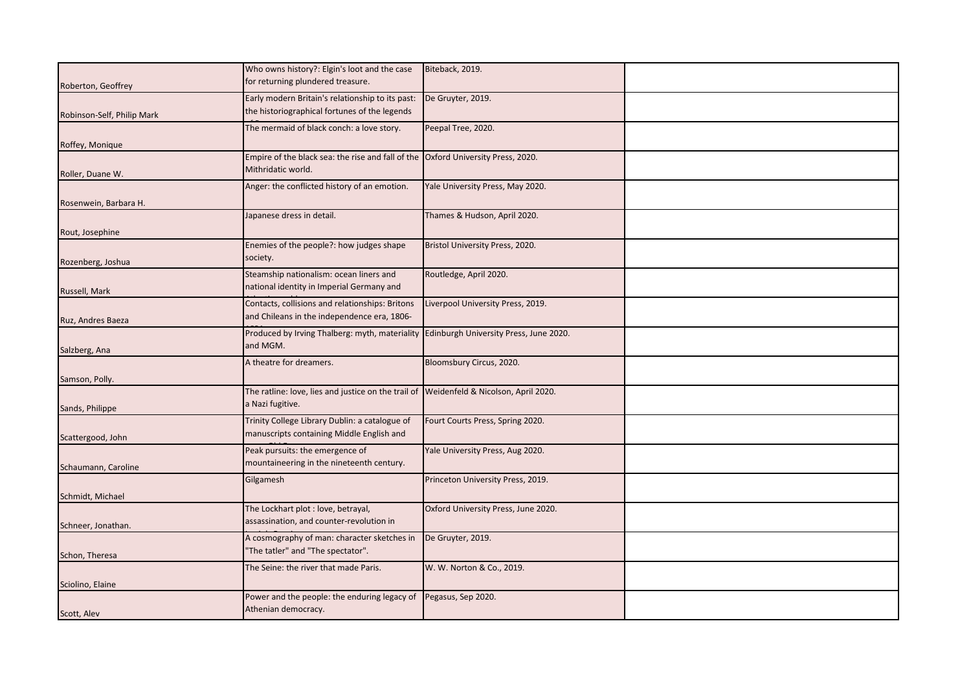|                            | Who owns history?: Elgin's loot and the case                                           | Biteback, 2019.                     |  |
|----------------------------|----------------------------------------------------------------------------------------|-------------------------------------|--|
| Roberton, Geoffrey         | for returning plundered treasure.                                                      |                                     |  |
|                            |                                                                                        |                                     |  |
|                            | Early modern Britain's relationship to its past:                                       | De Gruyter, 2019.                   |  |
| Robinson-Self, Philip Mark | the historiographical fortunes of the legends                                          |                                     |  |
|                            | The mermaid of black conch: a love story.                                              | Peepal Tree, 2020.                  |  |
|                            |                                                                                        |                                     |  |
| Roffey, Monique            |                                                                                        |                                     |  |
|                            | Empire of the black sea: the rise and fall of the Oxford University Press, 2020.       |                                     |  |
|                            | Mithridatic world.                                                                     |                                     |  |
| Roller, Duane W.           |                                                                                        |                                     |  |
|                            | Anger: the conflicted history of an emotion.                                           | Yale University Press, May 2020.    |  |
| Rosenwein, Barbara H.      |                                                                                        |                                     |  |
|                            |                                                                                        |                                     |  |
|                            | lapanese dress in detail.                                                              | Thames & Hudson, April 2020.        |  |
| Rout, Josephine            |                                                                                        |                                     |  |
|                            | Enemies of the people?: how judges shape                                               | Bristol University Press, 2020.     |  |
|                            | society.                                                                               |                                     |  |
| Rozenberg, Joshua          |                                                                                        |                                     |  |
|                            | Steamship nationalism: ocean liners and                                                | Routledge, April 2020.              |  |
|                            | national identity in Imperial Germany and                                              |                                     |  |
| Russell, Mark              |                                                                                        |                                     |  |
|                            | Contacts, collisions and relationships: Britons                                        | Liverpool University Press, 2019.   |  |
| Ruz, Andres Baeza          | and Chileans in the independence era, 1806-                                            |                                     |  |
|                            |                                                                                        |                                     |  |
|                            | Produced by Irving Thalberg: myth, materiality Edinburgh University Press, June 2020.  |                                     |  |
| Salzberg, Ana              | and MGM.                                                                               |                                     |  |
|                            | A theatre for dreamers.                                                                | Bloomsbury Circus, 2020.            |  |
|                            |                                                                                        |                                     |  |
| Samson, Polly.             |                                                                                        |                                     |  |
|                            | The ratline: love, lies and justice on the trail of Weidenfeld & Nicolson, April 2020. |                                     |  |
|                            | a Nazi fugitive.                                                                       |                                     |  |
| Sands, Philippe            |                                                                                        |                                     |  |
|                            | Trinity College Library Dublin: a catalogue of                                         | Fourt Courts Press, Spring 2020.    |  |
| Scattergood, John          | manuscripts containing Middle English and                                              |                                     |  |
|                            |                                                                                        |                                     |  |
|                            | Peak pursuits: the emergence of                                                        | Yale University Press, Aug 2020.    |  |
| Schaumann, Caroline        | mountaineering in the nineteenth century.                                              |                                     |  |
|                            | Gilgamesh                                                                              | Princeton University Press, 2019.   |  |
|                            |                                                                                        |                                     |  |
| Schmidt, Michael           |                                                                                        |                                     |  |
|                            | The Lockhart plot : love, betrayal,                                                    | Oxford University Press, June 2020. |  |
|                            | assassination, and counter-revolution in                                               |                                     |  |
| Schneer, Jonathan.         |                                                                                        |                                     |  |
|                            | A cosmography of man: character sketches in                                            | De Gruyter, 2019.                   |  |
| Schon, Theresa             | 'The tatler" and "The spectator".                                                      |                                     |  |
|                            |                                                                                        |                                     |  |
|                            | The Seine: the river that made Paris.                                                  | W. W. Norton & Co., 2019.           |  |
| Sciolino, Elaine           |                                                                                        |                                     |  |
|                            | Power and the people: the enduring legacy of                                           | Pegasus, Sep 2020.                  |  |
|                            | Athenian democracy.                                                                    |                                     |  |
| Scott, Alev                |                                                                                        |                                     |  |
|                            |                                                                                        |                                     |  |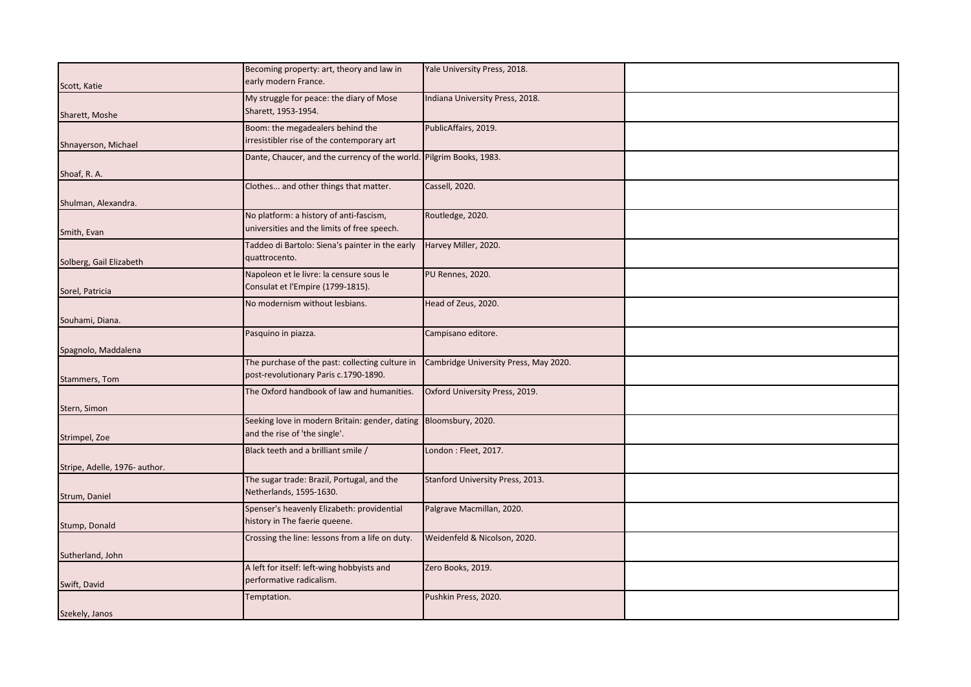|                               | Becoming property: art, theory and law in                           | Yale University Press, 2018.          |  |
|-------------------------------|---------------------------------------------------------------------|---------------------------------------|--|
| Scott, Katie                  | early modern France.                                                |                                       |  |
|                               | My struggle for peace: the diary of Mose                            | Indiana University Press, 2018.       |  |
| Sharett, Moshe                | Sharett, 1953-1954.                                                 |                                       |  |
|                               | Boom: the megadealers behind the                                    | PublicAffairs, 2019.                  |  |
|                               | rresistibler rise of the contemporary art                           |                                       |  |
| Shnayerson, Michael           | Dante, Chaucer, and the currency of the world. Pilgrim Books, 1983. |                                       |  |
|                               |                                                                     |                                       |  |
| Shoaf, R.A.                   |                                                                     |                                       |  |
|                               | Clothes and other things that matter.                               | Cassell, 2020.                        |  |
| Shulman, Alexandra.           |                                                                     |                                       |  |
|                               | No platform: a history of anti-fascism,                             | Routledge, 2020.                      |  |
| Smith, Evan                   | universities and the limits of free speech.                         |                                       |  |
|                               | Taddeo di Bartolo: Siena's painter in the early                     | Harvey Miller, 2020.                  |  |
|                               | quattrocento.                                                       |                                       |  |
| Solberg, Gail Elizabeth       |                                                                     |                                       |  |
|                               | Napoleon et le livre: la censure sous le                            | PU Rennes, 2020.                      |  |
| Sorel, Patricia               | Consulat et l'Empire (1799-1815).                                   |                                       |  |
|                               | No modernism without lesbians.                                      | Head of Zeus, 2020.                   |  |
| Souhami, Diana.               |                                                                     |                                       |  |
|                               | Pasquino in piazza.                                                 | Campisano editore.                    |  |
|                               |                                                                     |                                       |  |
| Spagnolo, Maddalena           |                                                                     |                                       |  |
|                               | The purchase of the past: collecting culture in                     | Cambridge University Press, May 2020. |  |
| Stammers, Tom                 | post-revolutionary Paris c.1790-1890.                               |                                       |  |
|                               | The Oxford handbook of law and humanities.                          | Oxford University Press, 2019.        |  |
| Stern, Simon                  |                                                                     |                                       |  |
|                               | Seeking love in modern Britain: gender, dating Bloomsbury, 2020.    |                                       |  |
|                               | and the rise of 'the single'.                                       |                                       |  |
| Strimpel, Zoe                 |                                                                     |                                       |  |
|                               | Black teeth and a brilliant smile /                                 | London: Fleet, 2017.                  |  |
| Stripe, Adelle, 1976- author. |                                                                     |                                       |  |
|                               | The sugar trade: Brazil, Portugal, and the                          | Stanford University Press, 2013.      |  |
| Strum, Daniel                 | Netherlands, 1595-1630.                                             |                                       |  |
|                               | Spenser's heavenly Elizabeth: providential                          | Palgrave Macmillan, 2020.             |  |
| Stump, Donald                 | history in The faerie queene.                                       |                                       |  |
|                               | Crossing the line: lessons from a life on duty.                     | Weidenfeld & Nicolson, 2020.          |  |
|                               |                                                                     |                                       |  |
| Sutherland, John              |                                                                     |                                       |  |
|                               | A left for itself: left-wing hobbyists and                          | Zero Books, 2019.                     |  |
| Swift, David                  | performative radicalism.                                            |                                       |  |
|                               | Temptation.                                                         | Pushkin Press, 2020.                  |  |
| Szekely, Janos                |                                                                     |                                       |  |
|                               |                                                                     |                                       |  |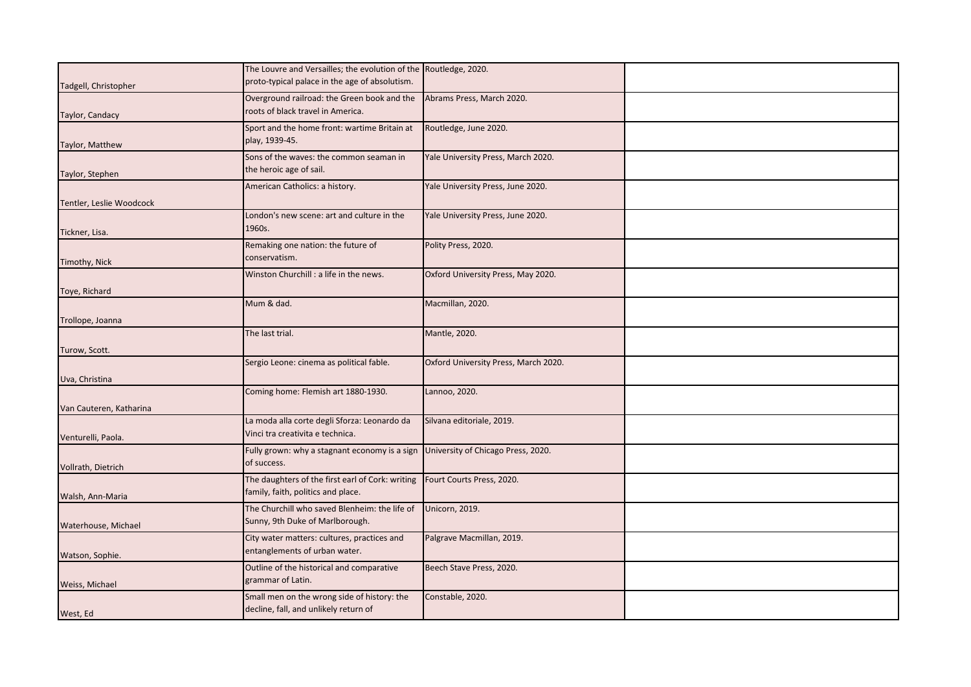|                          | The Louvre and Versailles; the evolution of the Routledge, 2020.                 |                                      |  |
|--------------------------|----------------------------------------------------------------------------------|--------------------------------------|--|
| Tadgell, Christopher     | proto-typical palace in the age of absolutism.                                   |                                      |  |
|                          | Overground railroad: the Green book and the                                      | Abrams Press, March 2020.            |  |
|                          | roots of black travel in America.                                                |                                      |  |
| Taylor, Candacy          |                                                                                  |                                      |  |
|                          | Sport and the home front: wartime Britain at                                     | Routledge, June 2020.                |  |
| Taylor, Matthew          | play, 1939-45.                                                                   |                                      |  |
|                          | Sons of the waves: the common seaman in                                          | Yale University Press, March 2020.   |  |
|                          |                                                                                  |                                      |  |
| Taylor, Stephen          | the heroic age of sail.                                                          |                                      |  |
|                          | American Catholics: a history.                                                   | Yale University Press, June 2020.    |  |
|                          |                                                                                  |                                      |  |
| Tentler, Leslie Woodcock |                                                                                  |                                      |  |
|                          | London's new scene: art and culture in the                                       | Yale University Press, June 2020.    |  |
| Tickner, Lisa.           | 1960s.                                                                           |                                      |  |
|                          | Remaking one nation: the future of                                               | Polity Press, 2020.                  |  |
|                          | conservatism.                                                                    |                                      |  |
| Timothy, Nick            |                                                                                  |                                      |  |
|                          | Winston Churchill: a life in the news.                                           | Oxford University Press, May 2020.   |  |
| Toye, Richard            |                                                                                  |                                      |  |
|                          |                                                                                  |                                      |  |
|                          | Mum & dad.                                                                       | Macmillan, 2020.                     |  |
| Trollope, Joanna         |                                                                                  |                                      |  |
|                          | The last trial.                                                                  | Mantle, 2020.                        |  |
|                          |                                                                                  |                                      |  |
| Turow, Scott.            |                                                                                  |                                      |  |
|                          | Sergio Leone: cinema as political fable.                                         | Oxford University Press, March 2020. |  |
| Uva, Christina           |                                                                                  |                                      |  |
|                          | Coming home: Flemish art 1880-1930.                                              | Lannoo, 2020.                        |  |
|                          |                                                                                  |                                      |  |
| Van Cauteren, Katharina  |                                                                                  |                                      |  |
|                          | La moda alla corte degli Sforza: Leonardo da                                     | Silvana editoriale, 2019.            |  |
|                          | Vinci tra creativita e technica.                                                 |                                      |  |
| Venturelli, Paola.       |                                                                                  |                                      |  |
|                          | Fully grown: why a stagnant economy is a sign University of Chicago Press, 2020. |                                      |  |
| Vollrath, Dietrich       | of success.                                                                      |                                      |  |
|                          | The daughters of the first earl of Cork: writing                                 | Fourt Courts Press, 2020.            |  |
|                          | family, faith, politics and place.                                               |                                      |  |
| Walsh, Ann-Maria         |                                                                                  |                                      |  |
|                          | The Churchill who saved Blenheim: the life of                                    | Unicorn, 2019.                       |  |
| Waterhouse, Michael      | Sunny, 9th Duke of Marlborough.                                                  |                                      |  |
|                          |                                                                                  |                                      |  |
|                          | City water matters: cultures, practices and                                      | Palgrave Macmillan, 2019.            |  |
| Watson, Sophie.          | entanglements of urban water.                                                    |                                      |  |
|                          | Outline of the historical and comparative                                        | Beech Stave Press, 2020.             |  |
|                          | grammar of Latin.                                                                |                                      |  |
| Weiss, Michael           |                                                                                  |                                      |  |
|                          | Small men on the wrong side of history: the                                      | Constable, 2020.                     |  |
| West, Ed                 | decline, fall, and unlikely return of                                            |                                      |  |
|                          |                                                                                  |                                      |  |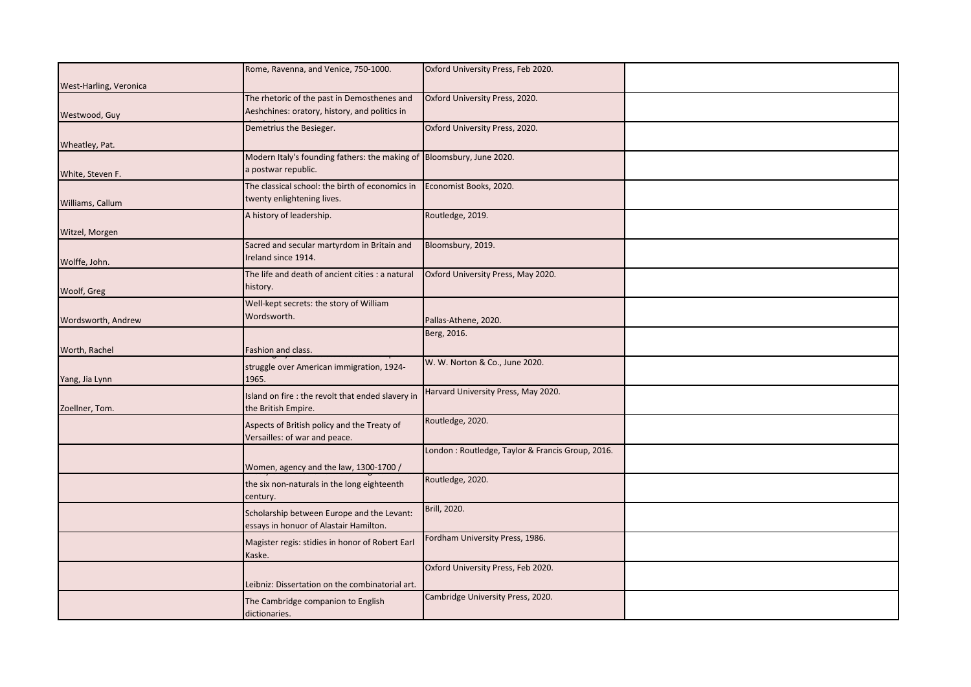| a postwar republic.                              |                                                                                                                                                                                                                                                                                                                                                                                                                                                                                                                                                                                                                                                                         |                                                                                                                                                                                                                                                                                                                                                                                                                                                                                                             |
|--------------------------------------------------|-------------------------------------------------------------------------------------------------------------------------------------------------------------------------------------------------------------------------------------------------------------------------------------------------------------------------------------------------------------------------------------------------------------------------------------------------------------------------------------------------------------------------------------------------------------------------------------------------------------------------------------------------------------------------|-------------------------------------------------------------------------------------------------------------------------------------------------------------------------------------------------------------------------------------------------------------------------------------------------------------------------------------------------------------------------------------------------------------------------------------------------------------------------------------------------------------|
| The classical school: the birth of economics in  | Economist Books, 2020.                                                                                                                                                                                                                                                                                                                                                                                                                                                                                                                                                                                                                                                  |                                                                                                                                                                                                                                                                                                                                                                                                                                                                                                             |
| twenty enlightening lives.                       |                                                                                                                                                                                                                                                                                                                                                                                                                                                                                                                                                                                                                                                                         |                                                                                                                                                                                                                                                                                                                                                                                                                                                                                                             |
|                                                  |                                                                                                                                                                                                                                                                                                                                                                                                                                                                                                                                                                                                                                                                         |                                                                                                                                                                                                                                                                                                                                                                                                                                                                                                             |
|                                                  |                                                                                                                                                                                                                                                                                                                                                                                                                                                                                                                                                                                                                                                                         |                                                                                                                                                                                                                                                                                                                                                                                                                                                                                                             |
|                                                  |                                                                                                                                                                                                                                                                                                                                                                                                                                                                                                                                                                                                                                                                         |                                                                                                                                                                                                                                                                                                                                                                                                                                                                                                             |
|                                                  |                                                                                                                                                                                                                                                                                                                                                                                                                                                                                                                                                                                                                                                                         |                                                                                                                                                                                                                                                                                                                                                                                                                                                                                                             |
|                                                  |                                                                                                                                                                                                                                                                                                                                                                                                                                                                                                                                                                                                                                                                         |                                                                                                                                                                                                                                                                                                                                                                                                                                                                                                             |
| The life and death of ancient cities : a natural | Oxford University Press, May 2020.                                                                                                                                                                                                                                                                                                                                                                                                                                                                                                                                                                                                                                      |                                                                                                                                                                                                                                                                                                                                                                                                                                                                                                             |
| history.                                         |                                                                                                                                                                                                                                                                                                                                                                                                                                                                                                                                                                                                                                                                         |                                                                                                                                                                                                                                                                                                                                                                                                                                                                                                             |
|                                                  |                                                                                                                                                                                                                                                                                                                                                                                                                                                                                                                                                                                                                                                                         |                                                                                                                                                                                                                                                                                                                                                                                                                                                                                                             |
| Wordsworth.                                      |                                                                                                                                                                                                                                                                                                                                                                                                                                                                                                                                                                                                                                                                         |                                                                                                                                                                                                                                                                                                                                                                                                                                                                                                             |
|                                                  |                                                                                                                                                                                                                                                                                                                                                                                                                                                                                                                                                                                                                                                                         |                                                                                                                                                                                                                                                                                                                                                                                                                                                                                                             |
|                                                  |                                                                                                                                                                                                                                                                                                                                                                                                                                                                                                                                                                                                                                                                         |                                                                                                                                                                                                                                                                                                                                                                                                                                                                                                             |
| Fashion and class.                               |                                                                                                                                                                                                                                                                                                                                                                                                                                                                                                                                                                                                                                                                         |                                                                                                                                                                                                                                                                                                                                                                                                                                                                                                             |
| struggle over American immigration, 1924-        |                                                                                                                                                                                                                                                                                                                                                                                                                                                                                                                                                                                                                                                                         |                                                                                                                                                                                                                                                                                                                                                                                                                                                                                                             |
| 1965.                                            |                                                                                                                                                                                                                                                                                                                                                                                                                                                                                                                                                                                                                                                                         |                                                                                                                                                                                                                                                                                                                                                                                                                                                                                                             |
|                                                  | Harvard University Press, May 2020.                                                                                                                                                                                                                                                                                                                                                                                                                                                                                                                                                                                                                                     |                                                                                                                                                                                                                                                                                                                                                                                                                                                                                                             |
|                                                  |                                                                                                                                                                                                                                                                                                                                                                                                                                                                                                                                                                                                                                                                         |                                                                                                                                                                                                                                                                                                                                                                                                                                                                                                             |
|                                                  |                                                                                                                                                                                                                                                                                                                                                                                                                                                                                                                                                                                                                                                                         |                                                                                                                                                                                                                                                                                                                                                                                                                                                                                                             |
|                                                  |                                                                                                                                                                                                                                                                                                                                                                                                                                                                                                                                                                                                                                                                         |                                                                                                                                                                                                                                                                                                                                                                                                                                                                                                             |
|                                                  |                                                                                                                                                                                                                                                                                                                                                                                                                                                                                                                                                                                                                                                                         |                                                                                                                                                                                                                                                                                                                                                                                                                                                                                                             |
|                                                  |                                                                                                                                                                                                                                                                                                                                                                                                                                                                                                                                                                                                                                                                         |                                                                                                                                                                                                                                                                                                                                                                                                                                                                                                             |
|                                                  |                                                                                                                                                                                                                                                                                                                                                                                                                                                                                                                                                                                                                                                                         |                                                                                                                                                                                                                                                                                                                                                                                                                                                                                                             |
| the six non-naturals in the long eighteenth      |                                                                                                                                                                                                                                                                                                                                                                                                                                                                                                                                                                                                                                                                         |                                                                                                                                                                                                                                                                                                                                                                                                                                                                                                             |
| century.                                         |                                                                                                                                                                                                                                                                                                                                                                                                                                                                                                                                                                                                                                                                         |                                                                                                                                                                                                                                                                                                                                                                                                                                                                                                             |
|                                                  | Brill, 2020.                                                                                                                                                                                                                                                                                                                                                                                                                                                                                                                                                                                                                                                            |                                                                                                                                                                                                                                                                                                                                                                                                                                                                                                             |
|                                                  |                                                                                                                                                                                                                                                                                                                                                                                                                                                                                                                                                                                                                                                                         |                                                                                                                                                                                                                                                                                                                                                                                                                                                                                                             |
|                                                  |                                                                                                                                                                                                                                                                                                                                                                                                                                                                                                                                                                                                                                                                         |                                                                                                                                                                                                                                                                                                                                                                                                                                                                                                             |
|                                                  |                                                                                                                                                                                                                                                                                                                                                                                                                                                                                                                                                                                                                                                                         |                                                                                                                                                                                                                                                                                                                                                                                                                                                                                                             |
|                                                  |                                                                                                                                                                                                                                                                                                                                                                                                                                                                                                                                                                                                                                                                         |                                                                                                                                                                                                                                                                                                                                                                                                                                                                                                             |
|                                                  |                                                                                                                                                                                                                                                                                                                                                                                                                                                                                                                                                                                                                                                                         |                                                                                                                                                                                                                                                                                                                                                                                                                                                                                                             |
| Leibniz: Dissertation on the combinatorial art.  |                                                                                                                                                                                                                                                                                                                                                                                                                                                                                                                                                                                                                                                                         |                                                                                                                                                                                                                                                                                                                                                                                                                                                                                                             |
| The Cambridge companion to English               |                                                                                                                                                                                                                                                                                                                                                                                                                                                                                                                                                                                                                                                                         |                                                                                                                                                                                                                                                                                                                                                                                                                                                                                                             |
| dictionaries.                                    |                                                                                                                                                                                                                                                                                                                                                                                                                                                                                                                                                                                                                                                                         |                                                                                                                                                                                                                                                                                                                                                                                                                                                                                                             |
|                                                  | Rome, Ravenna, and Venice, 750-1000.<br>The rhetoric of the past in Demosthenes and<br>Aeshchines: oratory, history, and politics in<br>Demetrius the Besieger.<br>A history of leadership.<br>Sacred and secular martyrdom in Britain and<br>Ireland since 1914.<br>Well-kept secrets: the story of William<br>Island on fire : the revolt that ended slavery in<br>the British Empire.<br>Aspects of British policy and the Treaty of<br>Versailles: of war and peace.<br>Women, agency and the law, 1300-1700 /<br>Scholarship between Europe and the Levant:<br>essays in honuor of Alastair Hamilton.<br>Magister regis: stidies in honor of Robert Earl<br>Kaske. | Oxford University Press, Feb 2020.<br>Oxford University Press, 2020.<br>Oxford University Press, 2020.<br>Modern Italy's founding fathers: the making of Bloomsbury, June 2020.<br>Routledge, 2019.<br>Bloomsbury, 2019.<br>Pallas-Athene, 2020.<br>Berg, 2016.<br>W. W. Norton & Co., June 2020.<br>Routledge, 2020.<br>London: Routledge, Taylor & Francis Group, 2016.<br>Routledge, 2020.<br>Fordham University Press, 1986.<br>Oxford University Press, Feb 2020.<br>Cambridge University Press, 2020. |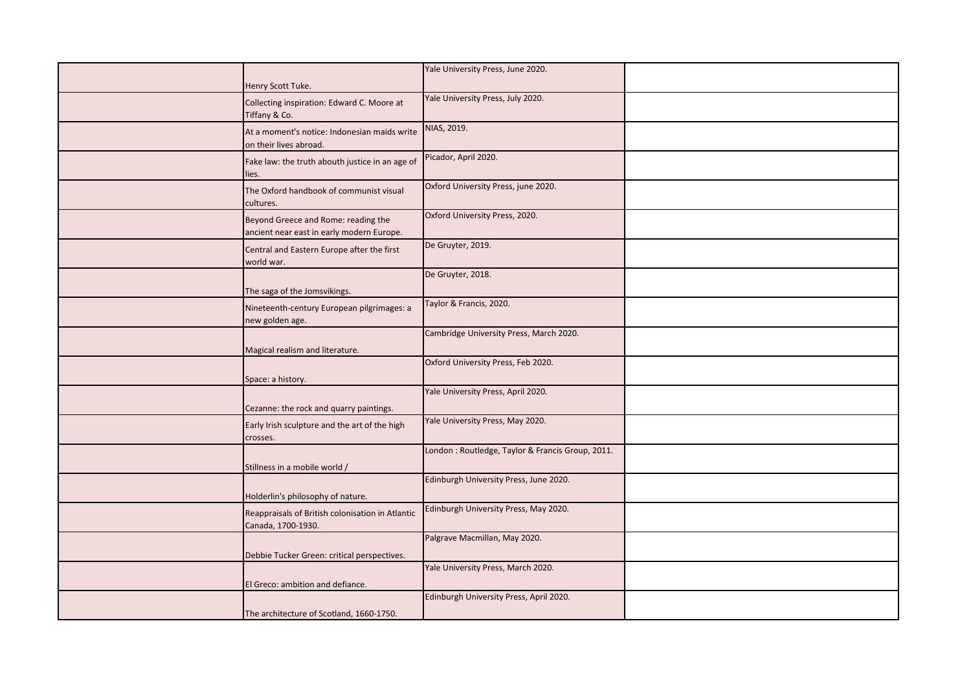| Henry Scott Tuke.                                                                | Yale University Press, June 2020.                 |  |
|----------------------------------------------------------------------------------|---------------------------------------------------|--|
| Collecting inspiration: Edward C. Moore at<br>Tiffany & Co.                      | Yale University Press, July 2020.                 |  |
| At a moment's notice: Indonesian maids write<br>on their lives abroad.           | NIAS, 2019.                                       |  |
| Fake law: the truth abouth justice in an age of<br>lies.                         | Picador, April 2020.                              |  |
| The Oxford handbook of communist visual<br>cultures.                             | Oxford University Press, june 2020.               |  |
| Beyond Greece and Rome: reading the<br>ancient near east in early modern Europe. | Oxford University Press, 2020.                    |  |
| Central and Eastern Europe after the first<br>world war.                         | De Gruyter, 2019.                                 |  |
| The saga of the Jomsvikings.                                                     | De Gruyter, 2018.                                 |  |
| Nineteenth-century European pilgrimages: a<br>new golden age.                    | Taylor & Francis, 2020.                           |  |
| Magical realism and literature.                                                  | Cambridge University Press, March 2020.           |  |
| Space: a history.                                                                | Oxford University Press, Feb 2020.                |  |
| Cezanne: the rock and quarry paintings.                                          | Yale University Press, April 2020.                |  |
| Early Irish sculpture and the art of the high<br>crosses.                        | Yale University Press, May 2020.                  |  |
| Stillness in a mobile world /                                                    | London : Routledge, Taylor & Francis Group, 2011. |  |
| Holderlin's philosophy of nature.                                                | Edinburgh University Press, June 2020.            |  |
| Reappraisals of British colonisation in Atlantic<br>Canada, 1700-1930.           | Edinburgh University Press, May 2020.             |  |
| Debbie Tucker Green: critical perspectives.                                      | Palgrave Macmillan, May 2020.                     |  |
| El Greco: ambition and defiance.                                                 | Yale University Press, March 2020.                |  |
| The architecture of Scotland, 1660-1750.                                         | Edinburgh University Press, April 2020.           |  |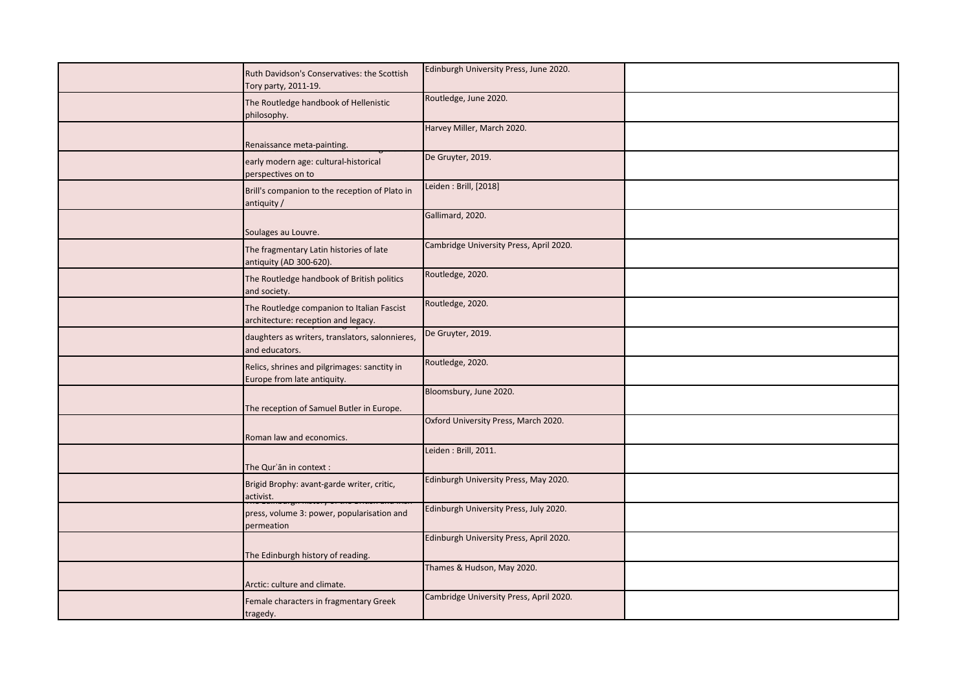| Ruth Davidson's Conservatives: the Scottish<br>Tory party, 2011-19.               | Edinburgh University Press, June 2020.  |  |
|-----------------------------------------------------------------------------------|-----------------------------------------|--|
| The Routledge handbook of Hellenistic<br>philosophy.                              | Routledge, June 2020.                   |  |
| Renaissance meta-painting.                                                        | Harvey Miller, March 2020.              |  |
| early modern age: cultural-historical<br>perspectives on to                       | De Gruyter, 2019.                       |  |
| Brill's companion to the reception of Plato in<br>antiquity /                     | Leiden: Brill, [2018]                   |  |
| Soulages au Louvre.                                                               | Gallimard, 2020.                        |  |
| The fragmentary Latin histories of late<br>antiquity (AD 300-620).                | Cambridge University Press, April 2020. |  |
| The Routledge handbook of British politics<br>and society.                        | Routledge, 2020.                        |  |
| The Routledge companion to Italian Fascist<br>architecture: reception and legacy. | Routledge, 2020.                        |  |
| daughters as writers, translators, salonnieres,<br>and educators.                 | De Gruyter, 2019.                       |  |
| Relics, shrines and pilgrimages: sanctity in<br>Europe from late antiquity.       | Routledge, 2020.                        |  |
| The reception of Samuel Butler in Europe.                                         | Bloomsbury, June 2020.                  |  |
| Roman law and economics.                                                          | Oxford University Press, March 2020.    |  |
| The Qur'ān in context :                                                           | Leiden: Brill, 2011.                    |  |
| Brigid Brophy: avant-garde writer, critic,<br>activist.                           | Edinburgh University Press, May 2020.   |  |
| press, volume 3: power, popularisation and<br>permeation                          | Edinburgh University Press, July 2020.  |  |
| The Edinburgh history of reading.                                                 | Edinburgh University Press, April 2020. |  |
| Arctic: culture and climate.                                                      | Thames & Hudson, May 2020.              |  |
| Female characters in fragmentary Greek<br>tragedy.                                | Cambridge University Press, April 2020. |  |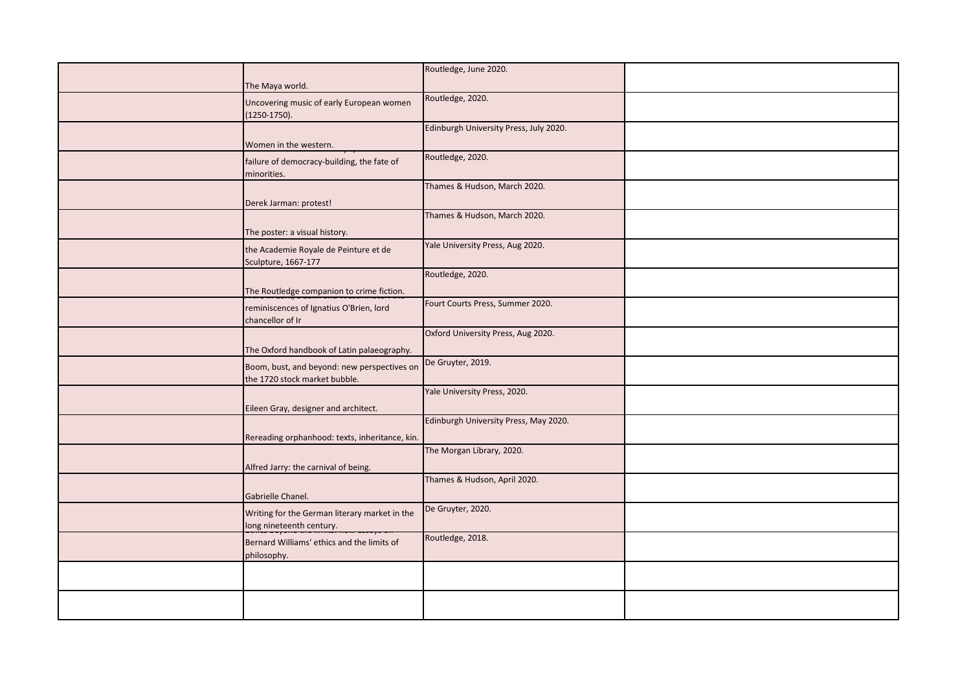|                                                                              | Routledge, June 2020.                  |  |
|------------------------------------------------------------------------------|----------------------------------------|--|
| The Maya world.                                                              |                                        |  |
| Uncovering music of early European women<br>$(1250-1750).$                   | Routledge, 2020.                       |  |
|                                                                              | Edinburgh University Press, July 2020. |  |
| Women in the western.                                                        |                                        |  |
| failure of democracy-building, the fate of<br>minorities.                    | Routledge, 2020.                       |  |
| Derek Jarman: protest!                                                       | Thames & Hudson, March 2020.           |  |
| The poster: a visual history.                                                | Thames & Hudson, March 2020.           |  |
| the Academie Royale de Peinture et de<br>Sculpture, 1667-177                 | Yale University Press, Aug 2020.       |  |
| The Routledge companion to crime fiction.                                    | Routledge, 2020.                       |  |
| reminiscences of Ignatius O'Brien, lord<br>chancellor of Ir                  | Fourt Courts Press, Summer 2020.       |  |
| The Oxford handbook of Latin palaeography.                                   | Oxford University Press, Aug 2020.     |  |
| Boom, bust, and beyond: new perspectives on<br>the 1720 stock market bubble. | De Gruyter, 2019.                      |  |
| Eileen Gray, designer and architect.                                         | Yale University Press, 2020.           |  |
| Rereading orphanhood: texts, inheritance, kin.                               | Edinburgh University Press, May 2020.  |  |
| Alfred Jarry: the carnival of being.                                         | The Morgan Library, 2020.              |  |
| Gabrielle Chanel.                                                            | Thames & Hudson, April 2020.           |  |
| Writing for the German literary market in the<br>long nineteenth century.    | De Gruyter, 2020.                      |  |
| Bernard Williams' ethics and the limits of<br>philosophy.                    | Routledge, 2018.                       |  |
|                                                                              |                                        |  |
|                                                                              |                                        |  |
|                                                                              |                                        |  |